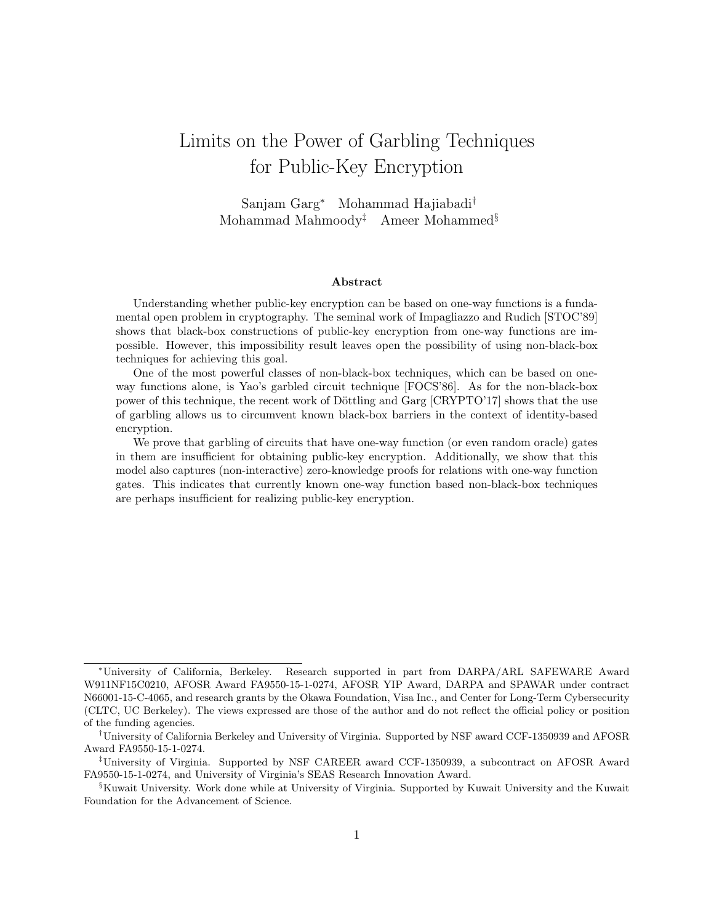# Limits on the Power of Garbling Techniques for Public-Key Encryption

Sanjam Garg<sup>∗</sup> Mohammad Hajiabadi† Mohammad Mahmoody<sup>‡</sup> Ameer Mohammed<sup>§</sup>

#### Abstract

Understanding whether public-key encryption can be based on one-way functions is a fundamental open problem in cryptography. The seminal work of Impagliazzo and Rudich [STOC'89] shows that black-box constructions of public-key encryption from one-way functions are impossible. However, this impossibility result leaves open the possibility of using non-black-box techniques for achieving this goal.

One of the most powerful classes of non-black-box techniques, which can be based on oneway functions alone, is Yao's garbled circuit technique [FOCS'86]. As for the non-black-box power of this technique, the recent work of Döttling and Garg [CRYPTO'17] shows that the use of garbling allows us to circumvent known black-box barriers in the context of identity-based encryption.

We prove that garbling of circuits that have one-way function (or even random oracle) gates in them are insufficient for obtaining public-key encryption. Additionally, we show that this model also captures (non-interactive) zero-knowledge proofs for relations with one-way function gates. This indicates that currently known one-way function based non-black-box techniques are perhaps insufficient for realizing public-key encryption.

<sup>∗</sup>University of California, Berkeley. Research supported in part from DARPA/ARL SAFEWARE Award W911NF15C0210, AFOSR Award FA9550-15-1-0274, AFOSR YIP Award, DARPA and SPAWAR under contract N66001-15-C-4065, and research grants by the Okawa Foundation, Visa Inc., and Center for Long-Term Cybersecurity (CLTC, UC Berkeley). The views expressed are those of the author and do not reflect the official policy or position of the funding agencies.

<sup>†</sup>University of California Berkeley and University of Virginia. Supported by NSF award CCF-1350939 and AFOSR Award FA9550-15-1-0274.

<sup>‡</sup>University of Virginia. Supported by NSF CAREER award CCF-1350939, a subcontract on AFOSR Award FA9550-15-1-0274, and University of Virginia's SEAS Research Innovation Award.

<sup>§</sup>Kuwait University. Work done while at University of Virginia. Supported by Kuwait University and the Kuwait Foundation for the Advancement of Science.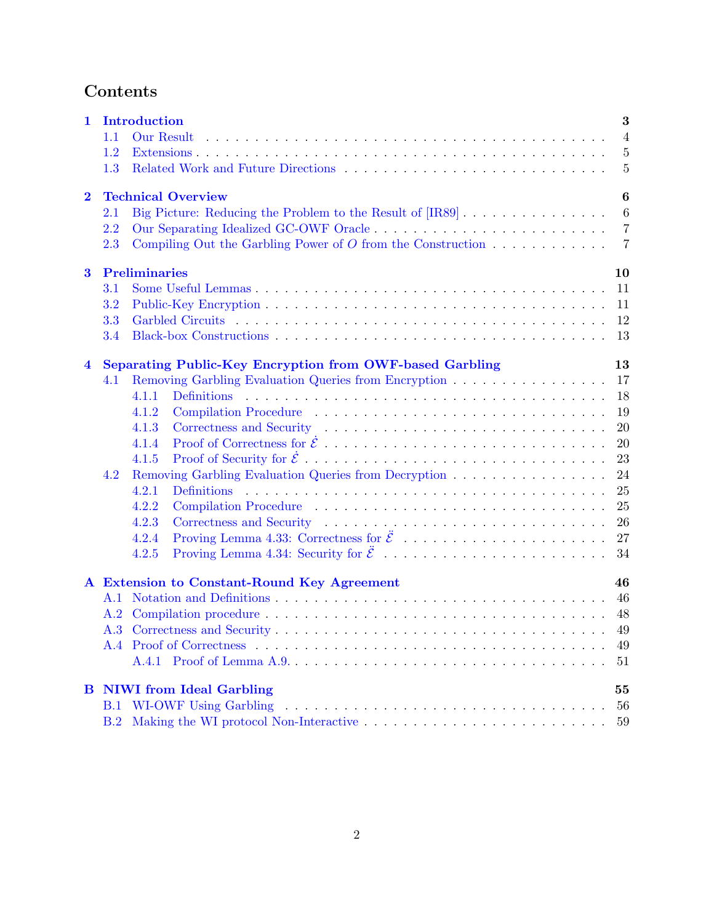# <span id="page-1-0"></span>Contents

| 1                       |     | Introduction                                                                         | 3              |
|-------------------------|-----|--------------------------------------------------------------------------------------|----------------|
|                         | 1.1 | Our Result                                                                           | $\overline{4}$ |
|                         | 1.2 |                                                                                      | $\overline{5}$ |
|                         | 1.3 |                                                                                      | $\overline{5}$ |
| $\overline{\mathbf{2}}$ |     | <b>Technical Overview</b>                                                            | $\bf{6}$       |
|                         | 2.1 | Big Picture: Reducing the Problem to the Result of [IR89]                            | 6              |
|                         | 2.2 |                                                                                      | $\overline{7}$ |
|                         | 2.3 | Compiling Out the Garbling Power of $O$ from the Construction $\ldots \ldots \ldots$ | $\overline{7}$ |
| $\bf{3}$                |     | <b>Preliminaries</b>                                                                 | 10             |
|                         | 3.1 |                                                                                      | 11             |
|                         | 3.2 |                                                                                      | 11             |
|                         | 3.3 |                                                                                      | 12             |
|                         | 3.4 |                                                                                      | 13             |
| $\overline{\mathbf{4}}$ |     | <b>Separating Public-Key Encryption from OWF-based Garbling</b>                      | 13             |
|                         | 4.1 | Removing Garbling Evaluation Queries from Encryption                                 | 17             |
|                         |     | <b>Definitions</b><br>4.1.1                                                          | 18             |
|                         |     | 4.1.2                                                                                | 19             |
|                         |     | 4.1.3                                                                                | 20             |
|                         |     | 4.1.4                                                                                | 20             |
|                         |     | 4.1.5                                                                                | 23             |
|                         | 4.2 | Removing Garbling Evaluation Queries from Decryption                                 | 24             |
|                         |     | 4.2.1<br><b>Definitions</b>                                                          | 25             |
|                         |     | 4.2.2                                                                                | 25             |
|                         |     | 4.2.3                                                                                | 26             |
|                         |     | 4.2.4                                                                                | 27             |
|                         |     | 4.2.5                                                                                | 34             |
|                         |     | A Extension to Constant-Round Key Agreement                                          | 46             |
|                         | A.1 |                                                                                      | 46             |
|                         | A.2 |                                                                                      |                |
|                         |     |                                                                                      | 49             |
|                         |     |                                                                                      | 49             |
|                         |     |                                                                                      | 51             |
|                         |     | <b>B</b> NIWI from Ideal Garbling                                                    | 55             |
|                         | B.1 | <b>WI-OWF Using Garbling</b>                                                         | 56             |
|                         | B.2 |                                                                                      | 59             |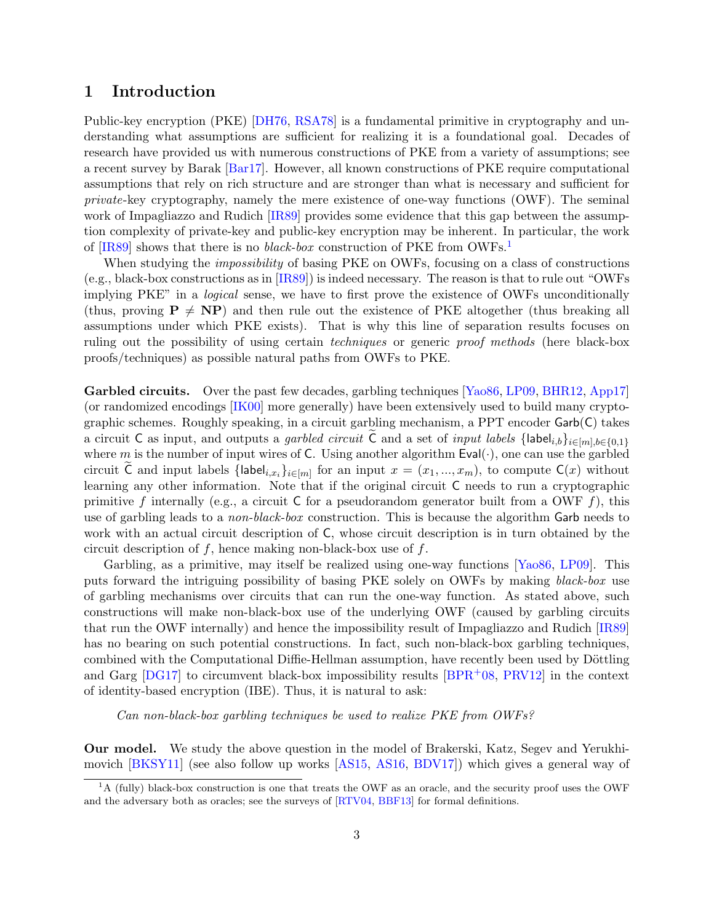## <span id="page-2-2"></span><span id="page-2-0"></span>1 Introduction

Public-key encryption (PKE) [\[DH76,](#page-43-0) [RSA78\]](#page-44-1) is a fundamental primitive in cryptography and understanding what assumptions are sufficient for realizing it is a foundational goal. Decades of research have provided us with numerous constructions of PKE from a variety of assumptions; see a recent survey by Barak [\[Bar17\]](#page-41-0). However, all known constructions of PKE require computational assumptions that rely on rich structure and are stronger than what is necessary and sufficient for private-key cryptography, namely the mere existence of one-way functions (OWF). The seminal work of Impagliazzo and Rudich [\[IR89\]](#page-44-0) provides some evidence that this gap between the assumption complexity of private-key and public-key encryption may be inherent. In particular, the work of [\[IR89\]](#page-44-0) shows that there is no black-box construction of PKE from OWFs.[1](#page-2-1)

When studying the *impossibility* of basing PKE on OWFs, focusing on a class of constructions (e.g., black-box constructions as in [\[IR89\]](#page-44-0)) is indeed necessary. The reason is that to rule out "OWFs implying PKE" in a logical sense, we have to first prove the existence of OWFs unconditionally (thus, proving  $P \neq NP$ ) and then rule out the existence of PKE altogether (thus breaking all assumptions under which PKE exists). That is why this line of separation results focuses on ruling out the possibility of using certain techniques or generic proof methods (here black-box proofs/techniques) as possible natural paths from OWFs to PKE.

Garbled circuits. Over the past few decades, garbling techniques [\[Yao86,](#page-45-2) [LP09,](#page-44-2) [BHR12,](#page-42-0) [App17\]](#page-41-1) (or randomized encodings [\[IK00\]](#page-43-1) more generally) have been extensively used to build many cryptographic schemes. Roughly speaking, in a circuit garbling mechanism, a PPT encoder  $\mathsf{Garb}(C)$  takes a circuit C as input, and outputs a *garbled circuit* C and a set of *input labels*  $\{\textsf{label}_{i,b}\}_{i\in[m],b\in\{0,1\}}$ where m is the number of input wires of C. Using another algorithm  $Eval(·)$ , one can use the garbled circuit C and input labels  $\{\textsf{label}_{i,x_i}\}_{i\in[m]}$  for an input  $x = (x_1,...,x_m)$ , to compute  $\mathsf{C}(x)$  without learning any other information. Note that if the original circuit C needs to run a cryptographic primitive f internally (e.g., a circuit C for a pseudorandom generator built from a OWF  $f$ ), this use of garbling leads to a *non-black-box* construction. This is because the algorithm Garb needs to work with an actual circuit description of  $\mathsf{C}$ , whose circuit description is in turn obtained by the circuit description of  $f$ , hence making non-black-box use of  $f$ .

Garbling, as a primitive, may itself be realized using one-way functions [\[Yao86,](#page-45-2) [LP09\]](#page-44-2). This puts forward the intriguing possibility of basing PKE solely on OWFs by making black-box use of garbling mechanisms over circuits that can run the one-way function. As stated above, such constructions will make non-black-box use of the underlying OWF (caused by garbling circuits that run the OWF internally) and hence the impossibility result of Impagliazzo and Rudich [\[IR89\]](#page-44-0) has no bearing on such potential constructions. In fact, such non-black-box garbling techniques, combined with the Computational Diffie-Hellman assumption, have recently been used by Döttling and Garg  $[DG17]$  to circumvent black-box impossibility results  $[BPR<sup>+</sup>08, PRV12]$  $[BPR<sup>+</sup>08, PRV12]$  $[BPR<sup>+</sup>08, PRV12]$  in the context of identity-based encryption (IBE). Thus, it is natural to ask:

Can non-black-box garbling techniques be used to realize PKE from OWFs?

Our model. We study the above question in the model of Brakerski, Katz, Segev and Yerukhimovich [\[BKSY11\]](#page-42-2) (see also follow up works [\[AS15,](#page-41-2) [AS16,](#page-41-3) [BDV17\]](#page-42-3)) which gives a general way of

<span id="page-2-1"></span> $1_A$  (fully) black-box construction is one that treats the OWF as an oracle, and the security proof uses the OWF and the adversary both as oracles; see the surveys of [\[RTV04,](#page-44-4) [BBF13\]](#page-42-4) for formal definitions.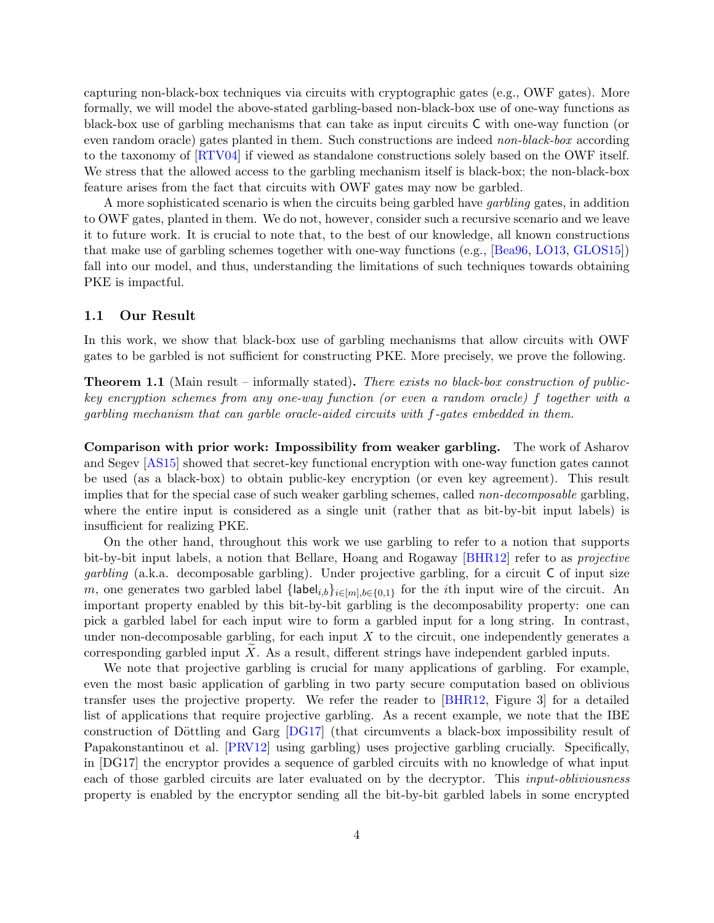<span id="page-3-2"></span>capturing non-black-box techniques via circuits with cryptographic gates (e.g., OWF gates). More formally, we will model the above-stated garbling-based non-black-box use of one-way functions as black-box use of garbling mechanisms that can take as input circuits C with one-way function (or even random oracle) gates planted in them. Such constructions are indeed non-black-box according to the taxonomy of [\[RTV04\]](#page-44-4) if viewed as standalone constructions solely based on the OWF itself. We stress that the allowed access to the garbling mechanism itself is black-box; the non-black-box feature arises from the fact that circuits with OWF gates may now be garbled.

A more sophisticated scenario is when the circuits being garbled have *garbling* gates, in addition to OWF gates, planted in them. We do not, however, consider such a recursive scenario and we leave it to future work. It is crucial to note that, to the best of our knowledge, all known constructions that make use of garbling schemes together with one-way functions (e.g., [\[Bea96,](#page-42-5) [LO13,](#page-44-5) [GLOS15\]](#page-43-3)) fall into our model, and thus, understanding the limitations of such techniques towards obtaining PKE is impactful.

#### <span id="page-3-0"></span>1.1 Our Result

In this work, we show that black-box use of garbling mechanisms that allow circuits with OWF gates to be garbled is not sufficient for constructing PKE. More precisely, we prove the following.

<span id="page-3-1"></span>**Theorem 1.1** (Main result – informally stated). There exists no black-box construction of publickey encryption schemes from any one-way function (or even a random oracle) f together with a garbling mechanism that can garble oracle-aided circuits with f-gates embedded in them.

Comparison with prior work: Impossibility from weaker garbling. The work of Asharov and Segev [\[AS15\]](#page-41-2) showed that secret-key functional encryption with one-way function gates cannot be used (as a black-box) to obtain public-key encryption (or even key agreement). This result implies that for the special case of such weaker garbling schemes, called non-decomposable garbling, where the entire input is considered as a single unit (rather that as bit-by-bit input labels) is insufficient for realizing PKE.

On the other hand, throughout this work we use garbling to refer to a notion that supports bit-by-bit input labels, a notion that Bellare, Hoang and Rogaway [\[BHR12\]](#page-42-0) refer to as projective garbling (a.k.a. decomposable garbling). Under projective garbling, for a circuit C of input size m, one generates two garbled label  $\{\text{label}_{i,b}\}_{i\in[m],b\in\{0,1\}}$  for the *i*th input wire of the circuit. An important property enabled by this bit-by-bit garbling is the decomposability property: one can pick a garbled label for each input wire to form a garbled input for a long string. In contrast, under non-decomposable garbling, for each input  $X$  to the circuit, one independently generates a corresponding garbled input  $X$ . As a result, different strings have independent garbled inputs.

We note that projective garbling is crucial for many applications of garbling. For example, even the most basic application of garbling in two party secure computation based on oblivious transfer uses the projective property. We refer the reader to [\[BHR12,](#page-42-0) Figure 3] for a detailed list of applications that require projective garbling. As a recent example, we note that the IBE construction of Döttling and Garg [\[DG17\]](#page-43-2) (that circumvents a black-box impossibility result of Papakonstantinou et al. [\[PRV12\]](#page-44-3) using garbling) uses projective garbling crucially. Specifically, in [DG17] the encryptor provides a sequence of garbled circuits with no knowledge of what input each of those garbled circuits are later evaluated on by the decryptor. This *input-obliviousness* property is enabled by the encryptor sending all the bit-by-bit garbled labels in some encrypted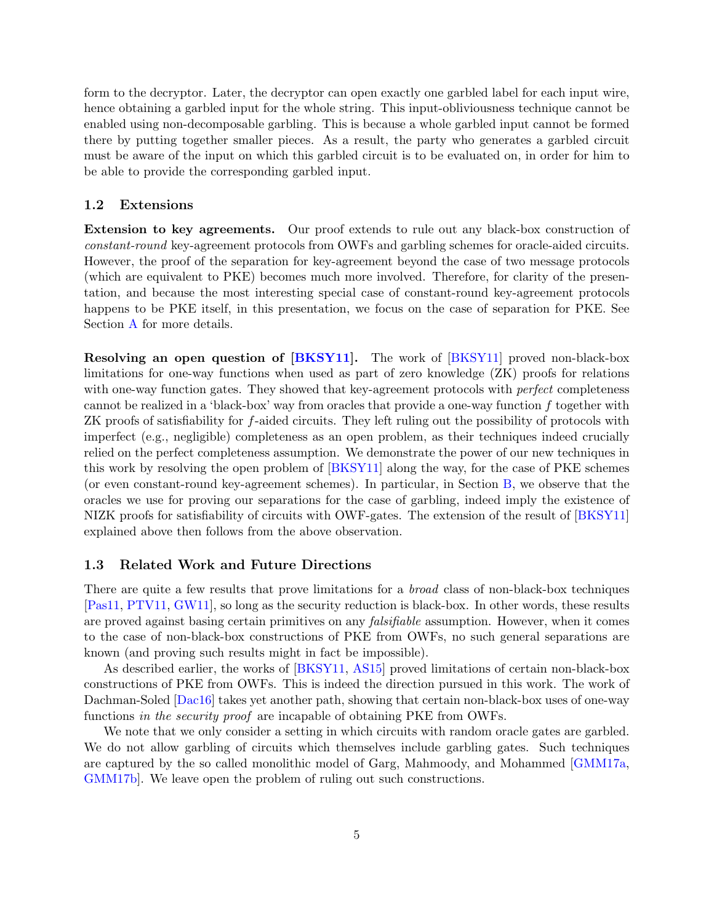<span id="page-4-2"></span>form to the decryptor. Later, the decryptor can open exactly one garbled label for each input wire, hence obtaining a garbled input for the whole string. This input-obliviousness technique cannot be enabled using non-decomposable garbling. This is because a whole garbled input cannot be formed there by putting together smaller pieces. As a result, the party who generates a garbled circuit must be aware of the input on which this garbled circuit is to be evaluated on, in order for him to be able to provide the corresponding garbled input.

#### <span id="page-4-0"></span>1.2 Extensions

Extension to key agreements. Our proof extends to rule out any black-box construction of constant-round key-agreement protocols from OWFs and garbling schemes for oracle-aided circuits. However, the proof of the separation for key-agreement beyond the case of two message protocols (which are equivalent to PKE) becomes much more involved. Therefore, for clarity of the presentation, and because the most interesting special case of constant-round key-agreement protocols happens to be PKE itself, in this presentation, we focus on the case of separation for PKE. See Section [A](#page-45-0) for more details.

Resolving an open question of [\[BKSY11\]](#page-42-2). The work of [\[BKSY11\]](#page-42-2) proved non-black-box limitations for one-way functions when used as part of zero knowledge (ZK) proofs for relations with one-way function gates. They showed that key-agreement protocols with *perfect* completeness cannot be realized in a 'black-box' way from oracles that provide a one-way function f together with ZK proofs of satisfiability for f-aided circuits. They left ruling out the possibility of protocols with imperfect (e.g., negligible) completeness as an open problem, as their techniques indeed crucially relied on the perfect completeness assumption. We demonstrate the power of our new techniques in this work by resolving the open problem of [\[BKSY11\]](#page-42-2) along the way, for the case of PKE schemes (or even constant-round key-agreement schemes). In particular, in Section [B,](#page-54-0) we observe that the oracles we use for proving our separations for the case of garbling, indeed imply the existence of NIZK proofs for satisfiability of circuits with OWF-gates. The extension of the result of [\[BKSY11\]](#page-42-2) explained above then follows from the above observation.

#### <span id="page-4-1"></span>1.3 Related Work and Future Directions

There are quite a few results that prove limitations for a *broad* class of non-black-box techniques [\[Pas11,](#page-44-6) [PTV11,](#page-44-7) [GW11\]](#page-43-4), so long as the security reduction is black-box. In other words, these results are proved against basing certain primitives on any *falsifiable* assumption. However, when it comes to the case of non-black-box constructions of PKE from OWFs, no such general separations are known (and proving such results might in fact be impossible).

As described earlier, the works of [\[BKSY11,](#page-42-2) [AS15\]](#page-41-2) proved limitations of certain non-black-box constructions of PKE from OWFs. This is indeed the direction pursued in this work. The work of Dachman-Soled [\[Dac16\]](#page-42-6) takes yet another path, showing that certain non-black-box uses of one-way functions in the security proof are incapable of obtaining PKE from OWFs.

We note that we only consider a setting in which circuits with random oracle gates are garbled. We do not allow garbling of circuits which themselves include garbling gates. Such techniques are captured by the so called monolithic model of Garg, Mahmoody, and Mohammed [\[GMM17a,](#page-43-5) [GMM17b\]](#page-43-6). We leave open the problem of ruling out such constructions.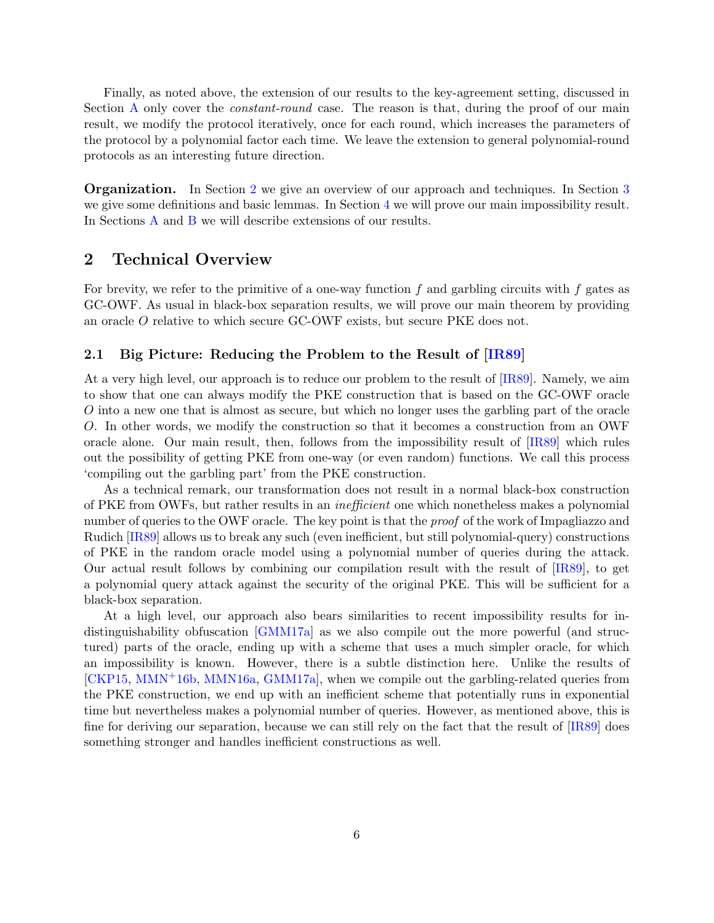<span id="page-5-2"></span>Finally, as noted above, the extension of our results to the key-agreement setting, discussed in Section [A](#page-45-0) only cover the *constant-round* case. The reason is that, during the proof of our main result, we modify the protocol iteratively, once for each round, which increases the parameters of the protocol by a polynomial factor each time. We leave the extension to general polynomial-round protocols as an interesting future direction.

Organization. In Section [2](#page-5-0) we give an overview of our approach and techniques. In Section [3](#page-9-0) we give some definitions and basic lemmas. In Section [4](#page-12-1) we will prove our main impossibility result. In Sections [A](#page-45-0) and [B](#page-54-0) we will describe extensions of our results.

## <span id="page-5-0"></span>2 Technical Overview

For brevity, we refer to the primitive of a one-way function  $f$  and garbling circuits with  $f$  gates as GC-OWF. As usual in black-box separation results, we will prove our main theorem by providing an oracle O relative to which secure GC-OWF exists, but secure PKE does not.

#### <span id="page-5-1"></span>2.1 Big Picture: Reducing the Problem to the Result of [\[IR89\]](#page-44-0)

At a very high level, our approach is to reduce our problem to the result of [\[IR89\]](#page-44-0). Namely, we aim to show that one can always modify the PKE construction that is based on the GC-OWF oracle O into a new one that is almost as secure, but which no longer uses the garbling part of the oracle O. In other words, we modify the construction so that it becomes a construction from an OWF oracle alone. Our main result, then, follows from the impossibility result of [\[IR89\]](#page-44-0) which rules out the possibility of getting PKE from one-way (or even random) functions. We call this process 'compiling out the garbling part' from the PKE construction.

As a technical remark, our transformation does not result in a normal black-box construction of PKE from OWFs, but rather results in an inefficient one which nonetheless makes a polynomial number of queries to the OWF oracle. The key point is that the *proof* of the work of Impagliazzo and Rudich [\[IR89\]](#page-44-0) allows us to break any such (even inefficient, but still polynomial-query) constructions of PKE in the random oracle model using a polynomial number of queries during the attack. Our actual result follows by combining our compilation result with the result of [\[IR89\]](#page-44-0), to get a polynomial query attack against the security of the original PKE. This will be sufficient for a black-box separation.

At a high level, our approach also bears similarities to recent impossibility results for indistinguishability obfuscation [\[GMM17a\]](#page-43-5) as we also compile out the more powerful (and structured) parts of the oracle, ending up with a scheme that uses a much simpler oracle, for which an impossibility is known. However, there is a subtle distinction here. Unlike the results of [\[CKP15,](#page-42-7) [MMN](#page-44-8)+16b, [MMN16a,](#page-44-9) [GMM17a\]](#page-43-5), when we compile out the garbling-related queries from the PKE construction, we end up with an inefficient scheme that potentially runs in exponential time but nevertheless makes a polynomial number of queries. However, as mentioned above, this is fine for deriving our separation, because we can still rely on the fact that the result of [\[IR89\]](#page-44-0) does something stronger and handles inefficient constructions as well.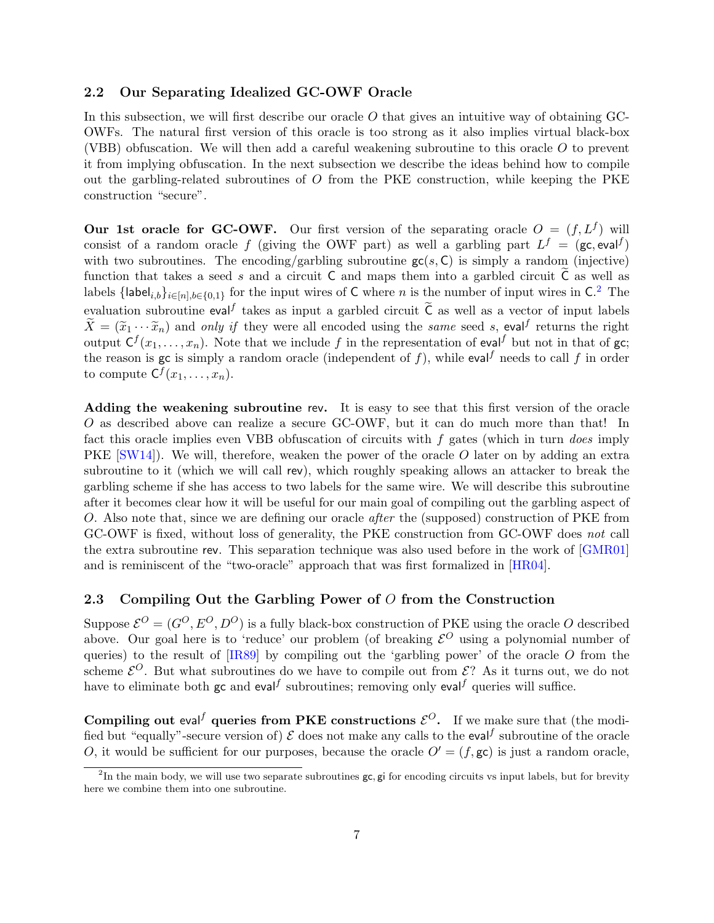#### <span id="page-6-3"></span><span id="page-6-0"></span>2.2 Our Separating Idealized GC-OWF Oracle

In this subsection, we will first describe our oracle  $O$  that gives an intuitive way of obtaining  $GC$ OWFs. The natural first version of this oracle is too strong as it also implies virtual black-box (VBB) obfuscation. We will then add a careful weakening subroutine to this oracle  $O$  to prevent it from implying obfuscation. In the next subsection we describe the ideas behind how to compile out the garbling-related subroutines of  $O$  from the PKE construction, while keeping the PKE construction "secure".

**Our 1st oracle for GC-OWF.** Our first version of the separating oracle  $O = (f, L^f)$  will consist of a random oracle f (giving the OWF part) as well a garbling part  $L^f = (\mathsf{gc}, \mathsf{eval}^f)$ with two subroutines. The encoding/garbling subroutine  $gc(s, C)$  is simply a random (injective) function that takes a seed s and a circuit  $C$  and maps them into a garbled circuit  $\tilde{C}$  as well as labels  $\{\textsf{label}_{i,b}\}_{i\in[n],b\in\{0,1\}}$  for the input wires of C where n is the number of input wires in C.<sup>[2](#page-6-2)</sup> The evaluation subroutine eval<sup>f</sup> takes as input a garbled circuit  $\tilde{C}$  as well as a vector of input labels  $\widetilde{X} = (\widetilde{x}_1 \cdots \widetilde{x}_n)$  and only if they were all encoded using the same seed s, eval<sup>f</sup> returns the right<br>cutput  $Cf(x) = x$ . Note that we include f in the representation of evalf by not in that of  $\sigma$ ; output  $C^{f}(x_1,\ldots,x_n)$ . Note that we include f in the representation of eval<sup>f</sup> but not in that of gc; the reason is gc is simply a random oracle (independent of f), while eval<sup>f</sup> needs to call f in order to compute  $\mathsf{C}^f(x_1,\ldots,x_n)$ .

Adding the weakening subroutine rev. It is easy to see that this first version of the oracle O as described above can realize a secure GC-OWF, but it can do much more than that! In fact this oracle implies even VBB obfuscation of circuits with f gates (which in turn does imply PKE  $[SW14]$ . We will, therefore, weaken the power of the oracle O later on by adding an extra subroutine to it (which we will call rev), which roughly speaking allows an attacker to break the garbling scheme if she has access to two labels for the same wire. We will describe this subroutine after it becomes clear how it will be useful for our main goal of compiling out the garbling aspect of O. Also note that, since we are defining our oracle after the (supposed) construction of PKE from GC-OWF is fixed, without loss of generality, the PKE construction from GC-OWF does not call the extra subroutine rev. This separation technique was also used before in the work of [\[GMR01\]](#page-43-7) and is reminiscent of the "two-oracle" approach that was first formalized in [\[HR04\]](#page-43-8).

#### <span id="page-6-1"></span>2.3 Compiling Out the Garbling Power of  $\hat{O}$  from the Construction

Suppose  $\mathcal{E}^O = (G^O, E^O, D^O)$  is a fully black-box construction of PKE using the oracle O described above. Our goal here is to 'reduce' our problem (of breaking  $\mathcal{E}^O$  using a polynomial number of queries) to the result of  $[IR89]$  by compiling out the 'garbling power' of the oracle O from the scheme  $\mathcal{E}^O$ . But what subroutines do we have to compile out from  $\mathcal{E}$ ? As it turns out, we do not have to eliminate both  $\gcd$  and eval<sup>f</sup> subroutines; removing only eval<sup>f</sup> queries will suffice.

Compiling out eval<sup>f</sup> queries from PKE constructions  $\mathcal{E}^O$ . If we make sure that (the modified but "equally"-secure version of)  $\mathcal E$  does not make any calls to the eval<sup>f</sup> subroutine of the oracle O, it would be sufficient for our purposes, because the oracle  $O' = (f, \text{gc})$  is just a random oracle,

<span id="page-6-2"></span><sup>&</sup>lt;sup>2</sup>In the main body, we will use two separate subroutines gc, gi for encoding circuits vs input labels, but for brevity here we combine them into one subroutine.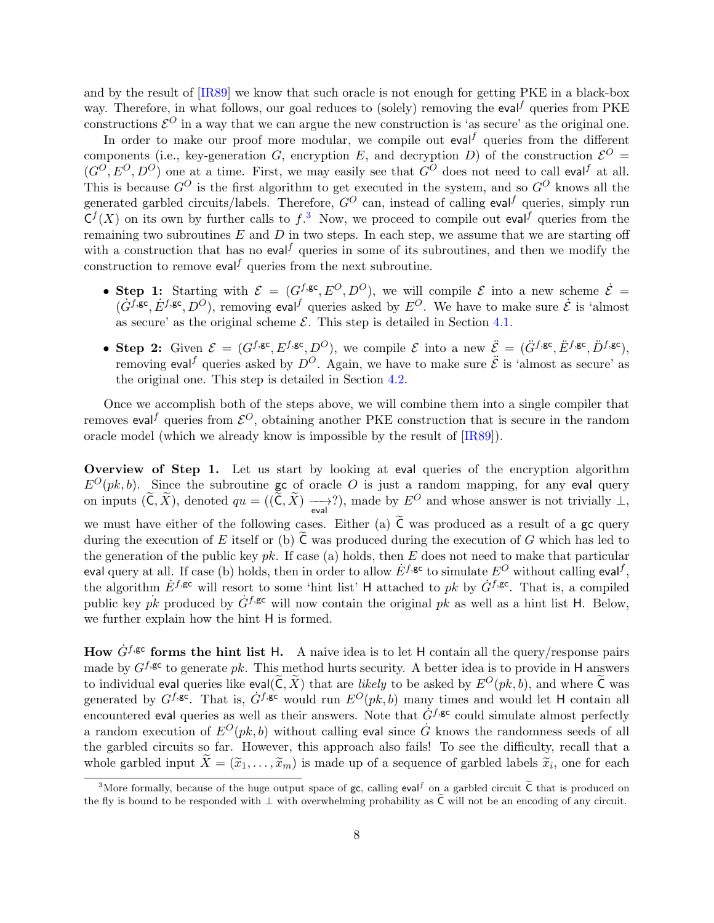<span id="page-7-1"></span>and by the result of [\[IR89\]](#page-44-0) we know that such oracle is not enough for getting PKE in a black-box way. Therefore, in what follows, our goal reduces to (solely) removing the eval<sup>f</sup> queries from PKE constructions  $\mathcal{E}^O$  in a way that we can argue the new construction is 'as secure' as the original one.

In order to make our proof more modular, we compile out eval<sup>f</sup> queries from the different components (i.e., key-generation G, encryption E, and decryption D) of the construction  $\mathcal{E}^O$  =  $(G^O, E^O, D^O)$  one at a time. First, we may easily see that  $G^O$  does not need to call eval<sup>f</sup> at all. This is because  $G^O$  is the first algorithm to get executed in the system, and so  $G^O$  knows all the generated garbled circuits/labels. Therefore,  $G^O$  can, instead of calling eval<sup>f</sup> queries, simply run  $C^{f}(X)$  on its own by further calls to  $f^{3}$  $f^{3}$  $f^{3}$ . Now, we proceed to compile out eval<sup>f</sup> queries from the remaining two subroutines  $E$  and  $D$  in two steps. In each step, we assume that we are starting off with a construction that has no eval<sup>f</sup> queries in some of its subroutines, and then we modify the construction to remove eval<sup>f</sup> queries from the next subroutine.

- Step 1: Starting with  $\mathcal{E} = (G^{f,\text{gc}}, E^O, D^O)$ , we will compile  $\mathcal{E}$  into a new scheme  $\dot{\mathcal{E}} =$  $(\dot{G}^{f,\text{gc}}, \dot{E}^{f,\text{gc}}, D^O)$ , removing eval<sup>f</sup> queries asked by  $E^O$ . We have to make sure  $\dot{\mathcal{E}}$  is 'almost as secure' as the original scheme  $\mathcal{E}$ . This step is detailed in Section [4.1.](#page-16-0)
- Step 2: Given  $\mathcal{E} = (G^{f,\text{gc}}, E^{f,\text{gc}}, D^O)$ , we compile  $\mathcal{E}$  into a new  $\ddot{\mathcal{E}} = (\ddot{G}^{f,\text{gc}}, \ddot{E}^{f,\text{gc}}, \ddot{D}^{f,\text{gc}})$ , removing eval<sup>f</sup> queries asked by  $D^{O}$ . Again, we have to make sure  $\ddot{\mathcal{E}}$  is 'almost as secure' as the original one. This step is detailed in Section [4.2.](#page-23-0)

Once we accomplish both of the steps above, we will combine them into a single compiler that removes eval<sup>f</sup> queries from  $\mathcal{E}^O$ , obtaining another PKE construction that is secure in the random oracle model (which we already know is impossible by the result of [\[IR89\]](#page-44-0)).

Overview of Step 1. Let us start by looking at eval queries of the encryption algorithm  $E^{O}(pk, b)$ . Since the subroutine gc of oracle O is just a random mapping, for any eval query on inputs  $(\widetilde{\mathsf{C}}, \widetilde{X})$ , denoted  $qu = ((\widetilde{\mathsf{C}}, \widetilde{X}) \longrightarrow ?)$ , made by  $E^O$  and whose answer is not trivially  $\bot$ , we must have either of the following cases. Either (a)  $\tilde{C}$  was produced as a result of a gc query during the execution of E itself or (b)  $\bar{C}$  was produced during the execution of G which has led to the generation of the public key pk. If case (a) holds, then E does not need to make that particular eval query at all. If case (b) holds, then in order to allow  $\dot{E}^{f,\mathsf{gc}}$  to simulate  $E^O$  without calling eval<sup>f</sup>, the algorithm  $E^{f,\text{gc}}$  will resort to some 'hint list' H attached to pk by  $G^{f,\text{gc}}$ . That is, a compiled public key  $\dot{pk}$  produced by  $\dot{G}^{f,\text{gc}}$  will now contain the original pk as well as a hint list H. Below, we further explain how the hint H is formed.

How  $\dot{G}^{f,\text{gc}}$  forms the hint list H. A naive idea is to let H contain all the query/response pairs made by  $G^{f,\text{gc}}$  to generate pk. This method hurts security. A better idea is to provide in H answers to individual eval queries like eval( $\tilde{C}$ ,  $\tilde{X}$ ) that are *likely* to be asked by  $E^O(pk, b)$ , and where  $\tilde{C}$  was generated by  $G^{f,\text{gc}}$ . That is,  $\dot{G}^{f,\text{gc}}$  would run  $E^{O}(pk, b)$  many times and would let H contain all encountered eval queries as well as their answers. Note that  $\dot{G}^{f,\text{gc}}$  could simulate almost perfectly a random execution of  $E^O(pk, b)$  without calling eval since  $\dot{G}$  knows the randomness seeds of all the garbled circuits so far. However, this approach also fails! To see the difficulty, recall that a whole garbled input  $X = (\tilde{x}_1, \ldots, \tilde{x}_m)$  is made up of a sequence of garbled labels  $\tilde{x}_i$ , one for each

<span id="page-7-0"></span><sup>&</sup>lt;sup>3</sup>More formally, because of the huge output space of gc, calling eval<sup>f</sup> on a garbled circuit  $\tilde{C}$  that is produced on the fly is bound to be responded with  $\perp$  with overwhelming probability as  $\tilde{C}$  will not be an encoding of any circuit.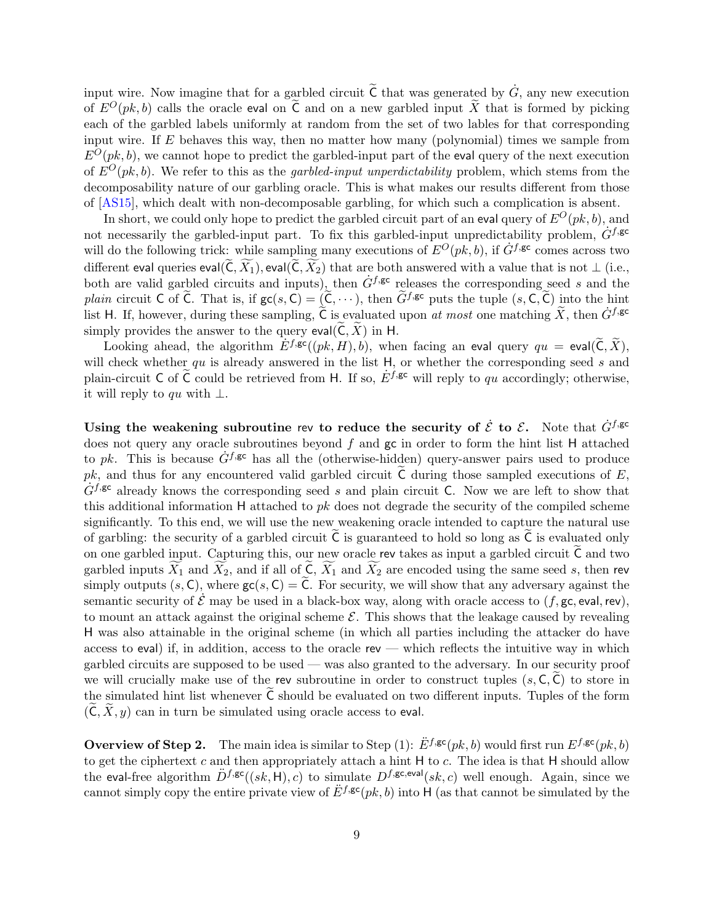<span id="page-8-0"></span>input wire. Now imagine that for a garbled circuit  $\widetilde{C}$  that was generated by  $\widetilde{G}$ , any new execution of  $E^O(pk, b)$  calls the oracle eval on  $\overline{C}$  and on a new garbled input X that is formed by picking each of the garbled labels uniformly at random from the set of two lables for that corresponding input wire. If  $E$  behaves this way, then no matter how many (polynomial) times we sample from  $E^{O}(pk, b)$ , we cannot hope to predict the garbled-input part of the eval query of the next execution of  $E^{O}(pk, b)$ . We refer to this as the *garbled-input unperdictability* problem, which stems from the decomposability nature of our garbling oracle. This is what makes our results different from those of [\[AS15\]](#page-41-2), which dealt with non-decomposable garbling, for which such a complication is absent.

In short, we could only hope to predict the garbled circuit part of an eval query of  $E^O(pk, b)$ , and not necessarily the garbled-input part. To fix this garbled-input unpredictability problem,  $\dot{G}^{f,\text{gc}}$ will do the following trick: while sampling many executions of  $E^O(pk, b)$ , if  $\dot{G}^{f,\text{gc}}$  comes across two different eval queries eval( $\tilde{C}, \tilde{X}_1$ ), eval( $\tilde{C}, \tilde{X}_2$ ) that are both answered with a value that is not  $\perp$  (i.e., both are valid garbled circuits and inputs), then  $\dot{G}^{f,\text{gc}}$  releases the corresponding seed s and the plain circuit C of C. That is, if  $gc(s, C) = (\tilde{C}, \cdots)$ , then  $\tilde{G}^{f,gc}$  puts the tuple  $(s, C, \tilde{C})$  into the hint list H. If, however, during these sampling,  $\tilde{C}$  is evaluated upon at most one matching  $\tilde{X}$ , then  $\dot{G}^{f,\text{gc}}$ simply provides the answer to the query eval( $C, X$ ) in H.

Looking ahead, the algorithm  $E^{f,\text{gc}}((pk, H), b)$ , when facing an eval query  $qu = \text{eval}(\widetilde{C}, \widetilde{X})$ , will check whether  $qu$  is already answered in the list H, or whether the corresponding seed s and plain-circuit C of  $\tilde{C}$  could be retrieved from H. If so,  $\dot{E}^{f,\text{gc}}$  will reply to qu accordingly; otherwise, it will reply to qu with  $\perp$ .

Using the weakening subroutine rev to reduce the security of  $\dot{\mathcal{E}}$  to  $\mathcal{E}$ . Note that  $\dot{G}^{f,\text{gc}}$ does not query any oracle subroutines beyond  $f$  and  $gc$  in order to form the hint list  $H$  attached to pk. This is because  $\dot{G}^{f,\text{gc}}$  has all the (otherwise-hidden) query-answer pairs used to produce  $pk$ , and thus for any encountered valid garbled circuit  $\tilde{C}$  during those sampled executions of  $E$ ,  $\dot{G}^{f,\text{gc}}$  already knows the corresponding seed s and plain circuit C. Now we are left to show that this additional information  $H$  attached to  $pk$  does not degrade the security of the compiled scheme significantly. To this end, we will use the new weakening oracle intended to capture the natural use of garbling: the security of a garbled circuit  $\tilde{C}$  is guaranteed to hold so long as  $\tilde{C}$  is evaluated only on one garbled input. Capturing this, our new oracle rev takes as input a garbled circuit  $\tilde{C}$  and two garbled inputs  $\widetilde{X}_1$  and  $\widetilde{X}_2$ , and if all of  $\widetilde{C}$ ,  $\widetilde{X}_1$  and  $\widetilde{X}_2$  are encoded using the same seed s, then rev simply outputs  $(s, \mathsf{C})$ , where  $\mathsf{gc}(s, \mathsf{C}) = \mathsf{C}$ . For security, we will show that any adversary against the semantic security of  $\mathcal E$  may be used in a black-box way, along with oracle access to  $(f, gc, eval, rev)$ , to mount an attack against the original scheme  $\mathcal{E}$ . This shows that the leakage caused by revealing H was also attainable in the original scheme (in which all parties including the attacker do have access to eval) if, in addition, access to the oracle rev — which reflects the intuitive way in which garbled circuits are supposed to be used — was also granted to the adversary. In our security proof we will crucially make use of the rev subroutine in order to construct tuples  $(s, C, C)$  to store in the simulated hint list whenever C should be evaluated on two different inputs. Tuples of the form  $(C, X, y)$  can in turn be simulated using oracle access to eval.

**Overview of Step 2.** The main idea is similar to Step (1):  $E^{f,\text{gc}}(pk, b)$  would first run  $E^{f,\text{gc}}(pk, b)$ to get the ciphertext c and then appropriately attach a hint  $H$  to c. The idea is that  $H$  should allow the eval-free algorithm  $\ddot{D}^{f,\text{gc}}((sk, H), c)$  to simulate  $D^{f,\text{gc,eval}}(sk, c)$  well enough. Again, since we cannot simply copy the entire private view of  $E^{f,\text{gc}}(pk, b)$  into H (as that cannot be simulated by the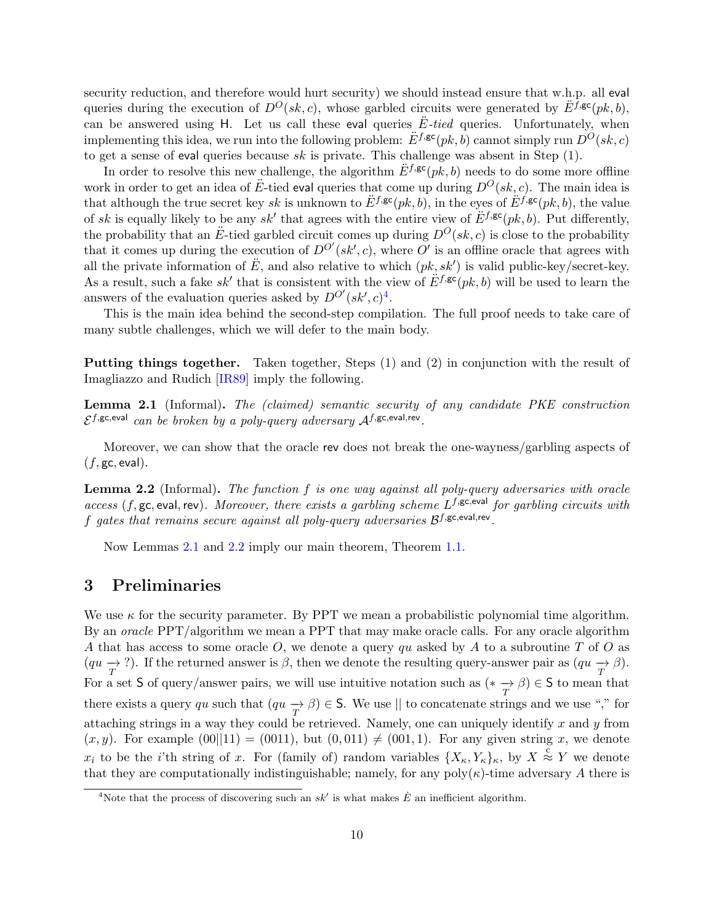<span id="page-9-4"></span>security reduction, and therefore would hurt security) we should instead ensure that w.h.p. all eval queries during the execution of  $D^O(sk, c)$ , whose garbled circuits were generated by  $\ddot{E}^{f, \text{gc}}(pk, b)$ , can be answered using H. Let us call these eval queries  $\ddot{E}$ -tied queries. Unfortunately, when implementing this idea, we run into the following problem:  $E^{f,\text{gc}}(pk, b)$  cannot simply run  $D^{O}(sk, c)$ to get a sense of eval queries because sk is private. This challenge was absent in Step  $(1)$ .

In order to resolve this new challenge, the algorithm  $E^{f,\text{gc}}(pk, b)$  needs to do some more offline work in order to get an idea of  $E$ -tied eval queries that come up during  $D^{O}(sk, c)$ . The main idea is that although the true secret key sk is unknown to  $E^{f,\text{gc}}(pk, b)$ , in the eyes of  $E^{f,\text{gc}}(pk, b)$ , the value of sk is equally likely to be any sk' that agrees with the entire view of  $E^{f,\text{gc}}(pk, b)$ . Put differently, the probability that an  $\ddot{E}$ -tied garbled circuit comes up during  $D^{O}(sk, c)$  is close to the probability that it comes up during the execution of  $D^{O'}(sk', c)$ , where O' is an offline oracle that agrees with all the private information of  $\ddot{E}$ , and also relative to which  $(pk, sk')$  is valid public-key/secret-key. As a result, such a fake sk' that is consistent with the view of  $E^{f,\text{gc}}(pk, b)$  will be used to learn the answers of the evaluation queries asked by  $D^{O'}(sk', c)^4$  $D^{O'}(sk', c)^4$ .

This is the main idea behind the second-step compilation. The full proof needs to take care of many subtle challenges, which we will defer to the main body.

Putting things together. Taken together, Steps (1) and (2) in conjunction with the result of Imagliazzo and Rudich [\[IR89\]](#page-44-0) imply the following.

<span id="page-9-2"></span>Lemma 2.1 (Informal). The (claimed) semantic security of any candidate PKE construction  $\mathcal{E}^{f, \text{gc,eval}}$  can be broken by a poly-query adversary  $\mathcal{A}^{f, \text{gc,eval,rev}}$ .

Moreover, we can show that the oracle rev does not break the one-wayness/garbling aspects of  $(f, \text{gc}, \text{eval}).$ 

<span id="page-9-3"></span>**Lemma 2.2** (Informal). The function  $f$  is one way against all poly-query adversaries with oracle access  $(f, \text{gc}, \text{eval}, \text{rev})$ . Moreover, there exists a garbling scheme  $L^{f, \text{gc}, \text{eval}}$  for garbling circuits with f gates that remains secure against all poly-query adversaries  $\mathcal{B}^{f, \text{gc}, \text{eval}, \text{rev}}$ .

Now Lemmas [2.1](#page-9-2) and [2.2](#page-9-3) imply our main theorem, Theorem [1.1.](#page-3-1)

## <span id="page-9-0"></span>3 Preliminaries

We use  $\kappa$  for the security parameter. By PPT we mean a probabilistic polynomial time algorithm. By an oracle PPT/algorithm we mean a PPT that may make oracle calls. For any oracle algorithm A that has access to some oracle  $O$ , we denote a query qu asked by A to a subroutine T of O as  $(qu \rightarrow ?)$ . If the returned answer is  $\beta$ , then we denote the resulting query-answer pair as  $(qu \rightarrow \beta)$ . For a set S of query/answer pairs, we will use intuitive notation such as  $(* \to \beta) \in S$  to mean that there exists a query qu such that  $(qu \rightarrow \beta) \in S$ . We use  $||$  to concatenate strings and we use "," for attaching strings in a way they could be retrieved. Namely, one can uniquely identify  $x$  and  $y$  from  $(x, y)$ . For example  $(00||11) = (0011)$ , but  $(0, 011) \neq (001, 1)$ . For any given string x, we denote  $x_i$  to be the *i*'th string of x. For (family of) random variables  $\{X_\kappa, Y_\kappa\}_\kappa$ , by  $X \stackrel{\mathsf{c}}{\approx} Y$  we denote that they are computationally indistinguishable; namely, for any poly $(\kappa)$ -time adversary A there is

<span id="page-9-1"></span><sup>&</sup>lt;sup>4</sup>Note that the process of discovering such an  $sk'$  is what makes  $\dot{E}$  an inefficient algorithm.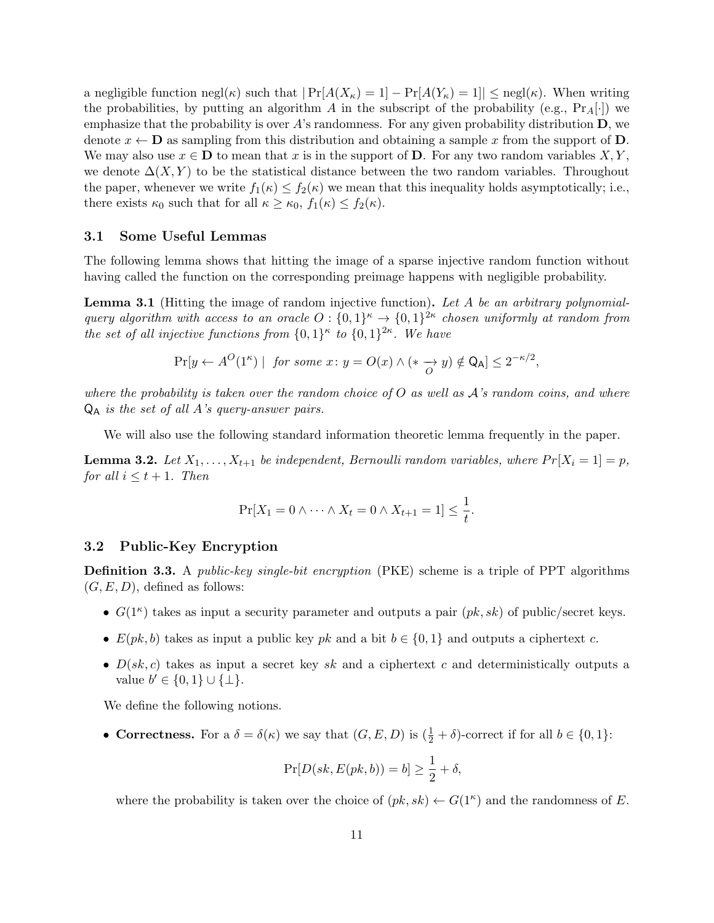a negligible function negl( $\kappa$ ) such that  $|\Pr[A(X_{\kappa}) = 1] - \Pr[A(Y_{\kappa}) = 1]| \leq \text{negl}(\kappa)$ . When writing the probabilities, by putting an algorithm A in the subscript of the probability (e.g.,  $Pr_A[\cdot]$ ) we emphasize that the probability is over A's randomness. For any given probability distribution  $D$ , we denote  $x \leftarrow \mathbf{D}$  as sampling from this distribution and obtaining a sample x from the support of  $\mathbf{D}$ . We may also use  $x \in \mathbf{D}$  to mean that x is in the support of  $\mathbf{D}$ . For any two random variables  $X, Y$ , we denote  $\Delta(X, Y)$  to be the statistical distance between the two random variables. Throughout the paper, whenever we write  $f_1(\kappa) \leq f_2(\kappa)$  we mean that this inequality holds asymptotically; i.e., there exists  $\kappa_0$  such that for all  $\kappa \geq \kappa_0$ ,  $f_1(\kappa) \leq f_2(\kappa)$ .

#### <span id="page-10-0"></span>3.1 Some Useful Lemmas

The following lemma shows that hitting the image of a sparse injective random function without having called the function on the corresponding preimage happens with negligible probability.

<span id="page-10-2"></span>**Lemma 3.1** (Hitting the image of random injective function). Let A be an arbitrary polynomialquery algorithm with access to an oracle  $O: \{0,1\}^{\kappa} \to \{0,1\}^{2\kappa}$  chosen uniformly at random from the set of all injective functions from  $\{0,1\}^{\kappa}$  to  $\{0,1\}^{2\kappa}$ . We have

$$
\Pr[y \leftarrow A^O(1^{\kappa}) \mid \text{ for some } x \colon y = O(x) \land (\ast \xrightarrow{O} y) \notin \mathsf{Q}_A] \le 2^{-\kappa/2},
$$

where the probability is taken over the random choice of O as well as  $A$ 's random coins, and where  $Q_A$  is the set of all A's query-answer pairs.

We will also use the following standard information theoretic lemma frequently in the paper.

**Lemma 3.2.** Let  $X_1, \ldots, X_{t+1}$  be independent, Bernoulli random variables, where  $Pr[X_i = 1] = p$ , for all  $i \leq t + 1$ . Then

$$
\Pr[X_1 = 0 \wedge \dots \wedge X_t = 0 \wedge X_{t+1} = 1] \le \frac{1}{t}.
$$

#### <span id="page-10-1"></span>3.2 Public-Key Encryption

**Definition 3.3.** A *public-key single-bit encryption* (PKE) scheme is a triple of PPT algorithms  $(G, E, D)$ , defined as follows:

- $G(1^{\kappa})$  takes as input a security parameter and outputs a pair  $(pk, sk)$  of public/secret keys.
- $E(pk, b)$  takes as input a public key pk and a bit  $b \in \{0, 1\}$  and outputs a ciphertext c.
- $D(sk, c)$  takes as input a secret key sk and a ciphertext c and deterministically outputs a value  $b' \in \{0, 1\} \cup \{\perp\}.$

We define the following notions.

• Correctness. For a  $\delta = \delta(\kappa)$  we say that  $(G, E, D)$  is  $(\frac{1}{2} + \delta)$ -correct if for all  $b \in \{0, 1\}$ :

$$
\Pr[D(sk, E(pk, b)) = b] \ge \frac{1}{2} + \delta,
$$

where the probability is taken over the choice of  $(pk, sk) \leftarrow G(1^{\kappa})$  and the randomness of E.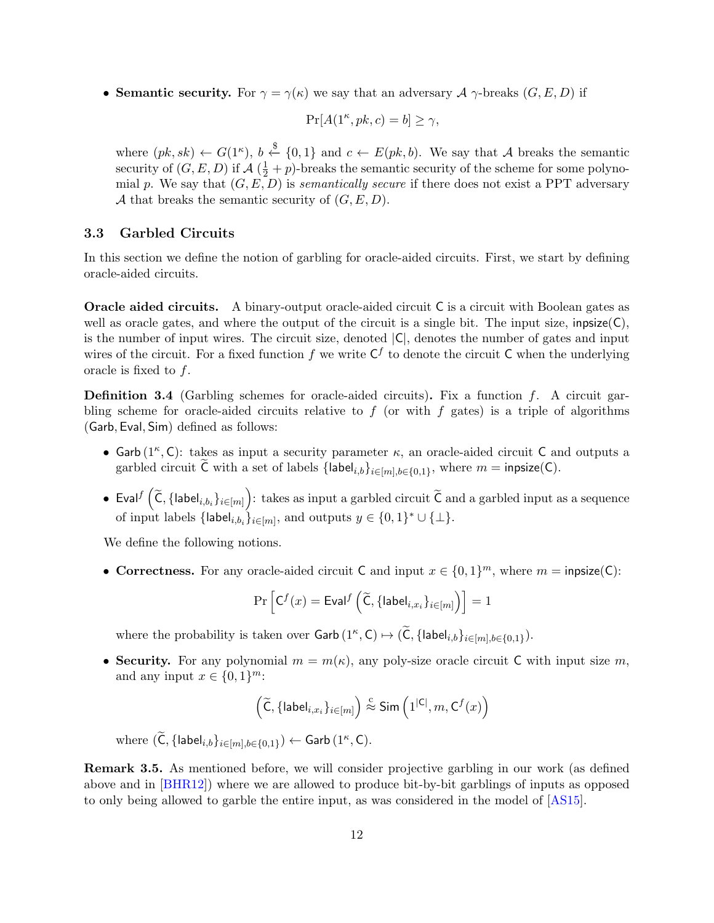<span id="page-11-1"></span>• Semantic security. For  $\gamma = \gamma(\kappa)$  we say that an adversary A  $\gamma$ -breaks  $(G, E, D)$  if

$$
\Pr[A(1^{\kappa}, pk, c) = b] \ge \gamma,
$$

where  $(pk, sk) \leftarrow G(1^{\kappa}), b \stackrel{\$}{\leftarrow} \{0,1\}$  and  $c \leftarrow E(pk, b)$ . We say that A breaks the semantic security of  $(G, E, D)$  if  $\mathcal{A}(\frac{1}{2} + p)$ -breaks the semantic security of the scheme for some polynomial p. We say that  $(G, E, D)$  is semantically secure if there does not exist a PPT adversary A that breaks the semantic security of  $(G, E, D)$ .

#### <span id="page-11-0"></span>3.3 Garbled Circuits

In this section we define the notion of garbling for oracle-aided circuits. First, we start by defining oracle-aided circuits.

**Oracle aided circuits.** A binary-output oracle-aided circuit C is a circuit with Boolean gates as well as oracle gates, and where the output of the circuit is a single bit. The input size,  $\text{insize}(\mathsf{C})$ , is the number of input wires. The circuit size, denoted  $|C|$ , denotes the number of gates and input wires of the circuit. For a fixed function f we write  $C<sup>f</sup>$  to denote the circuit C when the underlying oracle is fixed to f.

<span id="page-11-2"></span>**Definition 3.4** (Garbling schemes for oracle-aided circuits). Fix a function  $f$ . A circuit garbling scheme for oracle-aided circuits relative to f (or with f gates) is a triple of algorithms (Garb, Eval, Sim) defined as follows:

- Garb  $(1^{\kappa}, C)$ : takes as input a security parameter  $\kappa$ , an oracle-aided circuit C and outputs a garbled circuit **C** with a set of labels  $\{label_{i,b}\}_{i\in[m],b\in\{0,1\}}$ , where  $m = \text{inpsize}(\mathsf{C})$ .
- Eval<sup>f</sup>  $(\widetilde{\mathsf{C}}, \{\mathsf{label}_{i, b_i}\}_{i \in [m]})$ : takes as input a garbled circuit  $\widetilde{\mathsf{C}}$  and a garbled input as a sequence of input labels  $\{\textsf{label}_{i,b_i}\}_{i\in[m]},$  and outputs  $y \in \{0,1\}^* \cup \{\perp\}.$

We define the following notions.

• Correctness. For any oracle-aided circuit C and input  $x \in \{0,1\}^m$ , where  $m = \text{inpsize}(\mathsf{C})$ :

$$
\Pr\left[\mathsf{C}^f(x) = \mathsf{Eval}^f\left(\widetilde{\mathsf{C}}, \{\mathsf{label}_{i,x_i}\}_{i \in [m]}\right)\right] = 1
$$

where the probability is taken over  $\mathsf{Garb}\left(1^{\kappa}, \mathsf{C}\right) \mapsto (\widetilde{\mathsf{C}}, \{\mathsf{label}_{i,b}\}_{i \in [m], b \in \{0,1\}}).$ 

• Security. For any polynomial  $m = m(\kappa)$ , any poly-size oracle circuit C with input size m, and any input  $x \in \{0, 1\}^m$ :

$$
\left(\widetilde{\mathsf{C}},\{\mathsf{label}_{i,x_i}\}_{i\in[m]}\right)\stackrel{\text{c}}{\approx}\mathsf{Sim}\left(1^{|\mathsf{C}|},m,\mathsf{C}^f(x)\right)
$$

where  $(\widetilde{\mathsf{C}}, \{\mathsf{label}_{i,b}\}_{i\in[m],b\in\{0,1\}}) \leftarrow \mathsf{Garb}\left(1^\kappa, \mathsf{C}\right)$ .

Remark 3.5. As mentioned before, we will consider projective garbling in our work (as defined above and in [\[BHR12\]](#page-42-0)) where we are allowed to produce bit-by-bit garblings of inputs as opposed to only being allowed to garble the entire input, as was considered in the model of [\[AS15\]](#page-41-2).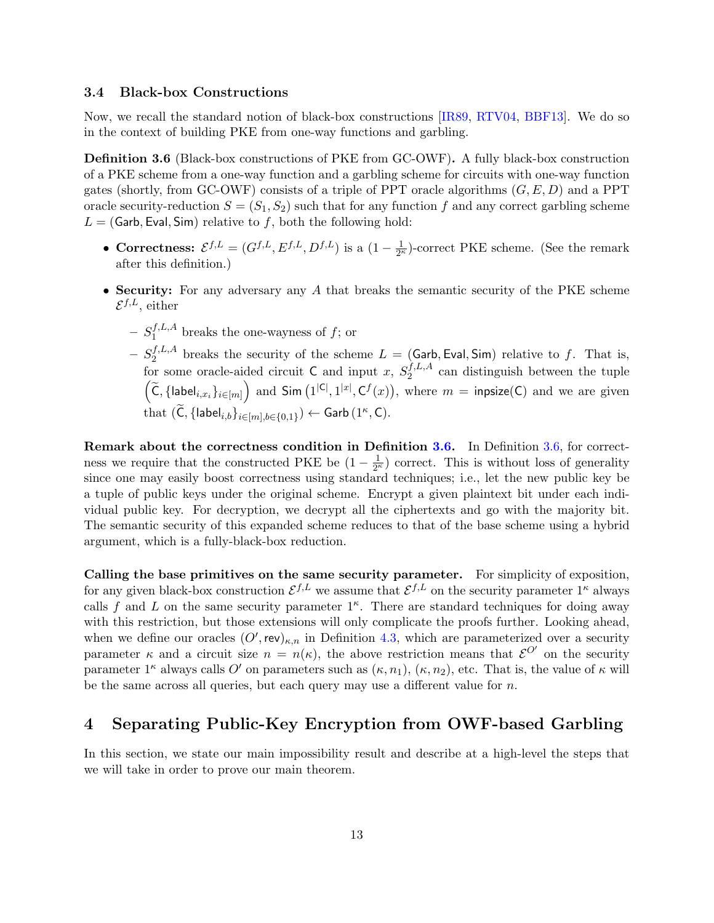#### <span id="page-12-3"></span><span id="page-12-0"></span>3.4 Black-box Constructions

Now, we recall the standard notion of black-box constructions [\[IR89,](#page-44-0) [RTV04,](#page-44-4) [BBF13\]](#page-42-4). We do so in the context of building PKE from one-way functions and garbling.

<span id="page-12-2"></span>Definition 3.6 (Black-box constructions of PKE from GC-OWF). A fully black-box construction of a PKE scheme from a one-way function and a garbling scheme for circuits with one-way function gates (shortly, from GC-OWF) consists of a triple of PPT oracle algorithms  $(G, E, D)$  and a PPT oracle security-reduction  $S = (S_1, S_2)$  such that for any function f and any correct garbling scheme  $L = (Garb, Eval, Sim)$  relative to f, both the following hold:

- Correctness:  $\mathcal{E}^{f,L} = (G^{f,L}, E^{f,L}, D^{f,L})$  is a  $(1 \frac{1}{2^n})$  $\frac{1}{2^{\kappa}}$ )-correct PKE scheme. (See the remark after this definition.)
- Security: For any adversary any A that breaks the semantic security of the PKE scheme  $\mathcal{E}^{f,L}$ , either
	- $S_1^{f,L,A}$  $j<sub>1</sub>U, L, A$  breaks the one-wayness of  $f$ ; or
	- $S_2^{f,L,A}$  $U_2^{J,L,A}$  breaks the security of the scheme  $L = (Garb, Eva, Sim)$  relative to f. That is, for some oracle-aided circuit C and input x,  $S_2^{f,L,A}$  $2^{J,L,A}$  can distinguish between the tuple  $\left(\widetilde{\mathsf{C}},\{\mathsf{label}_{i,x_i}\}_{i\in[m]} \right)$  and  $\mathsf{Sim}\left(1^{|\mathsf{C}|},1^{|x|},\mathsf{C}^f(x) \right)$ , where  $m = \mathsf{inpsize}(\mathsf{C})$  and we are given that  $(\widetilde{\mathsf{C}}, \{\mathsf{label}_{i,b}\}_{i\in[m],b\in\{0,1\}}) \leftarrow \mathsf{Garb}\left(1^{\kappa}, \mathsf{C}\right)$ .

Remark about the correctness condition in Definition [3.6.](#page-12-2) In Definition [3.6,](#page-12-2) for correctness we require that the constructed PKE be  $(1 - \frac{1}{2^n})$  $\frac{1}{2^{k}}$  correct. This is without loss of generality since one may easily boost correctness using standard techniques; i.e., let the new public key be a tuple of public keys under the original scheme. Encrypt a given plaintext bit under each individual public key. For decryption, we decrypt all the ciphertexts and go with the majority bit. The semantic security of this expanded scheme reduces to that of the base scheme using a hybrid argument, which is a fully-black-box reduction.

Calling the base primitives on the same security parameter. For simplicity of exposition, for any given black-box construction  $\mathcal{E}^{f,L}$  we assume that  $\mathcal{E}^{f,L}$  on the security parameter  $1^{\kappa}$  always calls f and L on the same security parameter  $1^{\kappa}$ . There are standard techniques for doing away with this restriction, but those extensions will only complicate the proofs further. Looking ahead, when we define our oracles  $(O', \text{rev})_{\kappa,n}$  in Definition [4.3,](#page-13-0) which are parameterized over a security parameter  $\kappa$  and a circuit size  $n = n(\kappa)$ , the above restriction means that  $\mathcal{E}^{O'}$  on the security parameter  $1^{\kappa}$  always calls O' on parameters such as  $(\kappa, n_1), (\kappa, n_2)$ , etc. That is, the value of  $\kappa$  will be the same across all queries, but each query may use a different value for  $n$ .

## <span id="page-12-1"></span>4 Separating Public-Key Encryption from OWF-based Garbling

In this section, we state our main impossibility result and describe at a high-level the steps that we will take in order to prove our main theorem.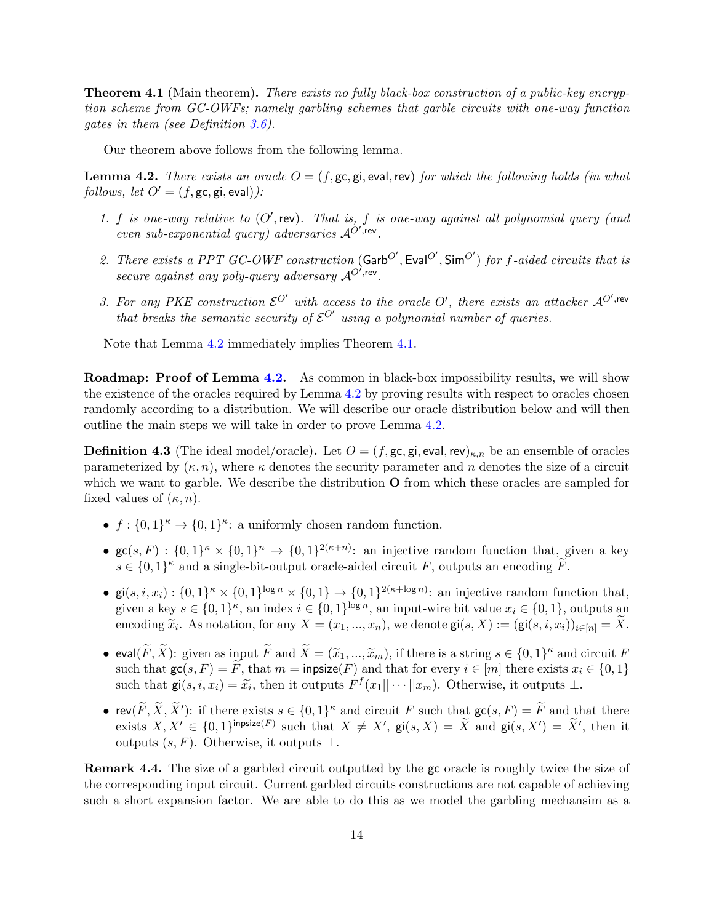<span id="page-13-2"></span>**Theorem 4.1** (Main theorem). There exists no fully black-box construction of a public-key encryption scheme from GC-OWFs; namely garbling schemes that garble circuits with one-way function gates in them (see Definition [3.6\)](#page-12-2).

Our theorem above follows from the following lemma.

<span id="page-13-1"></span>**Lemma 4.2.** There exists an oracle  $O = (f, \text{gc}, \text{gi}, \text{eval}, \text{rev})$  for which the following holds (in what follows, let  $O' = (f, \text{gc}, \text{gi}, \text{eval})$ :

- 1. f is one-way relative to  $(O', \text{rev})$ . That is, f is one-way against all polynomial query (and even sub-exponential query) adversaries  $A^{O',\text{rev}}$ .
- 2. There exists a PPT GC-OWF construction (Garb<sup>O'</sup>, Eval<sup>O'</sup>, Sim<sup>O'</sup>) for f-aided circuits that is secure against any poly-query adversary  $A^{O'}$ , rev.
- <span id="page-13-3"></span>3. For any PKE construction  $\mathcal{E}^{O'}$  with access to the oracle O', there exists an attacker  $\mathcal{A}^{O',\text{rev}}$ that breaks the semantic security of  $\mathcal{E}^{O'}$  using a polynomial number of queries.

Note that Lemma [4.2](#page-13-1) immediately implies Theorem [4.1.](#page-13-2)

**Roadmap: Proof of Lemma [4.2.](#page-13-1)** As common in black-box impossibility results, we will show the existence of the oracles required by Lemma [4.2](#page-13-1) by proving results with respect to oracles chosen randomly according to a distribution. We will describe our oracle distribution below and will then outline the main steps we will take in order to prove Lemma [4.2.](#page-13-1)

<span id="page-13-0"></span>**Definition 4.3** (The ideal model/oracle). Let  $O = (f, gc, gi, eval, rev)_{\kappa,n}$  be an ensemble of oracles parameterized by  $(\kappa, n)$ , where  $\kappa$  denotes the security parameter and n denotes the size of a circuit which we want to garble. We describe the distribution **O** from which these oracles are sampled for fixed values of  $(\kappa, n)$ .

- $f: \{0,1\}^{\kappa} \to \{0,1\}^{\kappa}$ : a uniformly chosen random function.
- $\mathsf{gc}(s, F) : \{0,1\}^{\kappa} \times \{0,1\}^n \to \{0,1\}^{2(\kappa+n)}$ : an injective random function that, given a key  $s \in \{0,1\}^{\kappa}$  and a single-bit-output oracle-aided circuit F, outputs an encoding  $\widetilde{F}$ .
- $\mathsf{gi}(s, i, x_i) : \{0,1\}^{\kappa} \times \{0,1\}^{\log n} \times \{0,1\} \to \{0,1\}^{2(\kappa + \log n)}$ : an injective random function that, given a key  $s \in \{0,1\}^{\kappa}$ , an index  $i \in \{0,1\}^{\log n}$ , an input-wire bit value  $x_i \in \{0,1\}$ , outputs an encoding  $\widetilde{x}_i$ . As notation, for any  $X = (x_1, ..., x_n)$ , we denote  $\mathsf{gi}(s, X) := (\mathsf{gi}(s, i, x_i))_{i \in [n]} = X$ .
- eval $(\widetilde{F}, \widetilde{X})$ : given as input  $\widetilde{F}$  and  $\widetilde{X} = (\widetilde{x}_1, ..., \widetilde{x}_m)$ , if there is a string  $s \in \{0, 1\}^{\kappa}$  and circuit  $F$ <br>such that  $\mathcal{F}(s, F) = \widetilde{F}$  that  $m = \text{iniciz}(F)$  and that for every  $i \in [m]$  there such that  $\gcd(s, F) = \widetilde{F}$ , that  $m = \text{inpsize}(F)$  and that for every  $i \in [m]$  there exists  $x_i \in \{0, 1\}$ such that  $\mathbf{g}(s, i, x_i) = \tilde{x}_i$ , then it outputs  $F^f(x_1 || \cdots || x_m)$ . Otherwise, it outputs  $\perp$ .
- $rev(\widetilde{F}, \widetilde{X}, \widetilde{X}')$ : if there exists  $s \in \{0,1\}^{\kappa}$  and circuit F such that  $\mathsf{gc}(s, F) = \widetilde{F}$  and that there exists  $X, X' \in \{0,1\}^{\text{inpsize}(F)}$  such that  $X \neq X'$ ,  $\mathsf{gi}(s, X) = \tilde{X}$  and  $\mathsf{gi}(s, X') = \tilde{X}'$ , then it outputs  $(s, F)$ . Otherwise, it outputs  $\perp$ .

Remark 4.4. The size of a garbled circuit outputted by the gc oracle is roughly twice the size of the corresponding input circuit. Current garbled circuits constructions are not capable of achieving such a short expansion factor. We are able to do this as we model the garbling mechansim as a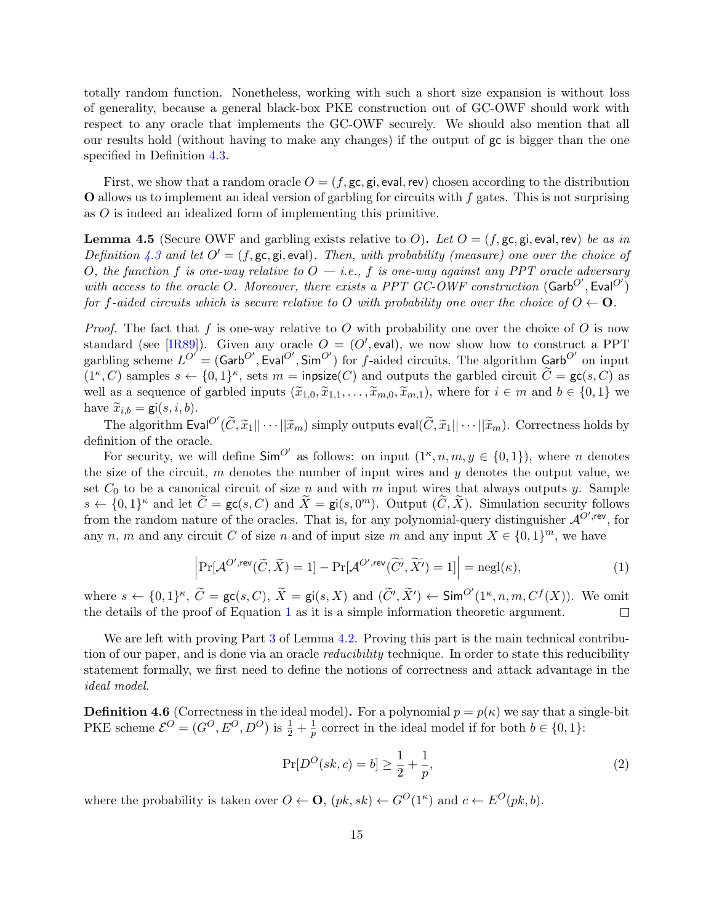<span id="page-14-2"></span>totally random function. Nonetheless, working with such a short size expansion is without loss of generality, because a general black-box PKE construction out of GC-OWF should work with respect to any oracle that implements the GC-OWF securely. We should also mention that all our results hold (without having to make any changes) if the output of gc is bigger than the one specified in Definition [4.3.](#page-13-0)

First, we show that a random oracle  $O = (f, gc, gi, eval, rev)$  chosen according to the distribution  $\Omega$  allows us to implement an ideal version of garbling for circuits with f gates. This is not surprising as O is indeed an idealized form of implementing this primitive.

<span id="page-14-1"></span>**Lemma 4.5** (Secure OWF and garbling exists relative to O). Let  $O = (f, gc, gi, eval, rev)$  be as in Definition [4.3](#page-13-0) and let  $O' = (f, \text{gc}, \text{gi}, \text{eval})$ . Then, with probability (measure) one over the choice of O, the function f is one-way relative to  $O - i.e.,$  f is one-way against any PPT oracle adversary with access to the oracle O. Moreover, there exists a PPT GC-OWF construction (Garb<sup>O'</sup>, Eval<sup>O'</sup>) for f-aided circuits which is secure relative to O with probability one over the choice of  $O \leftarrow \mathbf{O}$ .

*Proof.* The fact that f is one-way relative to O with probability one over the choice of O is now standard (see [\[IR89\]](#page-44-0)). Given any oracle  $O = (O', \text{eval})$ , we now show how to construct a PPT garbling scheme  $L^{O'} = (Garb^{O'}, Eval^{O'}, Sim^{O'})$  for f-aided circuits. The algorithm  $Garb^{O'}$  on input  $(1^{\kappa}, C)$  samples  $s \leftarrow \{0, 1\}^{\kappa}$ , sets  $m = \text{insize}(C)$  and outputs the garbled circuit  $\widetilde{C} = \textsf{gc}(s, C)$  as well as a sequence of garbled inputs  $(\tilde{x}_{1,0}, \tilde{x}_{1,1}, \ldots, \tilde{x}_{m,0}, \tilde{x}_{m,1})$ , where for  $i \in m$  and  $b \in \{0, 1\}$  we have  $\widetilde{x}_{i,b} = \text{gi}(s, i, b)$ .

The algorithm  $\textsf{Eval}^{O'}(\widetilde{C}, \widetilde{x}_1 || \cdots || \widetilde{x}_m)$  simply outputs  $\textsf{eval}(\widetilde{C}, \widetilde{x}_1 || \cdots || \widetilde{x}_m)$ . Correctness holds by definition of the oracle.

For security, we will define  $\textsf{Sim}^{O'}$  as follows: on input  $(1^{\kappa}, n, m, y \in \{0, 1\})$ , where *n* denotes the size of the circuit,  $m$  denotes the number of input wires and  $y$  denotes the output value, we set  $C_0$  to be a canonical circuit of size n and with m input wires that always outputs y. Sample  $s \leftarrow \{0,1\}^{\kappa}$  and let  $\widetilde{C} = \mathsf{gc}(s, C)$  and  $\widetilde{X} = \mathsf{gi}(s, 0^m)$ . Output  $(\widetilde{C}, \widetilde{X})$ . Simulation security follows from the random nature of the oracles. That is, for any polynomial-query distinguisher  $\mathcal{A}^{O',\text{rev}}$ , for any n, m and any circuit C of size n and of input size m and any input  $X \in \{0,1\}^m$ , we have

<span id="page-14-0"></span>
$$
\left| \Pr[\mathcal{A}^{O',\text{rev}}(\widetilde{C}, \widetilde{X}) = 1] - \Pr[\mathcal{A}^{O',\text{rev}}(\widetilde{C'}, \widetilde{X'}) = 1] \right| = \text{negl}(\kappa),\tag{1}
$$

where  $s \leftarrow \{0,1\}^{\kappa}$ ,  $\widetilde{C} = \text{gc}(s, C)$ ,  $\widetilde{X} = \text{gi}(s, X)$  and  $(\widetilde{C}', \widetilde{X}') \leftarrow \text{Sim}^{O'}(1^{\kappa}, n, m, C^f(X))$ . We omit the details of the proof of Equation [1](#page-14-0) as it is a simple information theoretic argument.  $\Box$ 

We are left with proving Part [3](#page-13-3) of Lemma [4.2.](#page-13-1) Proving this part is the main technical contribution of our paper, and is done via an oracle *reducibility* technique. In order to state this reducibility statement formally, we first need to define the notions of correctness and attack advantage in the ideal model.

**Definition 4.6** (Correctness in the ideal model). For a polynomial  $p = p(\kappa)$  we say that a single-bit PKE scheme  $\mathcal{E}^O = (G^O, E^O, D^O)$  is  $\frac{1}{2} + \frac{1}{p}$  $\frac{1}{p}$  correct in the ideal model if for both  $b \in \{0,1\}$ :

$$
\Pr[D^O(sk, c) = b] \ge \frac{1}{2} + \frac{1}{p},\tag{2}
$$

where the probability is taken over  $O \leftarrow \mathbf{O}, (pk, sk) \leftarrow G^O(1^{\kappa})$  and  $c \leftarrow E^O(pk, b)$ .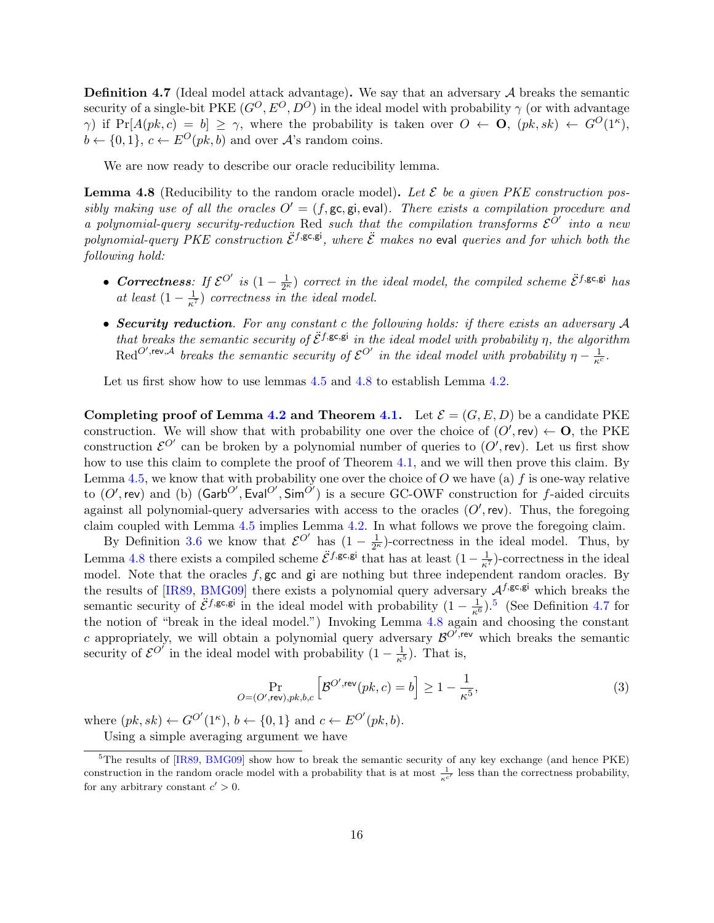<span id="page-15-3"></span><span id="page-15-2"></span>Definition 4.7 (Ideal model attack advantage). We say that an adversary A breaks the semantic security of a single-bit PKE  $(G^O, E^O, D^O)$  in the ideal model with probability  $\gamma$  (or with advantage  $\gamma$ ) if  $Pr[A(pk, c) = b] \geq \gamma$ , where the probability is taken over  $O \leftarrow \mathbf{O}$ ,  $(pk, sk) \leftarrow G^O(1^{\kappa})$ ,  $b \leftarrow \{0, 1\}, c \leftarrow E^O(pk, b)$  and over A's random coins.

We are now ready to describe our oracle reducibility lemma.

<span id="page-15-0"></span>**Lemma 4.8** (Reducibility to the random oracle model). Let  $\mathcal{E}$  be a given PKE construction possibly making use of all the oracles  $O' = (f, \text{gc}, \text{gi}, \text{eval})$ . There exists a compilation procedure and a polynomial-query security-reduction Red such that the compilation transforms  $\mathcal{E}^{\tilde{O}'}$  into a new polynomial-query PKE construction  $\ddot{\mathcal{E}}^{f,\text{gc},\text{gi}}$ , where  $\ddot{\mathcal{E}}$  makes no eval queries and for which both the following hold:

- Correctness: If  $\mathcal{E}^{O'}$  is  $(1-\frac{1}{2^n})$  $\frac{1}{2^{\kappa}}$ ) correct in the ideal model, the compiled scheme  $\ddot{\mathcal{E}}^{f,\texttt{gc},\texttt{gi}}$  has at least  $(1 - \frac{1}{\kappa^7})$  correctness in the ideal model.
- Security reduction. For any constant c the following holds: if there exists an adversary A that breaks the semantic security of  $\ddot{\mathcal{E}}^{f,\text{gc},\text{gi}}$  in the ideal model with probability  $\eta$ , the algorithm Red<sup>O'</sup>,<sup>rev</sup>,A breaks the semantic security of  $\mathcal{E}^{O'}$  in the ideal model with probability  $\eta - \frac{1}{\kappa^c}$ .

Let us first show how to use lemmas [4.5](#page-14-1) and [4.8](#page-15-0) to establish Lemma [4.2.](#page-13-1)

Completing proof of Lemma [4.2](#page-13-1) and Theorem [4.1.](#page-13-2) Let  $\mathcal{E} = (G, E, D)$  be a candidate PKE construction. We will show that with probability one over the choice of  $(O', \text{rev}) \leftarrow \text{O}$ , the PKE construction  $\mathcal{E}^{O'}$  can be broken by a polynomial number of queries to  $(O', \text{rev})$ . Let us first show how to use this claim to complete the proof of Theorem [4.1,](#page-13-2) and we will then prove this claim. By Lemma [4.5,](#page-14-1) we know that with probability one over the choice of O we have (a) f is one-way relative to  $(O', \text{rev})$  and (b)  $(\text{Garb}^{O'}, \text{Eval}^{O'}, \text{Sim}^{O'})$  is a secure GC-OWF construction for f-aided circuits against all polynomial-query adversaries with access to the oracles  $(O',\text{rev})$ . Thus, the foregoing claim coupled with Lemma [4.5](#page-14-1) implies Lemma [4.2.](#page-13-1) In what follows we prove the foregoing claim.

By Definition [3.6](#page-12-2) we know that  $\mathcal{E}^{O'}$  has  $(1 - \frac{1}{2^n})$  $\frac{1}{2^{\kappa}}$ )-correctness in the ideal model. Thus, by Lemma [4.8](#page-15-0) there exists a compiled scheme  $\ddot{\mathcal{E}}^{f,gc,gi}$  that has at least  $(1-\frac{1}{\kappa^7})$ -correctness in the ideal model. Note that the oracles  $f$ ,  $gc$  and  $gi$  are nothing but three independent random oracles. By the results of [\[IR89,](#page-44-0) [BMG09\]](#page-42-8) there exists a polynomial query adversary  $\mathcal{A}^{f,\text{gc},\text{gi}}$  which breaks the semantic security of  $\ddot{\mathcal{E}}^{f,\mathbf{g}\mathbf{c},\mathbf{g}i}$  in the ideal model with probability  $(1-\frac{1}{\kappa^6})$ .<sup>[5](#page-15-1)</sup> (See Definition [4.7](#page-15-2) for the notion of "break in the ideal model.") Invoking Lemma [4.8](#page-15-0) again and choosing the constant c appropriately, we will obtain a polynomial query adversary  $\mathcal{B}^{O^f, \text{rev}}$  which breaks the semantic security of  $\mathcal{E}^{O'}$  in the ideal model with probability  $(1 - \frac{1}{\kappa^5})$ . That is,

$$
\Pr_{O=(O',\text{rev}),pk,b,c} \left[ \mathcal{B}^{O',\text{rev}}(pk,c) = b \right] \ge 1 - \frac{1}{\kappa^5},\tag{3}
$$

where  $(pk, sk) \leftarrow G^{O'}(1^{\kappa}), b \leftarrow \{0, 1\}$  and  $c \leftarrow E^{O'}(pk, b)$ .

Using a simple averaging argument we have

<span id="page-15-1"></span> ${}^{5}$ The results of [\[IR89,](#page-44-0) [BMG09\]](#page-42-8) show how to break the semantic security of any key exchange (and hence PKE) construction in the random oracle model with a probability that is at most  $\frac{1}{\kappa^{c'}}$  less than the correctness probability, for any arbitrary constant  $c' > 0$ .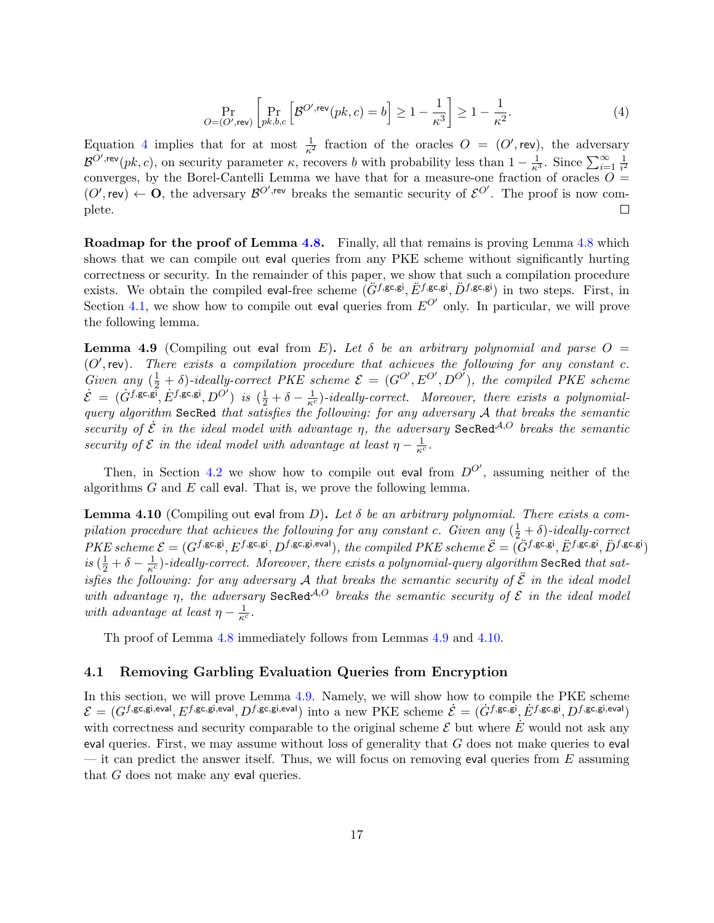<span id="page-16-1"></span>
$$
\Pr_{O = (O',\text{rev})} \left[ \Pr_{pk,b,c} \left[ \mathcal{B}^{O',\text{rev}}(pk,c) = b \right] \ge 1 - \frac{1}{\kappa^3} \right] \ge 1 - \frac{1}{\kappa^2}.
$$
\n(4)

Equation [4](#page-16-1) implies that for at most  $\frac{1}{\kappa^2}$  fraction of the oracles  $O = (O', \text{rev})$ , the adversary  $\mathcal{B}^{O',\text{rev}}(pk,c)$ , on security parameter  $\kappa$ , recovers b with probability less than  $1-\frac{1}{\kappa^3}$ . Since  $\sum_{i=1}^{\infty}\frac{1}{i^2}$  $\overline{i^2}$ converges, by the Borel-Cantelli Lemma we have that for a measure-one fraction of oracles  $O =$  $(O',\text{rev}) \leftarrow \mathbf{O}$ , the adversary  $\mathcal{B}^{O',\text{rev}}$  breaks the semantic security of  $\mathcal{E}^{O'}$ . The proof is now complete.  $\Box$ 

Roadmap for the proof of Lemma [4.8.](#page-15-0) Finally, all that remains is proving Lemma [4.8](#page-15-0) which shows that we can compile out eval queries from any PKE scheme without significantly hurting correctness or security. In the remainder of this paper, we show that such a compilation procedure exists. We obtain the compiled eval-free scheme  $(\ddot{G}^{f,\text{gc},\text{gi}}, \ddot{E}^{f,\text{gc},\text{gi}}, \ddot{D}^{f,\text{gc},\text{gi}})$  in two steps. First, in Section [4.1,](#page-16-0) we show how to compile out eval queries from  $E^{O'}$  only. In particular, we will prove the following lemma.

<span id="page-16-2"></span>**Lemma 4.9** (Compiling out eval from E). Let  $\delta$  be an arbitrary polynomial and parse  $O =$  $(O', \text{rev})$ . There exists a compilation procedure that achieves the following for any constant c. Given any  $(\frac{1}{2} + \delta)$ -ideally-correct PKE scheme  $\mathcal{E} = (G^{O'}, E^{O'}, D^{O'})$ , the compiled PKE scheme  $\dot{\mathcal{E}} = (\dot{G}^{f,\texttt{gc},\texttt{gi}}, \dot{E}^{f,\texttt{gc},\texttt{gi}}, D^{O'})$  is  $(\frac{1}{2} + \delta - \frac{1}{\kappa^c})$ -ideally-correct. Moreover, there exists a polynomialquery algorithm SecRed that satisfies the following: for any adversary A that breaks the semantic security of  $\dot{\mathcal{E}}$  in the ideal model with advantage  $\eta$ , the adversary SecRed<sup>A,O</sup> breaks the semantic security of  $\mathcal E$  in the ideal model with advantage at least  $\eta - \frac{1}{\kappa^c}$ .

Then, in Section [4.2](#page-23-0) we show how to compile out eval from  $D^{O'}$ , assuming neither of the algorithms  $G$  and  $E$  call eval. That is, we prove the following lemma.

<span id="page-16-3"></span>**Lemma 4.10** (Compiling out eval from D). Let  $\delta$  be an arbitrary polynomial. There exists a compilation procedure that achieves the following for any constant c. Given any  $(\frac{1}{2} + \delta)$ -ideally-correct  $PKE\ scheme\ \mathcal{E} = (G^{f,\texttt{gc},\texttt{gi}}, E^{f,\texttt{gc},\texttt{gi}}, D^{f,\texttt{gc},\texttt{gi},\texttt{eval}}),\ the\ compiled\ PKE\ scheme\ \tilde{\mathcal{E}} = (\tilde{G}^{f,\texttt{gc},\texttt{gi}}, \tilde{E}^{f,\texttt{gc},\texttt{gi}}, \tilde{D}^{f,\texttt{gc},\texttt{gi}})$ is  $(\frac{1}{2} + \delta - \frac{1}{\kappa^c})$ -ideally-correct. Moreover, there exists a polynomial-query algorithm SecRed that satisfies the following: for any adversary A that breaks the semantic security of  $\ddot{\mathcal{E}}$  in the ideal model with advantage  $\eta$ , the adversary SecRed<sup>A,O</sup> breaks the semantic security of  $\mathcal E$  in the ideal model with advantage at least  $\eta - \frac{1}{\kappa^c}$ .

Th proof of Lemma [4.8](#page-15-0) immediately follows from Lemmas [4.9](#page-16-2) and [4.10.](#page-16-3)

#### <span id="page-16-0"></span>4.1 Removing Garbling Evaluation Queries from Encryption

In this section, we will prove Lemma [4.9.](#page-16-2) Namely, we will show how to compile the PKE scheme  $\mathcal{E} = (G^{f,\texttt{gc},\texttt{gi},\texttt{eval}}, E^{f,\texttt{gc},\texttt{gi},\texttt{eval}}, D^{f,\texttt{gc},\texttt{gi},\texttt{eval}}) \text{ into a new PKE scheme } \dot{\mathcal{E}} = (\dot{G}^{f,\texttt{gc},\texttt{gi}}, \dot{E}^{f,\texttt{gc},\texttt{gi}}, D^{f,\texttt{gc},\texttt{gi},\texttt{eval}})$ with correctness and security comparable to the original scheme  $\mathcal E$  but where  $\dot E$  would not ask any eval queries. First, we may assume without loss of generality that  $G$  does not make queries to eval — it can predict the answer itself. Thus, we will focus on removing eval queries from  $E$  assuming that G does not make any eval queries.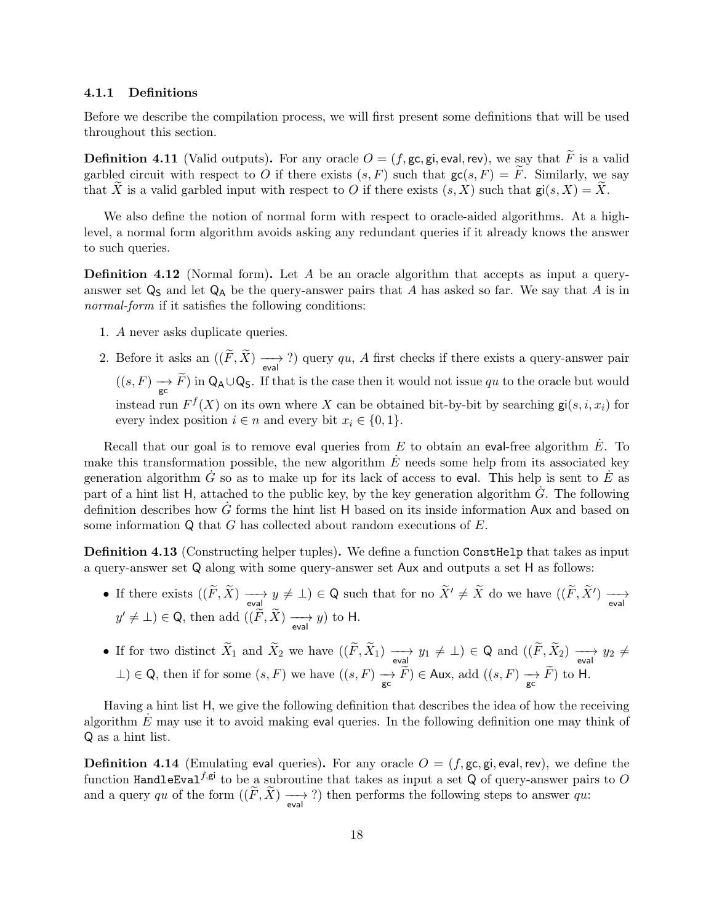#### <span id="page-17-0"></span>4.1.1 Definitions

Before we describe the compilation process, we will first present some definitions that will be used throughout this section.

**Definition 4.11** (Valid outputs). For any oracle  $O = (f, gc, gi, eval, rev)$ , we say that  $\widetilde{F}$  is a valid garbled circuit with respect to O if there exists  $(s, F)$  such that  $\mathsf{gc}(s, F) = \widetilde{F}$ . Similarly, we say that X is a valid garbled input with respect to O if there exists  $(s, X)$  such that  $\mathsf{gi}(s, X) = X$ .

We also define the notion of normal form with respect to oracle-aided algorithms. At a highlevel, a normal form algorithm avoids asking any redundant queries if it already knows the answer to such queries.

<span id="page-17-1"></span>**Definition 4.12** (Normal form). Let A be an oracle algorithm that accepts as input a queryanswer set  $\mathsf{Q}_\mathsf{S}$  and let  $\mathsf{Q}_\mathsf{A}$  be the query-answer pairs that A has asked so far. We say that A is in normal-form if it satisfies the following conditions:

- 1. A never asks duplicate queries.
- 2. Before it asks an  $((F, X) \longrightarrow$ ?) query qu, A first checks if there exists a query-answer pair  $((s, F) \longrightarrow_{\text{gc}} F)$  in  $\mathsf{Q}_{\mathsf{A}} \cup \mathsf{Q}_{\mathsf{S}}$ . If that is the case then it would not issue qu to the oracle but would instead run  $F^f(X)$  on its own where X can be obtained bit-by-bit by searching  $\mathsf{gi}(s, i, x_i)$  for every index position  $i \in n$  and every bit  $x_i \in \{0, 1\}.$

Recall that our goal is to remove eval queries from  $E$  to obtain an eval-free algorithm  $\dot{E}$ . To make this transformation possible, the new algorithm  $\dot{E}$  needs some help from its associated key generation algorithm  $\ddot{G}$  so as to make up for its lack of access to eval. This help is sent to  $\ddot{E}$  as part of a hint list H, attached to the public key, by the key generation algorithm  $\ddot{G}$ . The following definition describes how  $\dot{G}$  forms the hint list H based on its inside information Aux and based on some information  $Q$  that  $G$  has collected about random executions of  $E$ .

<span id="page-17-2"></span>**Definition 4.13** (Constructing helper tuples). We define a function ConstHelp that takes as input a query-answer set Q along with some query-answer set Aux and outputs a set H as follows:

- If there exists  $((\widetilde{F}, \widetilde{X}) \longrightarrow y \neq \bot) \in \mathsf{Q}$  such that for no  $\widetilde{X}' \neq \widetilde{X}$  do we have  $((\widetilde{F}, \widetilde{X}') \longrightarrow$  $y' \neq \bot$ )  $\in \mathsf{Q}$ , then add  $((\widetilde{F}, \widetilde{X}) \longrightarrow_{\text{eval}} y)$  to H.
- If for two distinct  $X_1$  and  $X_2$  we have  $((F, X_1) \longrightarrow y_1 \neq \bot) \in \mathbb{Q}$  and  $((F, X_2) \longrightarrow y_2 \neq \bot)$  $\bot$ )  $\in$  Q, then if for some  $(s, F)$  we have  $((s, F) \longrightarrow_{\mathsf{gc}} F) \in$  Aux, add  $((s, F) \longrightarrow_{\mathsf{gc}} F)$  to H.

Having a hint list H, we give the following definition that describes the idea of how the receiving algorithm  $\dot{E}$  may use it to avoid making eval queries. In the following definition one may think of Q as a hint list.

**Definition 4.14** (Emulating eval queries). For any oracle  $O = (f, gc, gi, eval, rev)$ , we define the function HandleEval<sup>f,gi</sup> to be a subroutine that takes as input a set Q of query-answer pairs to O and a query qu of the form  $((F, X) \longrightarrow ?)$  then performs the following steps to answer qu: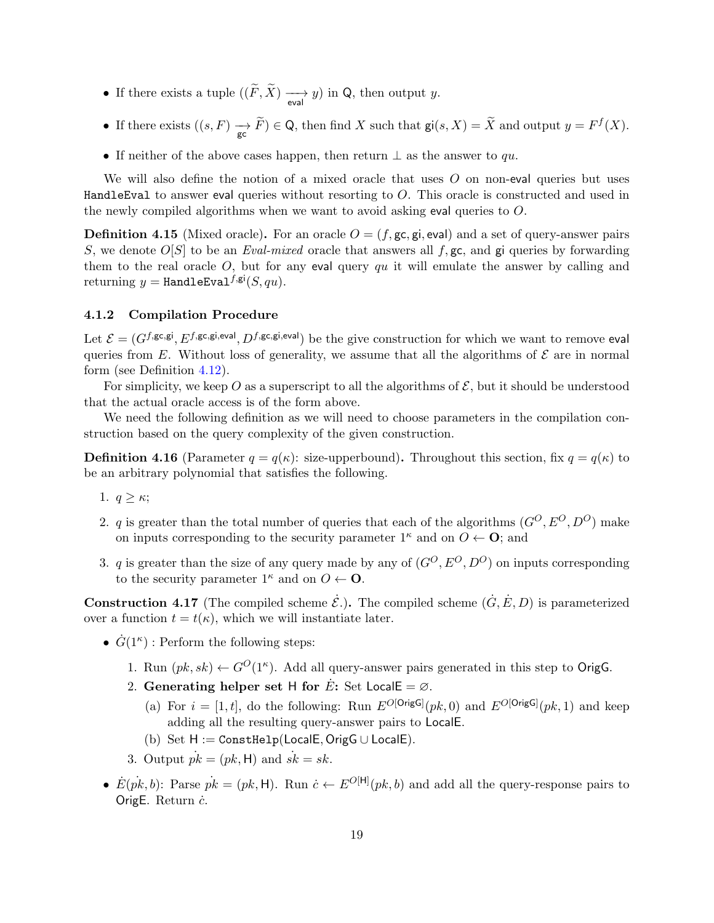- If there exists a tuple  $((F, X) \longrightarrow_{eval} y)$  in Q, then output y.
- If there exists  $((s, F) \longrightarrow \widetilde{F}) \in \mathsf{Q}$ , then find X such that  $\mathsf{gi}(s, X) = \widetilde{X}$  and output  $y = F^f(X)$ .
- If neither of the above cases happen, then return  $\perp$  as the answer to qu.

We will also define the notion of a mixed oracle that uses  $O$  on non-eval queries but uses HandleEval to answer eval queries without resorting to O. This oracle is constructed and used in the newly compiled algorithms when we want to avoid asking eval queries to O.

**Definition 4.15** (Mixed oracle). For an oracle  $O = (f, gc, gi, eval)$  and a set of query-answer pairs S, we denote  $O[S]$  to be an *Eval-mixed* oracle that answers all  $f$ , gc, and gi queries by forwarding them to the real oracle O, but for any eval query qu it will emulate the answer by calling and returning  $y = \texttt{HandleEval}^{f, \text{gi}}(S, qu)$ .

#### <span id="page-18-0"></span>4.1.2 Compilation Procedure

Let  $\mathcal{E} = (G^{f,\text{gc},\text{gi}}, E^{f,\text{gc},\text{gi},\text{eval}}, D^{f,\text{gc},\text{gi},\text{eval}})$  be the give construction for which we want to remove eval queries from E. Without loss of generality, we assume that all the algorithms of  $\mathcal E$  are in normal form (see Definition [4.12\)](#page-17-1).

For simplicity, we keep O as a superscript to all the algorithms of  $\mathcal{E}$ , but it should be understood that the actual oracle access is of the form above.

We need the following definition as we will need to choose parameters in the compilation construction based on the query complexity of the given construction.

<span id="page-18-1"></span>**Definition 4.16** (Parameter  $q = q(\kappa)$ : size-upperbound). Throughout this section, fix  $q = q(\kappa)$  to be an arbitrary polynomial that satisfies the following.

1.  $q \geq \kappa$ ;

- 2. q is greater than the total number of queries that each of the algorithms  $(G^O, E^O, D^O)$  make on inputs corresponding to the security parameter  $1^{\kappa}$  and on  $O \leftarrow \mathbf{O}$ ; and
- 3. q is greater than the size of any query made by any of  $(G^O, E^O, D^O)$  on inputs corresponding to the security parameter  $1^{\kappa}$  and on  $O \leftarrow \mathbf{O}$ .

**Construction 4.17** (The compiled scheme  $\dot{\mathcal{E}}$ .). The compiled scheme  $(\dot{G}, \dot{E}, D)$  is parameterized over a function  $t = t(\kappa)$ , which we will instantiate later.

- $\dot{G}(1^{\kappa})$ : Perform the following steps:
	- 1. Run  $(pk, sk) \leftarrow G^O(1^{\kappa})$ . Add all query-answer pairs generated in this step to OrigG.
	- 2. Generating helper set H for  $\dot{E}$ : Set LocalE =  $\varnothing$ .
		- (a) For  $i = [1, t]$ , do the following: Run  $E^{O[OrigG]}(pk, 0)$  and  $E^{O[OrigG]}(pk, 1)$  and keep adding all the resulting query-answer pairs to LocalE.
		- (b) Set H := ConstHelp(LocalE, OrigG ∪ LocalE).
	- 3. Output  $\dot{pk} = (pk, H)$  and  $\dot{sk} = sk$ .
- $\dot{E}(pk, b)$ : Parse  $pk = (pk, H)$ . Run  $\dot{c} \leftarrow E^{O[H]}(pk, b)$  and add all the query-response pairs to OrigE. Return  $\dot{c}$ .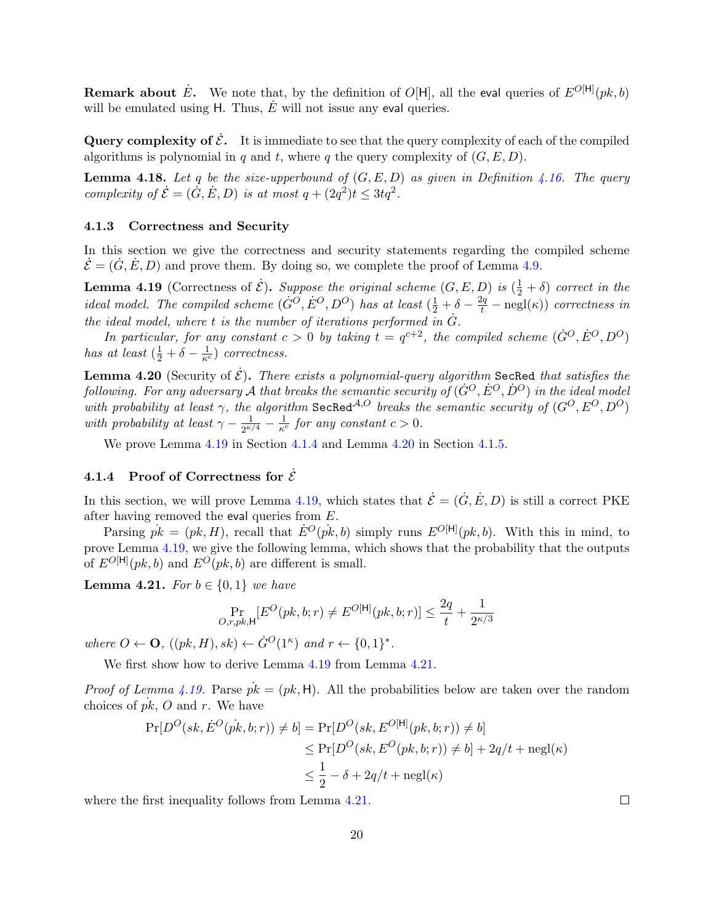**Remark about**  $\dot{E}$ . We note that, by the definition of  $O[H]$ , all the eval queries of  $E^{O[H]}(pk, b)$ will be emulated using  $H$ . Thus,  $E$  will not issue any eval queries.

Query complexity of  $\dot{\mathcal{E}}$ . It is immediate to see that the query complexity of each of the compiled algorithms is polynomial in q and t, where q the query complexity of  $(G, E, D)$ .

**Lemma 4.18.** Let q be the size-upperbound of  $(G, E, D)$  as given in Definition [4.16.](#page-18-1) The query complexity of  $\dot{\mathcal{E}} = (\dot{G}, \dot{E}, D)$  is at most  $q + (2q^2)t \leq 3tq^2$ .

#### <span id="page-19-0"></span>4.1.3 Correctness and Security

In this section we give the correctness and security statements regarding the compiled scheme  $\mathcal{E} = (G, E, D)$  and prove them. By doing so, we complete the proof of Lemma [4.9.](#page-16-2)

<span id="page-19-2"></span>**Lemma 4.19** (Correctness of  $\dot{\mathcal{E}}$ ). Suppose the original scheme  $(G, E, D)$  is  $(\frac{1}{2} + \delta)$  correct in the ideal model. The compiled scheme  $(\dot{G}^O, \dot{E}^O, D^O)$  has at least  $(\frac{1}{2} + \delta - \frac{2q}{t} - \text{negl}(\kappa))$  correctness in the ideal model, where t is the number of iterations performed in  $\dot{G}$ .

In particular, for any constant  $c > 0$  by taking  $t = q^{c+2}$ , the compiled scheme  $(\dot{G}^O, \dot{E}^O, D^O)$ has at least  $(\frac{1}{2} + \delta - \frac{1}{\kappa^c})$  correctness.

<span id="page-19-3"></span>**Lemma 4.20** (Security of  $\dot{\mathcal{E}}$ ). There exists a polynomial-query algorithm SecRed that satisfies the following. For any adversary A that breaks the semantic security of  $(\dot{G}^O, \dot{E}^O, \dot{D}^O)$  in the ideal model with probability at least  $\gamma$ , the algorithm SecRed<sup>A,O</sup> breaks the semantic security of  $(G^O, E^O, D^O)$ with probability at least  $\gamma - \frac{1}{2\pi i}$  $\frac{1}{2^{\kappa/4}} - \frac{1}{\kappa^c}$  for any constant  $c > 0$ .

We prove Lemma [4.19](#page-19-2) in Section [4.1.4](#page-19-1) and Lemma [4.20](#page-19-3) in Section [4.1.5.](#page-22-0)

### <span id="page-19-1"></span>4.1.4 Proof of Correctness for  $\dot{\mathcal{E}}$

In this section, we will prove Lemma [4.19,](#page-19-2) which states that  $\dot{\mathcal{E}} = (\dot{G}, \dot{E}, D)$  is still a correct PKE after having removed the eval queries from E.

Parsing  $pk = (pk, H)$ , recall that  $\dot{E}^O(pk, b)$  simply runs  $E^{O[H]}(pk, b)$ . With this in mind, to prove Lemma [4.19,](#page-19-2) we give the following lemma, which shows that the probability that the outputs of  $E^{O[H]}(pk, b)$  and  $E^{O}(pk, b)$  are different is small.

<span id="page-19-4"></span>**Lemma 4.21.** For  $b \in \{0, 1\}$  we have

$$
\Pr_{O,r,pk,{\sf H}}[E^{O}(pk,b;r) \neq E^{O[{\sf H}]}(pk,b;r)] \leq \frac{2q}{t} + \frac{1}{2^{\kappa/3}}
$$

where  $O \leftarrow \mathbf{O}, ((pk, H), sk) \leftarrow \dot{G}^O(1^{\kappa})$  and  $r \leftarrow \{0, 1\}^*$ .

We first show how to derive Lemma [4.19](#page-19-2) from Lemma [4.21.](#page-19-4)

*Proof of Lemma [4.19.](#page-19-2)* Parse  $pk = (pk, H)$ . All the probabilities below are taken over the random choices of  $\mu k$ , O and r. We have

$$
\Pr[D^{O}(sk, \dot{E}^{O}(pk, b; r)) \neq b] = \Pr[D^{O}(sk, E^{O[H]}(pk, b; r)) \neq b]
$$
  
\n
$$
\leq \Pr[D^{O}(sk, E^{O}(pk, b; r)) \neq b] + 2q/t + \text{negl}(\kappa)
$$
  
\n
$$
\leq \frac{1}{2} - \delta + 2q/t + \text{negl}(\kappa)
$$

where the first inequality follows from Lemma [4.21.](#page-19-4)

 $\Box$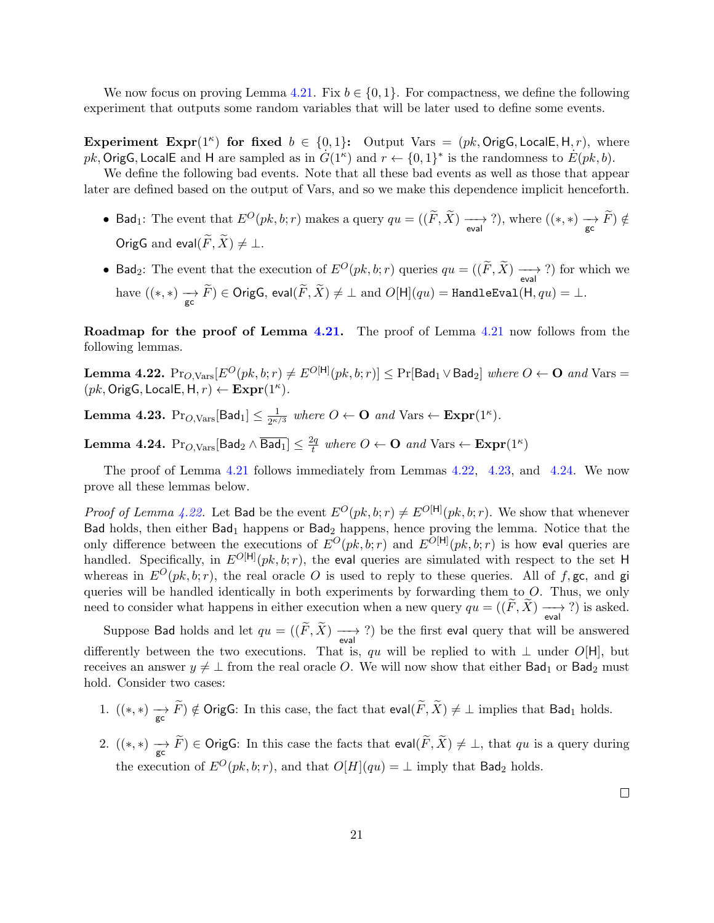We now focus on proving Lemma [4.21.](#page-19-4) Fix  $b \in \{0, 1\}$ . For compactness, we define the following experiment that outputs some random variables that will be later used to define some events.

Experiment Expr(1<sup> $\kappa$ </sup>) for fixed  $b \in \{0, 1\}$ : Output Vars = (pk, OrigG, LocalE, H, r), where pk, OrigG, LocalE and H are sampled as in  $G(1^{\kappa})$  and  $r \leftarrow \{0,1\}^*$  is the randomness to  $\dot{E}(pk, b)$ .

We define the following bad events. Note that all these bad events as well as those that appear later are defined based on the output of Vars, and so we make this dependence implicit henceforth.

- Bad<sub>1</sub>: The event that  $E^O(pk, b; r)$  makes a query  $qu = ((\widetilde{F}, \widetilde{X}) \longrightarrow ?)$ , where  $((*,*) \longrightarrow \widetilde{F}) \notin$ OrigG and eval $(\widetilde{F}, \widetilde{X}) \neq \bot$ .
- Bad<sub>2</sub>: The event that the execution of  $E^O(pk, b; r)$  queries  $qu = ((\widetilde{F}, \widetilde{X}) \longrightarrow ?)$  for which we  $\mathrm{have}~((*,*)\underset{\mathsf{gc}}{\rightarrow} F)\in \mathsf{OrigG},\, \mathsf{eval}(F,X)\neq \bot \,\, \mathrm{and} \,\, O[\mathsf{H}](qu) = \mathtt{HandleEval}(\mathsf{H},qu) = \bot.$

Roadmap for the proof of Lemma [4.21.](#page-19-4) The proof of Lemma [4.21](#page-19-4) now follows from the following lemmas.

<span id="page-20-0"></span> ${\bf Lemma}$  4.22.  ${\rm Pr}_{O,{\rm Vars}}[E^O(pk,b;r) \neq E^{O[{\sf H}]}(pk,b;r)] \leq \Pr[{\sf Bad}_1 \vee {\sf Bad}_2] \; \textit{where} \; O \leftarrow {\bf O} \; \textit{and} \; {\rm Vars} =$  $(pk, OrigG, LocalE, H, r) \leftarrow \text{Expr}(1^{\kappa}).$ 

<span id="page-20-1"></span> $\rm {\bf Lemma ~4.23.~ Pr}_{\it O,Vars}[\rm {\bf Bad}_1] \leq \frac{1}{2\kappa\sqrt{3}}$  $\frac{1}{2^{\kappa/3}}$  where  $O \leftarrow \mathbf{O}$  and  $\text{Vars} \leftarrow \text{Expr}(1^{\kappa})$ .

<span id="page-20-2"></span> $\textbf{Lemma 4.24.} \; \text{Pr}_{O,\text{Vars}}[\textsf{Bad}_2 \wedge \overline{\textsf{Bad}_1}] \leq \frac{2q}{t}$  $t_t^{\log}$  where  $O \leftarrow \mathbf{O}$  and  $\text{Vars} \leftarrow \text{Expr}(1^{\kappa})$ 

The proof of Lemma [4.21](#page-19-4) follows immediately from Lemmas [4.22,](#page-20-0) [4.23,](#page-20-1) and [4.24.](#page-20-2) We now prove all these lemmas below.

*Proof of Lemma [4.22.](#page-20-0)* Let Bad be the event  $E^{O}(pk, b; r) \neq E^{O[H]}(pk, b; r)$ . We show that whenever Bad holds, then either  $Bad<sub>1</sub>$  happens or  $Bad<sub>2</sub>$  happens, hence proving the lemma. Notice that the only difference between the executions of  $E^O(pk, b; r)$  and  $E^{O[H]}(pk, b; r)$  is how eval queries are handled. Specifically, in  $E^{O[H]}(pk, b; r)$ , the eval queries are simulated with respect to the set H whereas in  $E^O(pk, b; r)$ , the real oracle O is used to reply to these queries. All of f, gc, and gi queries will be handled identically in both experiments by forwarding them to O. Thus, we only need to consider what happens in either execution when a new query  $qu = ((F, X) \longrightarrow ?)$  is asked. eval

Suppose Bad holds and let  $qu = ((F, X) \longrightarrow ?)$  be the first eval query that will be answered differently between the two executions. That is, qu will be replied to with  $\perp$  under  $O[H]$ , but receives an answer  $y \neq \perp$  from the real oracle O. We will now show that either Bad<sub>1</sub> or Bad<sub>2</sub> must hold. Consider two cases:

- 1.  $((*,*) \longrightarrow_{\text{gc}} F) \notin \text{OrigG: In this case, the fact that } \text{eval}(F,X) \neq \bot \text{ implies that } \text{Bad}_1 \text{ holds.}$
- 2.  $((*,*) \longrightarrow_{\text{gc}} F) \in \text{OrigG: In this case the facts that } \text{eval}(F,X) \neq \bot$ , that qu is a query during the execution of  $E^O(pk, b; r)$ , and that  $O[H](qu) = \perp$  imply that  $Bad_2$  holds.

 $\Box$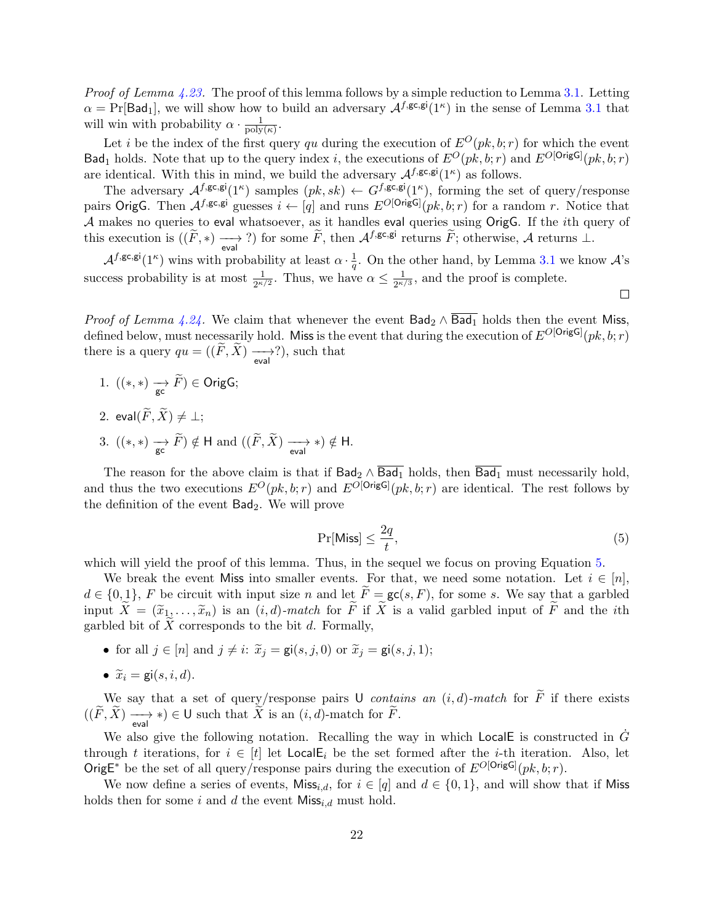*Proof of Lemma [4.23.](#page-20-1)* The proof of this lemma follows by a simple reduction to Lemma [3.1.](#page-10-2) Letting  $\alpha = \Pr[\mathsf{Bad}_1],$  we will show how to build an adversary  $\mathcal{A}^{f,\mathsf{gc},\mathsf{gi}}(1^{\kappa})$  in the sense of Lemma [3.1](#page-10-2) that will win with probability  $\alpha \cdot \frac{1}{\text{poly}}$  $\frac{1}{\text{poly}(\kappa)}$ .

Let i be the index of the first query qu during the execution of  $E^{O}(pk, b; r)$  for which the event Bad<sub>1</sub> holds. Note that up to the query index *i*, the executions of  $E^O(pk, b; r)$  and  $E^{O[OrigG]}(pk, b; r)$ are identical. With this in mind, we build the adversary  $\mathcal{A}^{f,\text{gc},\text{gi}}(1^{\kappa})$  as follows.

The adversary  $\mathcal{A}^{f,\text{gc},\text{gi}}(1^{\kappa})$  samples  $(pk, sk) \leftarrow G^{f,\text{gc},\text{gi}}(1^{\kappa})$ , forming the set of query/response pairs OrigG. Then  $\mathcal{A}^{f,gc,gi}$  guesses  $i \leftarrow [q]$  and runs  $E^{O[OrigG]}(pk,b;r)$  for a random r. Notice that A makes no queries to eval whatsoever, as it handles eval queries using OrigG. If the ith query of this execution is  $((\widetilde{F},*) \longrightarrow ?)$  for some  $\widetilde{F}$ , then  $\mathcal{A}^{f,\text{gc},\text{gi}}$  returns  $\widetilde{F}$ ; otherwise,  $\mathcal{A}$  returns  $\bot$ .

 $\mathcal{A}^{f,\text{gc},\text{gi}}(1^{\kappa})$  wins with probability at least  $\alpha \cdot \frac{1}{\alpha}$  $\frac{1}{q}$ . On the other hand, by Lemma [3.1](#page-10-2) we know  $\mathcal{A}$ 's success probability is at most  $\frac{1}{2^{\kappa/2}}$ . Thus, we have  $\alpha \leq \frac{1}{2^{\kappa/2}}$  $\frac{1}{2^{\kappa/3}}$ , and the proof is complete.  $\Box$ 

*Proof of Lemma [4.24.](#page-20-2)* We claim that whenever the event  $Bad<sub>2</sub> \wedge \overline{Bad<sub>1</sub>}$  holds then the event Miss, defined below, must necessarily hold. Miss is the event that during the execution of  $E^{O[OrigG]}(pk, b; r)$ there is a query  $qu = ((F, X) \longrightarrow ?)$ , such that

- 1.  $((*,*) \xrightarrow{\longrightarrow} F) \in \mathsf{OrigG};$
- 2. eval $(\widetilde{F}, \widetilde{X}) \neq \perp$ ;
- 3.  $((*,*) \xrightarrow{\sim} F) \notin H$  and  $((F,X) \xrightarrow{\sim} *) \notin H$ .

The reason for the above claim is that if  $Bad_2 \wedge \overline{Bad_1}$  holds, then  $\overline{Bad_1}$  must necessarily hold, and thus the two executions  $E^O(pk, b; r)$  and  $E^{O[OrigG]}(pk, b; r)$  are identical. The rest follows by the definition of the event Bad<sub>2</sub>. We will prove

<span id="page-21-0"></span>
$$
\Pr[\text{Miss}] \le \frac{2q}{t},\tag{5}
$$

which will yield the proof of this lemma. Thus, in the sequel we focus on proving Equation [5.](#page-21-0)

We break the event Miss into smaller events. For that, we need some notation. Let  $i \in [n]$ ,  $d \in \{0,1\}$ , F be circuit with input size n and let  $\widetilde{F} = \text{gc}(s, F)$ , for some s. We say that a garbled input  $\widetilde{X} = (\widetilde{x}_1, \ldots, \widetilde{x}_n)$  is an  $(i, d)$ -match for  $\widetilde{F}$  if  $\widetilde{X}$  is a valid garbled input of  $\widetilde{F}$  and the *i*th garbled bit of  $X$  corresponds to the bit  $d$ . Formally,

- for all  $j \in [n]$  and  $j \neq i$ :  $\widetilde{x}_j = \text{gi}(s, j, 0)$  or  $\widetilde{x}_j = \text{gi}(s, j, 1);$
- $\widetilde{x}_i = \text{gi}(s, i, d)$ .

We say that a set of query/response pairs U contains an  $(i, d)$ -match for  $\widetilde{F}$  if there exists  $((F, X) \longrightarrow *) \in U$  such that X is an  $(i, d)$ -match for F.

We also give the following notation. Recalling the way in which LocalE is constructed in  $G$ through t iterations, for  $i \in [t]$  let LocalE<sub>i</sub> be the set formed after the *i*-th iteration. Also, let OrigE<sup>\*</sup> be the set of all query/response pairs during the execution of  $E^{O[OrigG]}(pk, b; r)$ .

We now define a series of events, Miss<sub>i,d</sub>, for  $i \in [q]$  and  $d \in \{0,1\}$ , and will show that if Miss holds then for some i and d the event  $Miss_{i,d}$  must hold.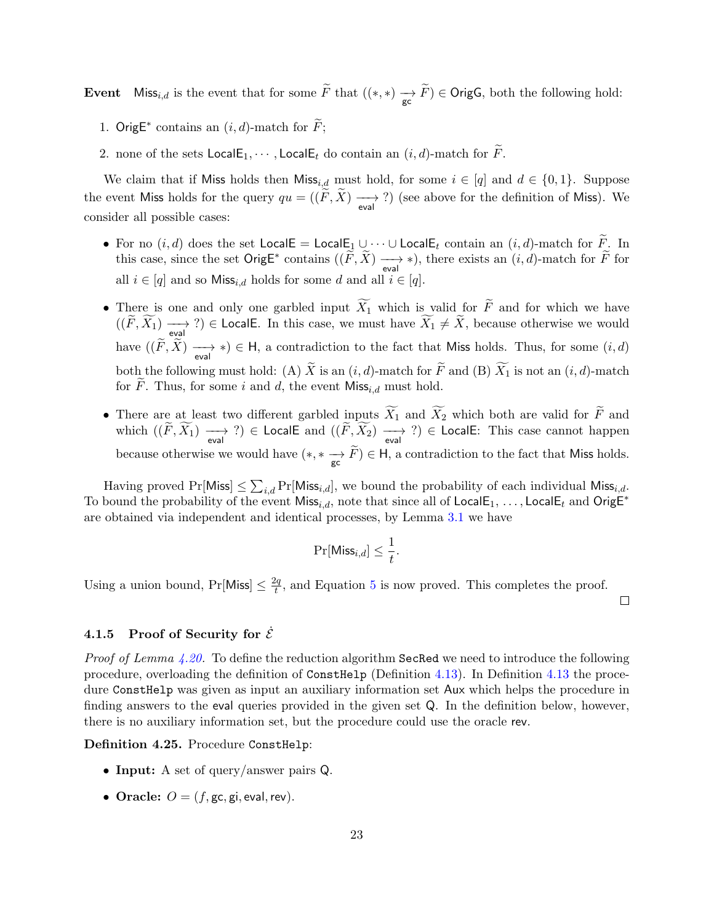**Event** Miss<sub>i,d</sub> is the event that for some F that  $((*,*) \rightarrow F) \in \text{OrigG},$  both the following hold:

- 1. OrigE<sup>\*</sup> contains an  $(i, d)$ -match for  $\widetilde{F}$ ;
- 2. none of the sets  $\mathsf{LocalE}_1, \cdots, \mathsf{LocalE}_t$  do contain an  $(i, d)$ -match for  $\widetilde{F}$ .

We claim that if Miss holds then Miss<sub>i,d</sub> must hold, for some  $i \in [q]$  and  $d \in \{0,1\}$ . Suppose the event Miss holds for the query  $qu = ((F, X) \longrightarrow ?)$  (see above for the definition of Miss). We consider all possible cases:

- For no  $(i, d)$  does the set LocalE = LocalE<sub>1</sub> ∪  $\cdots$  ∪ LocalE<sub>t</sub> contain an  $(i, d)$ -match for  $\widetilde{F}$ . In this case, since the set  $\text{OrigE}^*$  contains  $((\widetilde{F}, \widetilde{X}) \longrightarrow *)$ , there exists an  $(i, d)$ -match for  $\widetilde{F}$  for all  $i \in [q]$  and so Miss<sub>i,d</sub> holds for some d and all  $i \in [q]$ .
- There is one and only one garbled input  $X_1$  which is valid for F and for which we have  $((F, X_1) \longrightarrow ?) \in$  LocalE. In this case, we must have  $X_1 \neq X$ , because otherwise we would have  $((F, X) \longrightarrow *) \in H$ , a contradiction to the fact that Miss holds. Thus, for some  $(i, d)$ both the following must hold: (A)  $\widetilde{X}$  is an  $(i, d)$ -match for  $\widetilde{F}$  and (B)  $\widetilde{X_1}$  is not an  $(i, d)$ -match for  $\widetilde{F}$ . Thus, for some i and d, the event  $\widetilde{Miss}_{i,d}$  must hold.
- There are at least two different garbled inputs  $X_1$  and  $X_2$  which both are valid for F and which  $((F, X_1) \longrightarrow ?) \in \mathsf{LocalE}$  and  $((F, X_2) \longrightarrow ?) \in \mathsf{LocalE}$ : This case cannot happen because otherwise we would have  $(*, * \longrightarrow_F) \in H$ , a contradiction to the fact that Miss holds.

Having proved  $Pr[Miss] \leq \sum_{i,d} Pr[Miss_{i,d}]$ , we bound the probability of each individual Miss<sub>i,d</sub>. To bound the probability of the event Miss<sub>i,d</sub>, note that since all of  $LocalE_1, \ldots, LocalE_t$  and  $OrigE^*$ are obtained via independent and identical processes, by Lemma [3.1](#page-10-2) we have

$$
\Pr[\mathsf{Miss}_{i,d}] \leq \frac{1}{t}.
$$

Using a union bound,  $Pr[Miss] \leq \frac{2q}{t}$  $\frac{t}{t}$ , and Equation [5](#page-21-0) is now proved. This completes the proof.

 $\Box$ 

#### <span id="page-22-0"></span>4.1.5 Proof of Security for  $\dot{\mathcal{E}}$

*Proof of Lemma [4.20.](#page-19-3)* To define the reduction algorithm SecRed we need to introduce the following procedure, overloading the definition of ConstHelp (Definition [4.13\)](#page-17-2). In Definition [4.13](#page-17-2) the procedure ConstHelp was given as input an auxiliary information set Aux which helps the procedure in finding answers to the eval queries provided in the given set Q. In the definition below, however, there is no auxiliary information set, but the procedure could use the oracle rev.

<span id="page-22-1"></span>Definition 4.25. Procedure ConstHelp:

- Input: A set of query/answer pairs Q.
- Oracle:  $O = (f, gc, gi, eval, rev)$ .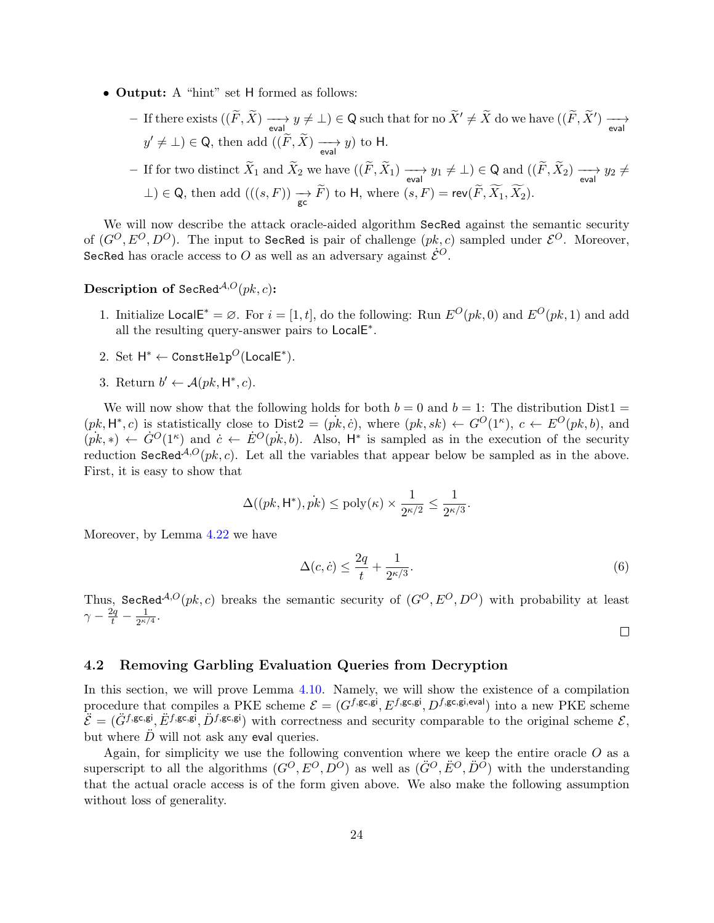- Output: A "hint" set H formed as follows:
	- $-$  If there exists  $((\tilde{F}, \tilde{X}) \longrightarrow_{eval} y \neq \bot) \in \mathsf{Q}$  such that for no  $\tilde{X}' \neq \tilde{X}$  do we have  $((\tilde{F}, \tilde{X}') \longrightarrow_{eval} y \neq \bot)$  $y' \neq \bot$ )  $\in \mathsf{Q}$ , then add  $((\widetilde{F}, \widetilde{X}) \longrightarrow_{\text{eval}} y)$  to H.
	- $-$  If for two distinct  $X_1$  and  $X_2$  we have  $((F, X_1) \longrightarrow_{\text{eval}} y_1 \neq \bot) \in \mathbb{Q}$  and  $((F, X_2) \longrightarrow_{\text{eval}} y_2 \neq \bot)$  $\bot) \in \mathsf{Q}$ , then add  $(((s, F)) \longrightarrow_{\mathsf{gc}} F)$  to H, where  $(s, F) = \mathsf{rev}(F, X_1, X_2)$ .

We will now describe the attack oracle-aided algorithm SecRed against the semantic security of  $(G^O, E^O, D^O)$ . The input to SecRed is pair of challenge  $(pk, c)$  sampled under  $\mathcal{E}^O$ . Moreover, SecRed has oracle access to O as well as an adversary against  $\dot{\mathcal{E}}^O$ .

Description of SecRed<sup> $A, O(pk, c)$ :</sup>

- 1. Initialize LocalE<sup>∗</sup> = ∅. For  $i = [1, t]$ , do the following: Run  $E^{O}(pk, 0)$  and  $E^{O}(pk, 1)$  and add all the resulting query-answer pairs to LocalE<sup>∗</sup> .
- 2. Set  $H^* \leftarrow \texttt{ConstHelp}^O(\textsf{LocalE}^*).$
- 3. Return  $b' \leftarrow \mathcal{A}(pk, \mathsf{H}^*, c)$ .

We will now show that the following holds for both  $b = 0$  and  $b = 1$ : The distribution Dist1 =  $(pk, H^*, c)$  is statistically close to Dist2 =  $(\dot{pk}, \dot{c})$ , where  $(pk, sk) \leftarrow G^O(1^{\kappa})$ ,  $c \leftarrow E^O(pk, b)$ , and  $(pk, *) \leftarrow G^O(1^{\kappa})$  and  $c \leftarrow E^O(pk, b)$ . Also,  $H^*$  is sampled as in the execution of the security reduction SecRed<sup>A,O</sup>(pk, c). Let all the variables that appear below be sampled as in the above. First, it is easy to show that

$$
\Delta((pk, \mathsf{H}^*), \dot{pk}) \le \text{poly}(\kappa) \times \frac{1}{2^{\kappa/2}} \le \frac{1}{2^{\kappa/3}}.
$$

Moreover, by Lemma [4.22](#page-20-0) we have

$$
\Delta(c,\dot{c}) \le \frac{2q}{t} + \frac{1}{2^{\kappa/3}}.\tag{6}
$$

Thus, SecRed<sup>A,O</sup>(pk,c) breaks the semantic security of  $(G^O, E^O, D^O)$  with probability at least  $\gamma - \frac{2q}{t} - \frac{1}{2^{\kappa/2}}$  $\frac{1}{2^{\kappa/4}}.$ 

#### $\Box$

#### <span id="page-23-0"></span>4.2 Removing Garbling Evaluation Queries from Decryption

In this section, we will prove Lemma [4.10.](#page-16-3) Namely, we will show the existence of a compilation procedure that compiles a PKE scheme  $\mathcal{E} = (G^{f,\text{gc},\text{gi}}, E^{f,\text{gc},\text{gi}}, D^{f,\text{gc},\text{gi},\text{eval}})$  into a new PKE scheme  $\mathcal{E} = (\mathcal{G}^{f,\text{gc},\text{gi}}, \mathcal{E}^{f,\text{gc},\text{gi}}, \mathcal{D}^{f,\text{gc},\text{gi}})$  with correctness and security comparable to the original scheme  $\mathcal{E},$ but where  $\ddot{D}$  will not ask any eval queries.

Again, for simplicity we use the following convention where we keep the entire oracle  $O$  as a superscript to all the algorithms  $(G^O, E^O, D^O)$  as well as  $(\ddot{G}^O, \ddot{E}^O, \ddot{D}^O)$  with the understanding that the actual oracle access is of the form given above. We also make the following assumption without loss of generality.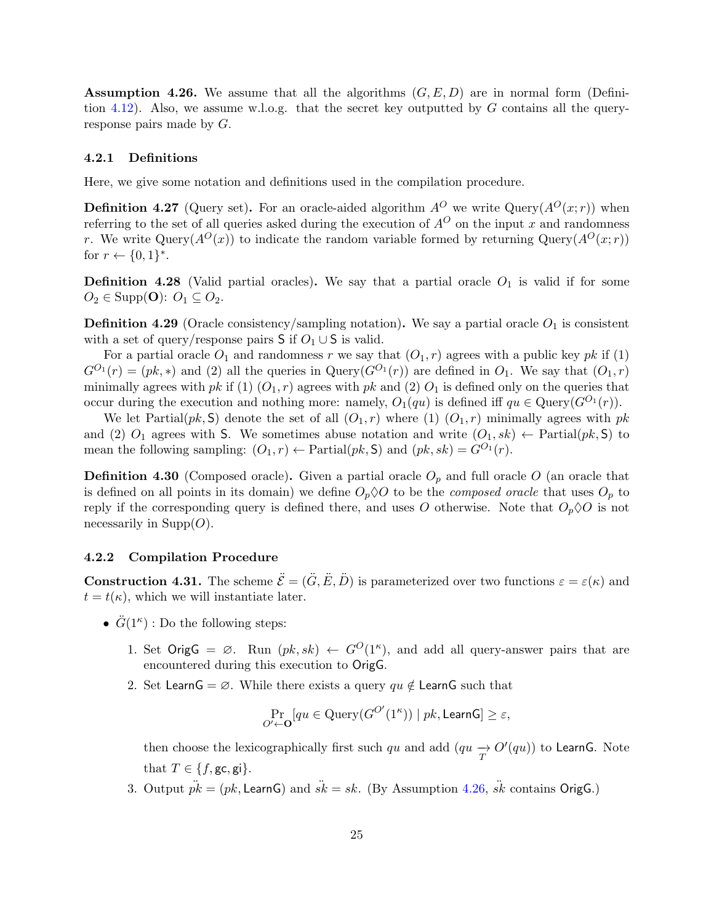<span id="page-24-2"></span>**Assumption 4.26.** We assume that all the algorithms  $(G, E, D)$  are in normal form (Definition [4.12\)](#page-17-1). Also, we assume w.l.o.g. that the secret key outputted by G contains all the queryresponse pairs made by  $G$ .

#### <span id="page-24-0"></span>4.2.1 Definitions

Here, we give some notation and definitions used in the compilation procedure.

**Definition 4.27** (Query set). For an oracle-aided algorithm  $A^O$  we write Query( $A^O(x; r)$ ) when referring to the set of all queries asked during the execution of  $A^O$  on the input x and randomness r. We write Query( $A^{O}(x)$ ) to indicate the random variable formed by returning Query( $A^{O}(x; r)$ ) for  $r \leftarrow \{0,1\}^*$ .

<span id="page-24-4"></span>**Definition 4.28** (Valid partial oracles). We say that a partial oracle  $O<sub>1</sub>$  is valid if for some  $O_2 \in \text{Supp}(\mathbf{O})$ :  $O_1 \subseteq O_2$ .

**Definition 4.29** (Oracle consistency/sampling notation). We say a partial oracle  $O<sub>1</sub>$  is consistent with a set of query/response pairs S if  $O_1 \cup S$  is valid.

For a partial oracle  $O_1$  and randomness r we say that  $(O_1, r)$  agrees with a public key pk if (1)  $G^{O_1}(r) = (pk, *)$  and (2) all the queries in Query( $G^{O_1}(r)$ ) are defined in  $O_1$ . We say that  $(O_1, r)$ minimally agrees with pk if (1)  $(O_1, r)$  agrees with pk and (2)  $O_1$  is defined only on the queries that occur during the execution and nothing more: namely,  $O_1(qu)$  is defined iff  $qu \in \text{Query}(G^{O_1}(r))$ .

We let Partial( $pk$ , S) denote the set of all  $(O_1, r)$  where (1)  $(O_1, r)$  minimally agrees with pk and (2)  $O_1$  agrees with S. We sometimes abuse notation and write  $(O_1, sk) \leftarrow$  Partial $(pk, S)$  to mean the following sampling:  $(O_1, r) \leftarrow$  Partial $(pk, S)$  and  $(pk, sk) = G^{O_1}(r)$ .

<span id="page-24-5"></span>**Definition 4.30** (Composed oracle). Given a partial oracle  $O_p$  and full oracle O (an oracle that is defined on all points in its domain) we define  $O_p \Diamond O$  to be the *composed oracle* that uses  $O_p$  to reply if the corresponding query is defined there, and uses O otherwise. Note that  $O_p \Diamond O$  is not necessarily in  $\text{Supp}(O)$ .

#### <span id="page-24-1"></span>4.2.2 Compilation Procedure

<span id="page-24-3"></span>**Construction 4.31.** The scheme  $\ddot{\mathcal{E}} = (\ddot{G}, \ddot{E}, \ddot{D})$  is parameterized over two functions  $\varepsilon = \varepsilon(\kappa)$  and  $t = t(\kappa)$ , which we will instantiate later.

- $\ddot{G}(1^{\kappa})$ : Do the following steps:
	- 1. Set OrigG =  $\emptyset$ . Run  $(pk, sk) \leftarrow G^O(1^{\kappa})$ , and add all query-answer pairs that are encountered during this execution to OrigG.
	- 2. Set LearnG =  $\emptyset$ . While there exists a query  $qu \notin$  LearnG such that

$$
\Pr_{O'\leftarrow\mathbf{O}}[qu\in\mathrm{Query}(G^{O'}(1^{\kappa}))\mid pk,\mathsf{LearnG}]\ge\varepsilon,
$$

then choose the lexicographically first such  $qu$  and add  $(qu \to Q'(qu))$  to LearnG. Note that  $T \in \{f, \text{gc}, \text{gi}\}.$ 

3. Output  $\ddot{pk} = (pk, \text{LearnG})$  and  $\ddot{sk} = sk$ . (By Assumption [4.26,](#page-24-2)  $\ddot{sk}$  contains OrigG.)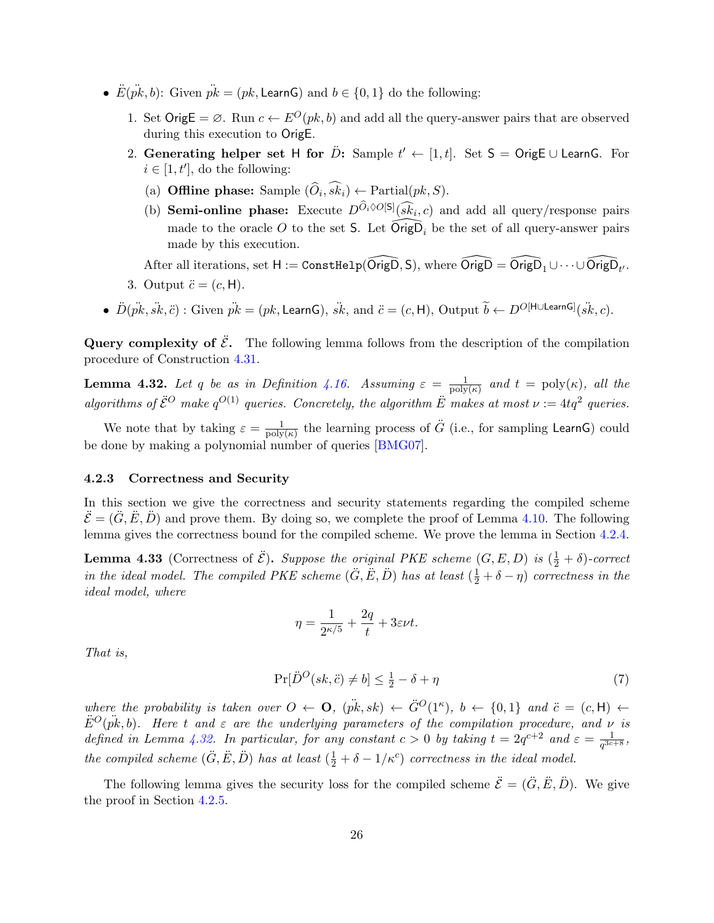- <span id="page-25-3"></span>•  $\ddot{E}(\ddot{pk}, b)$ : Given  $\ddot{pk} = (pk, \text{LearnG})$  and  $b \in \{0, 1\}$  do the following:
	- 1. Set OrigE =  $\emptyset$ . Run  $c \leftarrow E^O(pk, b)$  and add all the query-answer pairs that are observed during this execution to OrigE.
	- 2. Generating helper set H for  $\ddot{D}$ : Sample  $t' \leftarrow [1, t]$ . Set S = OrigE ∪ LearnG. For  $i \in [1, t']$ , do the following:
		- (a) **Offline phase:** Sample  $(O_i, sk_i) \leftarrow$  Partial $(pk, S)$ .
		- (b) **Semi-online phase:** Execute  $D^{\widehat{O}_i \lozenge O[|S|]}(\widehat{sk}_i, c)$  and add all query/response pairs made to the oracle O to the set S. Let  $\widehat{\text{OrigD}}_i$  be the set of all query-answer pairs made by this execution.

After all iterations, set  $\mathsf{H} := \texttt{ConstHelp}(\widehat{\textsf{OrigD}}, \mathsf{S}),$  where  $\widehat{\textsf{OrigD}} = \widehat{\textsf{OrigD}}_1 \cup \cdots \cup \widehat{\textsf{OrigD}}_{t'}.$ 

- 3. Output  $\ddot{c} = (c, H)$ .
- $\ddot{D}(\ddot{pk}, \ddot{sk}, \ddot{c})$ : Given  $\ddot{pk} = (pk, \text{LearnG}), \ddot{sk}, \text{ and } \ddot{c} = (c, \text{H}),$  Output  $\widetilde{b} \leftarrow D^{O[\text{HULearnG}]}(\ddot{sk}, c)$ .

Query complexity of  $\ddot{\mathcal{E}}$ . The following lemma follows from the description of the compilation procedure of Construction [4.31.](#page-24-3)

<span id="page-25-2"></span>**Lemma 4.32.** Let q be as in Definition [4.16.](#page-18-1) Assuming  $\varepsilon = \frac{1}{\text{poly}}$  $\frac{1}{\text{poly}(\kappa)}$  and  $t = \text{poly}(\kappa)$ , all the algorithms of  $\ddot{\mathcal{E}}^O$  make  $q^{O(1)}$  queries. Concretely, the algorithm  $\ddot{E}$  makes at most  $\nu := 4tq^2$  queries.

We note that by taking  $\varepsilon = \frac{1}{\text{poly}}$  $\frac{1}{\text{poly}(\kappa)}$  the learning process of  $\ddot{G}$  (i.e., for sampling LearnG) could be done by making a polynomial number of queries [\[BMG07\]](#page-42-9).

#### <span id="page-25-0"></span>4.2.3 Correctness and Security

In this section we give the correctness and security statements regarding the compiled scheme  $\mathcal{E} = (\ddot{G}, \ddot{E}, \ddot{D})$  and prove them. By doing so, we complete the proof of Lemma [4.10.](#page-16-3) The following lemma gives the correctness bound for the compiled scheme. We prove the lemma in Section [4.2.4.](#page-26-0)

<span id="page-25-1"></span>**Lemma 4.33** (Correctness of  $\ddot{\mathcal{E}}$ ). Suppose the original PKE scheme  $(G, E, D)$  is  $(\frac{1}{2} + \delta)$ -correct in the ideal model. The compiled PKE scheme  $(\ddot{G}, \ddot{E}, \ddot{D})$  has at least  $(\frac{1}{2} + \delta - \eta)$  correctness in the ideal model, where

$$
\eta = \frac{1}{2^{\kappa/5}} + \frac{2q}{t} + 3\varepsilon \nu t.
$$

That is,

$$
\Pr[\ddot{D}^O(sk, \ddot{c}) \neq b] \le \frac{1}{2} - \delta + \eta \tag{7}
$$

where the probability is taken over  $O \leftarrow \mathbf{O}$ ,  $(\mathring{pk}, sk) \leftarrow \mathring{G}^O(1^{\kappa})$ ,  $b \leftarrow \{0,1\}$  and  $\ddot{c} = (c, \mathsf{H}) \leftarrow$  $\ddot{E}^O(\ddot{pk}, b)$ . Here t and  $\varepsilon$  are the underlying parameters of the compilation procedure, and  $\nu$  is defined in Lemma [4.32.](#page-25-2) In particular, for any constant  $c > 0$  by taking  $t = 2q^{c+2}$  and  $\varepsilon = \frac{1}{a^{3c}}$  $\frac{1}{q^{3c+8}},$ the compiled scheme  $(\ddot{G}, \ddot{E}, \ddot{D})$  has at least  $(\frac{1}{2} + \delta - 1/\kappa^c)$  correctness in the ideal model.

The following lemma gives the security loss for the compiled scheme  $\ddot{\mathcal{E}} = (\ddot{G}, \ddot{E}, \ddot{D})$ . We give the proof in Section [4.2.5.](#page-33-0)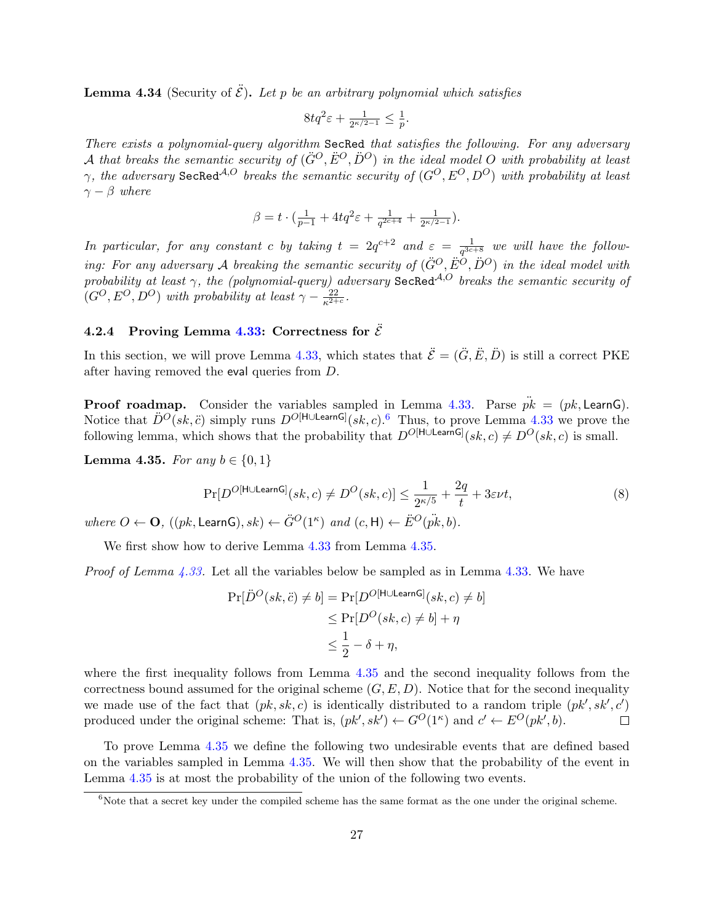<span id="page-26-1"></span>**Lemma 4.34** (Security of  $\ddot{\mathcal{E}}$ ). Let p be an arbitrary polynomial which satisfies

$$
8tq^2\varepsilon + \frac{1}{2^{\kappa/2 - 1}} \le \frac{1}{p}.
$$

There exists a polynomial-query algorithm SecRed that satisfies the following. For any adversary A that breaks the semantic security of  $(\ddot{G}^O, \ddot{E}^O, \ddot{D}^O)$  in the ideal model O with probability at least  $\gamma$ , the adversary SecRed<sup>A,O</sup> breaks the semantic security of  $(G^O, E^O, D^O)$  with probability at least  $\gamma - \beta$  where

$$
\beta=t\cdot\big(\tfrac{1}{p-1}+4tq^2\varepsilon+\tfrac{1}{q^{2c+4}}+\tfrac{1}{2^{\kappa/2-1}}\big).
$$

In particular, for any constant c by taking  $t = 2q^{c+2}$  and  $\varepsilon = \frac{1}{a^{3c}}$  $\frac{1}{q^{3c+8}}$  we will have the following: For any adversary A breaking the semantic security of  $(\ddot{G}^O, \ddot{E}^O, \ddot{D}^O)$  in the ideal model with probability at least  $\gamma$ , the (polynomial-query) adversary SecRed<sup>A,O</sup> breaks the semantic security of  $(G^O, E^O, D^O)$  with probability at least  $\gamma - \frac{22}{\kappa^2 + c}$ .

### <span id="page-26-0"></span>4.2.4 Proving Lemma [4.33:](#page-25-1) Correctness for  $\ddot{\mathcal{E}}$

In this section, we will prove Lemma [4.33,](#page-25-1) which states that  $\ddot{\mathcal{E}} = (\ddot{G}, \ddot{E}, \ddot{D})$  is still a correct PKE after having removed the eval queries from D.

**Proof roadmap.** Consider the variables sampled in Lemma [4.33.](#page-25-1) Parse  $\ddot{pk} = (pk, \text{LearnG})$ . Notice that  $\ddot{D}^{O}(sk, \ddot{c})$  simply runs  $D^{O[H \cup \text{LearnG}]}(sk, c)$ . Thus, to prove Lemma [4.33](#page-25-1) we prove the following lemma, which shows that the probability that  $D^{O[H\cup \text{LearnG}]}(sk, c) \neq D^{O}(sk, c)$  is small.

<span id="page-26-3"></span>**Lemma 4.35.** For any  $b \in \{0, 1\}$ 

$$
\Pr[D^{O[\text{HULearnG}]}(sk, c) \neq D^{O}(sk, c)] \le \frac{1}{2^{\kappa/5}} + \frac{2q}{t} + 3\varepsilon\nu t,\tag{8}
$$

where  $O \leftarrow \mathbf{O}$ ,  $((pk, \text{LearnG}), sk) \leftarrow \ddot{G}^O(1^{\kappa})$  and  $(c, H) \leftarrow \ddot{E}^O(\ddot{pk}, b)$ .

We first show how to derive Lemma [4.33](#page-25-1) from Lemma [4.35.](#page-26-3)

*Proof of Lemma [4.33.](#page-25-1)* Let all the variables below be sampled as in Lemma 4.33. We have

$$
\Pr[\ddot{D}^{O}(sk, \ddot{c}) \neq b] = \Pr[D^{O[\text{H}\cup \text{LearnG}]}(sk, c) \neq b] \leq \Pr[D^{O}(sk, c) \neq b] + \eta \leq \frac{1}{2} - \delta + \eta,
$$

where the first inequality follows from Lemma [4.35](#page-26-3) and the second inequality follows from the correctness bound assumed for the original scheme  $(G, E, D)$ . Notice that for the second inequality we made use of the fact that  $(pk, sk, c)$  is identically distributed to a random triple  $(pk', sk', c')$ produced under the original scheme: That is,  $(pk', sk') \leftarrow G^O(1^{\kappa})$  and  $c' \leftarrow E^O(pk', b)$ .  $\Box$ 

To prove Lemma [4.35](#page-26-3) we define the following two undesirable events that are defined based on the variables sampled in Lemma [4.35.](#page-26-3) We will then show that the probability of the event in Lemma [4.35](#page-26-3) is at most the probability of the union of the following two events.

<span id="page-26-2"></span> $6N$ ote that a secret key under the compiled scheme has the same format as the one under the original scheme.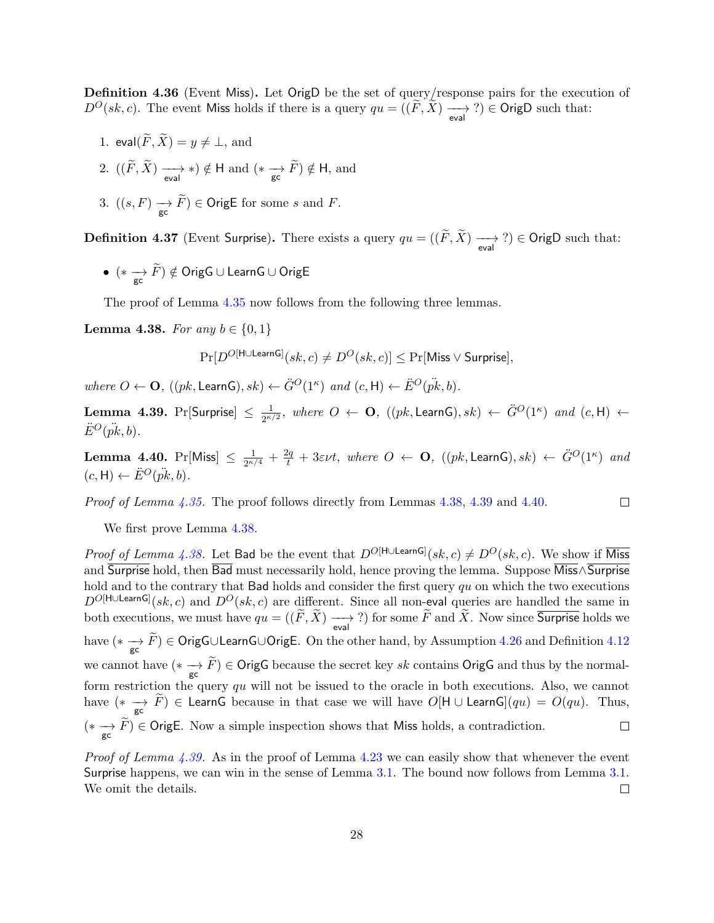Definition 4.36 (Event Miss). Let OrigD be the set of query/response pairs for the execution of  $D^{O}(sk, c)$ . The event Miss holds if there is a query  $qu = ((\widetilde{F}, \widetilde{X}) \longrightarrow ?) \in \text{OrigD such that:}$ 

- 1. eval $(\widetilde{F}, \widetilde{X}) = y \neq \bot$ , and
- 2.  $((F, X) \longrightarrow_{eval} *) \notin H$  and  $(* \longrightarrow_{gc} F) \notin H$ , and
- 3.  $((s, F) \longrightarrow F) \in \text{OrigE}$  for some s and F.

**Definition 4.37** (Event Surprise). There exists a query  $qu = ((F, X) \longrightarrow ?) \in$  OrigD such that:

 $\bullet \hspace{0.1cm} (* \longrightarrow F) \notin \mathsf{OrigG} \cup \mathsf{LearnG} \cup \mathsf{OrigE}$ 

The proof of Lemma [4.35](#page-26-3) now follows from the following three lemmas.

<span id="page-27-0"></span>**Lemma 4.38.** For any  $b \in \{0, 1\}$ 

$$
\Pr[D^{O[\text{H}\cup \text{LearnG}]}(sk, c) \neq D^{O}(sk, c)] \leq \Pr[\text{Miss } \vee \text{Surprise}],
$$

where  $O \leftarrow \mathbf{O}$ ,  $((pk, \text{LearnG}), sk) \leftarrow \ddot{G}^O(1^{\kappa})$  and  $(c, H) \leftarrow \ddot{E}^O(\ddot{pk}, b)$ .

<span id="page-27-1"></span>Lemma 4.39. Pr $[\textsf{Surprise}] \leq \frac{1}{26}$  $\frac{1}{2^{k/2}}$ , where  $O \leftarrow \mathbf{O}$ ,  $((pk, \textsf{LearnG}), sk) \leftarrow \ddot{G}^O(1^k)$  and  $(c, H) \leftarrow$  $\ddot{E}^O(\ddot{pk}, b)$ .

<span id="page-27-2"></span>**Lemma 4.40.** Pr[Miss]  $\leq \frac{1}{2\kappa}$  $\frac{1}{2^{\kappa/4}}+\frac{2q}{t}+3\varepsilon\nu t$ , where  $O\leftarrow \mathbf{O}$ ,  $((pk,\textsf{LearnG}),sk) \leftarrow \ddot{G}^O(1^{\kappa})$  and  $(c, H) \leftarrow \ddot{E}^O(\ddot{pk}, b).$ 

 $\Box$ 

Proof of Lemma [4.35.](#page-26-3) The proof follows directly from Lemmas [4.38,](#page-27-0) [4.39](#page-27-1) and [4.40.](#page-27-2)

We first prove Lemma [4.38.](#page-27-0)

*Proof of Lemma [4.38.](#page-27-0)* Let Bad be the event that  $D^{O[H\cup \text{LearnG}]}(sk, c) \neq D^{O}(sk, c)$ . We show if Miss and Surprise hold, then Bad must necessarily hold, hence proving the lemma. Suppose Miss∧Surprise hold and to the contrary that  $Bad$  holds and consider the first query  $qu$  on which the two executions  $D^{O[H\cup \textsf{LearnG}]}(sk, c)$  and  $D^{O}(sk, c)$  are different. Since all non-eval queries are handled the same in both executions, we must have  $qu = ((F, X) \longrightarrow ?)$  for some F and X. Now since Surprise holds we have (\* → F) ∈ OrigG∪LearnG∪OrigE. On the other hand, by Assumption [4.26](#page-24-2) and Definition [4.12](#page-17-1) we cannot have  $(* \longrightarrow_F) \in \text{OrigG}$  because the secret key sk contains OrigG and thus by the normalform restriction the query qu will not be issued to the oracle in both executions. Also, we cannot have  $(* \longrightarrow F) \in$  LearnG because in that case we will have  $O[H \cup$  LearnG $](qu) = O(qu)$ . Thus,  $(* \longrightarrow_{\text{gc}} F) \in \text{OrigE}.$  Now a simple inspection shows that Miss holds, a contradiction.  $\Box$ 

*Proof of Lemma [4.39.](#page-27-1)* As in the proof of Lemma [4.23](#page-20-1) we can easily show that whenever the event Surprise happens, we can win in the sense of Lemma [3.1.](#page-10-2) The bound now follows from Lemma [3.1.](#page-10-2) We omit the details.  $\Box$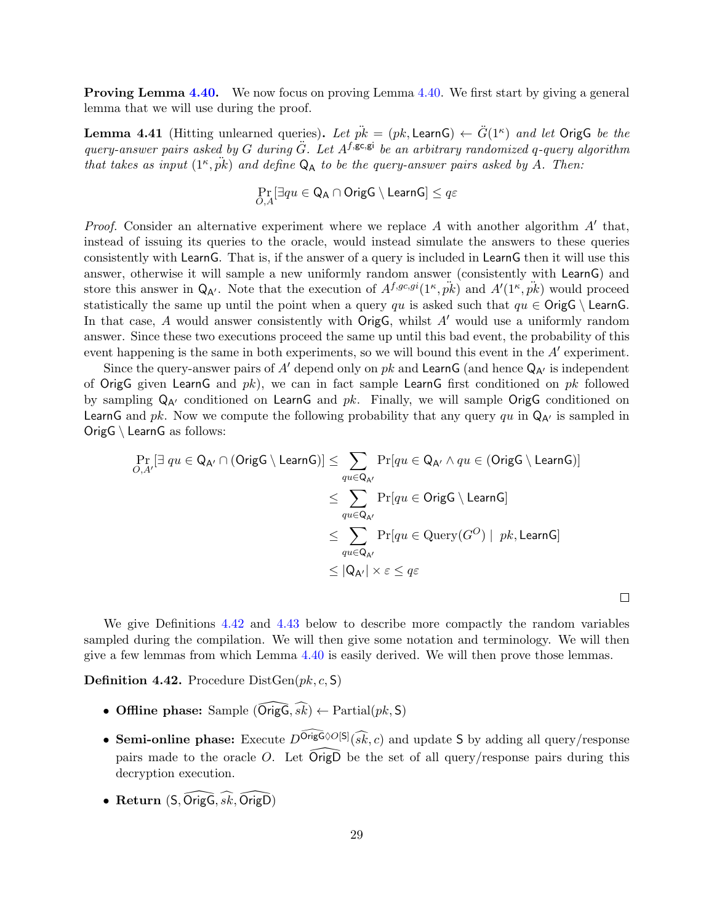**Proving Lemma [4.40.](#page-27-2)** We now focus on proving Lemma 4.40. We first start by giving a general lemma that we will use during the proof.

<span id="page-28-1"></span>**Lemma 4.41** (Hitting unlearned queries). Let  $\ddot{pk} = (pk, \text{LearnG}) \leftarrow \ddot{G}(1^{\kappa})$  and let OrigG be the query-answer pairs asked by G during  $\ddot{G}$ . Let  $A^{f, \text{gc}, \text{gi}}$  be an arbitrary randomized q-query algorithm that takes as input  $(1^{\kappa}, \ddot{pk})$  and define  $Q_A$  to be the query-answer pairs asked by A. Then:

$$
\Pr_{O,A}[\exists qu\in\mathsf{Q}_\mathsf{A}\cap\mathsf{OrigG}\setminus\mathsf{LearnG}]\leq q\varepsilon
$$

Proof. Consider an alternative experiment where we replace  $A$  with another algorithm  $A'$  that, instead of issuing its queries to the oracle, would instead simulate the answers to these queries consistently with LearnG. That is, if the answer of a query is included in LearnG then it will use this answer, otherwise it will sample a new uniformly random answer (consistently with LearnG) and store this answer in  $Q_{A'}$ . Note that the execution of  $A^{f,gc,gi}(1^{\kappa},\mu k)$  and  $A'(1^{\kappa},\mu k)$  would proceed statistically the same up until the point when a query qu is asked such that  $qu \in \text{OrigG} \setminus \text{LearnG}.$ In that case,  $A$  would answer consistently with  $\text{OrigG},$  whilst  $A'$  would use a uniformly random answer. Since these two executions proceed the same up until this bad event, the probability of this event happening is the same in both experiments, so we will bound this event in the  $A'$  experiment.

Since the query-answer pairs of A' depend only on pk and LearnG (and hence  $Q_{A'}$  is independent of OrigG given LearnG and  $pk$ ), we can in fact sample LearnG first conditioned on  $pk$  followed by sampling  $Q_{A'}$  conditioned on LearnG and pk. Finally, we will sample OrigG conditioned on LearnG and pk. Now we compute the following probability that any query qu in  $Q_{A'}$  is sampled in OrigG \ LearnG as follows:

$$
\Pr_{O,A'}[\exists \ qu \in \mathsf{Q}_{\mathsf{A}'} \cap (\mathsf{OrigG} \setminus \mathsf{LearnG})] \le \sum_{qu \in \mathsf{Q}_{\mathsf{A}'}} \Pr[qu \in \mathsf{Q}_{\mathsf{A}'} \land qu \in (\mathsf{OrigG} \setminus \mathsf{LearnG})]
$$
\n
$$
\le \sum_{qu \in \mathsf{Q}_{\mathsf{A}'}} \Pr[qu \in \mathsf{OrigG} \setminus \mathsf{LearnG}]
$$
\n
$$
\le \sum_{qu \in \mathsf{Q}_{\mathsf{A}'}} \Pr[qu \in \mathsf{Query}(G^O) \mid pk, \mathsf{LearnG}]
$$
\n
$$
\le |\mathsf{Q}_{\mathsf{A}'}| \times \varepsilon \le q\varepsilon
$$

 $\Box$ 

We give Definitions [4.42](#page-28-0) and [4.43](#page-29-0) below to describe more compactly the random variables sampled during the compilation. We will then give some notation and terminology. We will then give a few lemmas from which Lemma [4.40](#page-27-2) is easily derived. We will then prove those lemmas.

<span id="page-28-0"></span>**Definition 4.42.** Procedure Dist $Gen(pk, c, S)$ 

- Offline phase: Sample  $(\widehat{\text{OrigG}}, \widehat{sk}) \leftarrow \text{Partial}(pk, S)$
- Semi-online phase: Execute  $\widehat{D^{Orig} \otimes \mathcal{O}[S]}(\widehat{sk}, c)$  and update S by adding all query/response pairs made to the oracle O. Let  $\widehat{\text{OrigD}}$  be the set of all query/response pairs during this decryption execution.
- Return  $(S, \widehat{OrigG}, \widehat{sk}, \widehat{OrigD} )$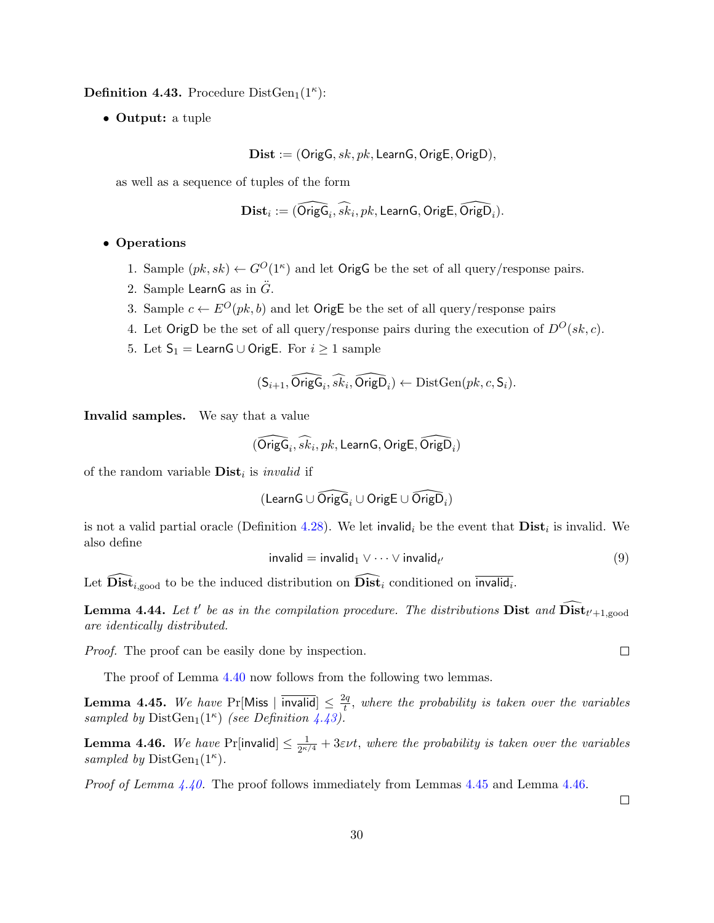<span id="page-29-0"></span>Definition 4.43. Procedure  $DistGen_1(1^{\kappa})$ :

• Output: a tuple

 $Dist := (OrigG, sk, pk, LearnG, OrigE, OrigD),$ 

as well as a sequence of tuples of the form

$$
\mathbf{Dist}_i := (\widehat{\mathsf{OrigG}}_i, \widehat{sk}_i, pk, \mathsf{LearnG}, \mathsf{OrigE}, \widehat{\mathsf{OrigD}}_i).
$$

#### • Operations

- 1. Sample  $(pk, sk) \leftarrow G^O(1^{\kappa})$  and let OrigG be the set of all query/response pairs.
- 2. Sample LearnG as in  $\ddot{G}$ .
- 3. Sample  $c \leftarrow E^O(pk, b)$  and let OrigE be the set of all query/response pairs
- 4. Let OrigD be the set of all query/response pairs during the execution of  $D^{O}(sk, c)$ .
- 5. Let  $S_1$  = LearnG ∪ OrigE. For  $i \ge 1$  sample

$$
(\mathsf{S}_{i+1}, \widehat{\mathsf{OrigG}}_i, \widehat{sk}_i, \widehat{\mathsf{OrigD}}_i) \leftarrow \mathrm{DistGen}(pk, c, \mathsf{S}_i).
$$

Invalid samples. We say that a value

$$
(\widehat{\mathsf{OrigG}}_i, \widehat{sk}_i, pk, \mathsf{LearnG}, \mathsf{OrigE}, \widehat{\mathsf{OrigD}}_i)
$$

of the random variable  $Dist_i$  is *invalid* if

$$
(\mathsf{LearnG}\cup\widehat{\mathsf{OrigG}}_i\cup\mathsf{OrigE}\cup\widehat{\mathsf{OrigD}}_i)
$$

is not a valid partial oracle (Definition [4.28\)](#page-24-4). We let invalid<sub>i</sub> be the event that  $Dist_i$  is invalid. We also define

$$
invalid = invalid_1 \vee \cdots \vee invalid_{t'} \tag{9}
$$

Let  $\widehat{\text{Dist}}_{i,\text{good}}$  to be the induced distribution on  $\widehat{\text{Dist}}_i$  conditioned on  $\widehat{\text{invalid}}_i$ .

<span id="page-29-3"></span>**Lemma 4.44.** Let t' be as in the compilation procedure. The distributions **Dist** and  $\widehat{\text{Dist}}_{t'+1, \text{good}}$ are identically distributed.

Proof. The proof can be easily done by inspection.

The proof of Lemma [4.40](#page-27-2) now follows from the following two lemmas.

<span id="page-29-1"></span>**Lemma 4.45.** We have Pr[Miss  $\vert$   $\overline{invalid}$ ]  $\leq \frac{2q}{t}$  $\frac{t_{q}}{t}$ , where the probability is taken over the variables sampled by DistGen<sub>1</sub>(1<sup> $\kappa$ </sup>) (see Definition [4.43\)](#page-29-0).

<span id="page-29-2"></span>**Lemma 4.46.** We have Pr[invalid]  $\leq \frac{1}{2\pi}$  $\frac{1}{2^{k/4}}+3\varepsilon\nu t$ , where the probability is taken over the variables sampled by  $DistGen_1(1^{\kappa})$ .

*Proof of Lemma [4.40.](#page-27-2)* The proof follows immediately from Lemmas [4.45](#page-29-1) and Lemma [4.46.](#page-29-2)

 $\Box$ 

 $\Box$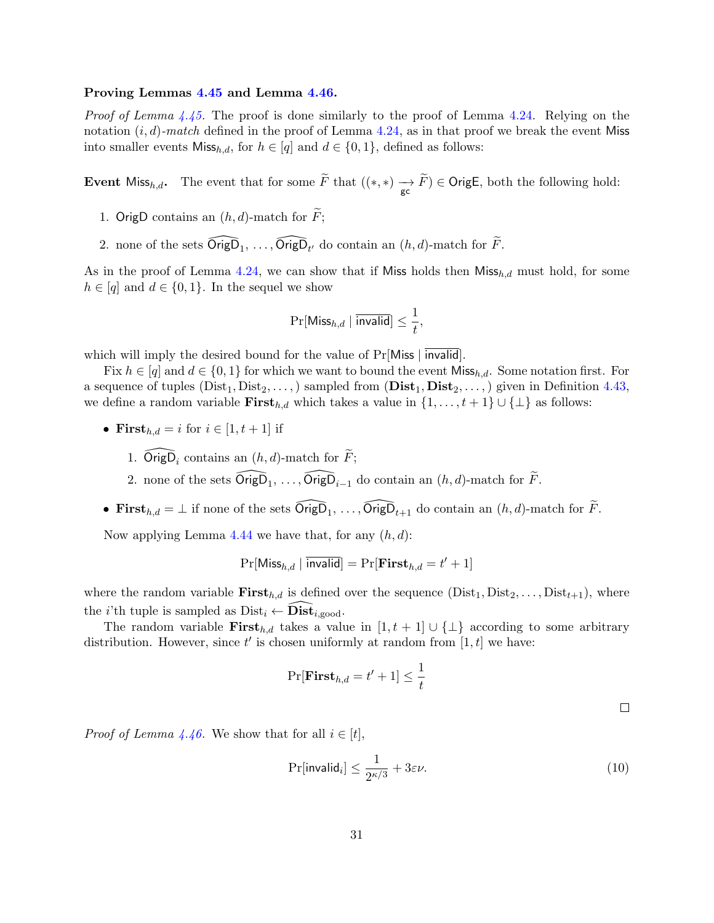#### Proving Lemmas [4.45](#page-29-1) and Lemma [4.46.](#page-29-2)

*Proof of Lemma [4.45.](#page-29-1)* The proof is done similarly to the proof of Lemma [4.24.](#page-20-2) Relying on the notation  $(i, d)$ -match defined in the proof of Lemma [4.24,](#page-20-2) as in that proof we break the event Miss into smaller events  $\mathsf{Miss}_{h,d}$ , for  $h \in [q]$  and  $d \in \{0,1\}$ , defined as follows:

**Event Miss**<sub>h,d</sub>. The event that for some F that  $((*,*) \rightarrow F) \in \text{OrigE}$ , both the following hold:

- 1. OrigD contains an  $(h, d)$ -match for  $\overline{F}$ ;
- 2. none of the sets  $\widehat{\text{OrigD}}_1, \ldots, \widehat{\text{OrigD}}_{t'}$  do contain an  $(h, d)$ -match for  $\widetilde{F}$ .

As in the proof of Lemma [4.24,](#page-20-2) we can show that if Miss holds then  $Miss_{h,d}$  must hold, for some  $h \in [q]$  and  $d \in \{0, 1\}$ . In the sequel we show

$$
\Pr[\mathsf{Miss}_{h, d} \mid \overline{\mathsf{invalid}}] \le \frac{1}{t},
$$

which will imply the desired bound for the value of  $Pr[M]$  invalid.

Fix  $h \in [q]$  and  $d \in \{0, 1\}$  for which we want to bound the event Miss<sub>h,d</sub>. Some notation first. For a sequence of tuples  $(Dist_1, Dist_2, \ldots)$  sampled from  $(Dist_1, Dist_2, \ldots)$  given in Definition [4.43,](#page-29-0) we define a random variable  $\textbf{First}_{h,d}$  which takes a value in  $\{1,\ldots,t+1\}\cup\{\perp\}$  as follows:

- First $t_{h,d} = i$  for  $i \in [1, t+1]$  if
	- 1.  $\widehat{\text{OrigD}_i}$  contains an  $(h, d)$ -match for  $\widetilde{F}$ ;
	- 2. none of the sets  $\widehat{\text{OrigD}}_1, \ldots, \widehat{\text{OrigD}}_{i-1}$  do contain an  $(h, d)$ -match for  $\widetilde{F}$ .
- First $h_{n,d} = \perp$  if none of the sets  $\widehat{\text{OrigD}}_1, \ldots, \widehat{\text{OrigD}}_{t+1}$  do contain an  $(h, d)$ -match for  $\widetilde{F}$ .

Now applying Lemma [4.44](#page-29-3) we have that, for any  $(h, d)$ :

$$
\Pr[\mathsf{Miss}_{h,d} \mid \overline{\mathsf{invalid}}] = \Pr[\mathbf{First}_{h,d} = t' + 1]
$$

where the random variable  $\textbf{First}_{h,d}$  is defined over the sequence  $(\text{Dist}_1, \text{Dist}_2, \ldots, \text{Dist}_{t+1}),$  where the *i*'th tuple is sampled as  $Dist_i \leftarrow Dist_{i, good}$ .

The random variable  $\textbf{First}_{h,d}$  takes a value in  $[1, t + 1] \cup \{\perp\}$  according to some arbitrary distribution. However, since  $t'$  is chosen uniformly at random from [1,  $t$ ] we have:

$$
\Pr[\mathbf{First}_{h,d}=t'+1]\leq \frac{1}{t}
$$

 $\Box$ 

*Proof of Lemma [4.46.](#page-29-2)* We show that for all  $i \in [t]$ ,

<span id="page-30-0"></span>
$$
\Pr[\text{invalid}_i] \le \frac{1}{2^{\kappa/3}} + 3\varepsilon\nu. \tag{10}
$$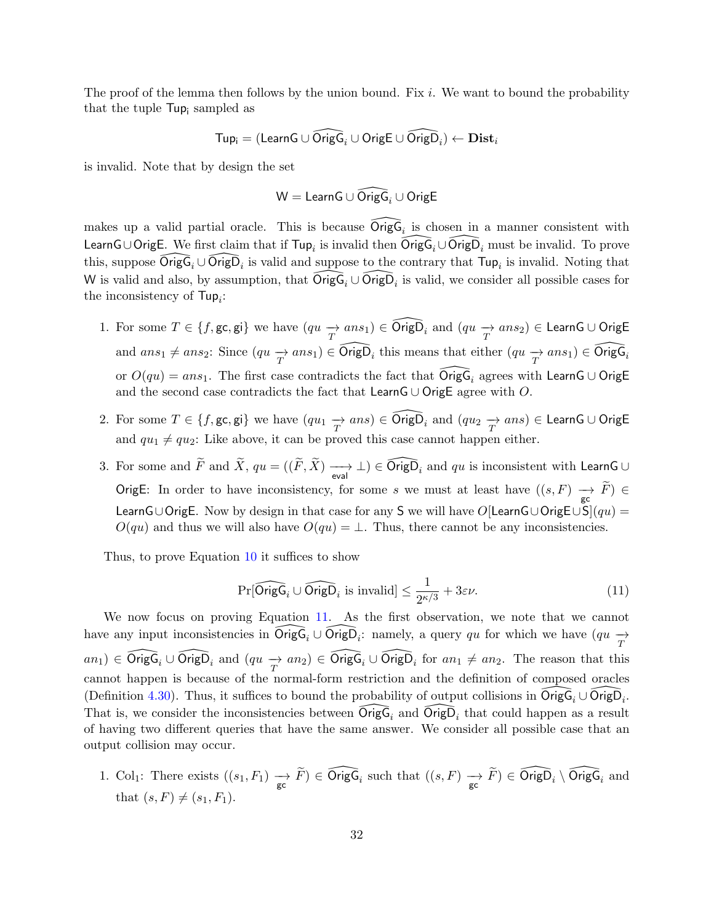The proof of the lemma then follows by the union bound. Fix  $i$ . We want to bound the probability that the tuple Tup<sup>i</sup> sampled as

$$
\mathsf{Tup}_{\mathsf{i}} = (\mathsf{LearnG} \cup \widehat{\mathsf{OrigG}}_i \cup \mathsf{OrigE} \cup \widehat{\mathsf{OrigD}}_i) \leftarrow \mathbf{Dist}_i
$$

is invalid. Note that by design the set

$$
\mathsf{W} = \mathsf{LearnG} \cup \widehat{\mathsf{OrigG}}_i \cup \mathsf{OrigE}
$$

makes up a valid partial oracle. This is because  $\widehat{\text{OrigG}}_i$  is chosen in a manner consistent with LearnG∪OrigE. We first claim that if  $Tup_i$  is invalid then  $\widehat{OrigG}_i \cup \widehat{OrigD}_i$  must be invalid. To prove this, suppose  $\widehat{\text{OrigG}}_i \cup \widehat{\text{OrigD}}_i$  is valid and suppose to the contrary that  $\text{ Tup}_i$  is invalid. Noting that W is valid and also, by assumption, that  $\widehat{\text{OrigG}}_i \cup \widehat{\text{OrigD}}_i$  is valid, we consider all possible cases for the inconsistency of  $\mathsf{Tup}_i$ :

- 1. For some  $T \in \{f, \text{gc}, \text{gi}\}$  we have  $(qu \rightarrow ans_1) \in \widehat{\text{OrigD}}_i$  and  $(qu \rightarrow ans_2) \in \text{LearnG} \cup \text{OrigE}$ and  $ans_1 \neq ans_2$ : Since  $-qu \rightarrow ans_1) \in \widehat{\text{OrigD}}_i$  this means that either  $-qu \rightarrow ans_1) \in \widehat{\text{OrigG}}_i$ or  $O(qu) = ans_1$ . The first case contradicts the fact that  $\widehat{O}$ rig $\widehat{G}_i$  agrees with LearnG ∪ OrigE and the second case contradicts the fact that LearnG ∪ OrigE agree with  $O$ .
- 2. For some  $T \in \{f, \text{gc}, \text{gi}\}$  we have  $(qu_1 \xrightarrow{T} ans) \in \widehat{\text{OrigD}}_i$  and  $(qu_2 \xrightarrow{T} ans) \in \text{LearnG} \cup \text{OrigE}$ and  $qu_1 \ne qu_2$ : Like above, it can be proved this case cannot happen either.
- 3. For some and  $\widetilde{F}$  and  $\widetilde{X}$ ,  $qu = ((\widetilde{F}, \widetilde{X}) \longrightarrow \bot) \in \widehat{\text{OrigD}}_i$  and  $qu$  is inconsistent with LearnG ∪ OrigE: In order to have inconsistency, for some s we must at least have  $((s, F) \longrightarrow_F) \in$ LearnG∪OrigE. Now by design in that case for any S we will have  $O[LearnG\cup OrigE\cup S](qu)$  =  $O(qu)$  and thus we will also have  $O(qu) = \perp$ . Thus, there cannot be any inconsistencies.

Thus, to prove Equation [10](#page-30-0) it suffices to show

<span id="page-31-0"></span>
$$
\Pr[\widehat{\text{OrigG}}_i \cup \widehat{\text{OrigD}}_i \text{ is invalid}] \le \frac{1}{2^{\kappa/3}} + 3\varepsilon\nu. \tag{11}
$$

We now focus on proving Equation [11.](#page-31-0) As the first observation, we note that we cannot have any input inconsistencies in  $\widehat{\text{OrigG}}_i \cup \widehat{\text{OrigD}}_i$ : namely, a query qu for which we have  $\left(qu \frac{ }{T}\right)$  $an_1$ )  $\in \widehat{\text{OrigG}}_i \cup \widehat{\text{OrigD}}_i$  and  $\left( qu \to an_2 \right) \in \widehat{\text{OrigG}}_i \cup \widehat{\text{OrigD}}_i$  for  $an_1 \neq an_2$ . The reason that this cannot happen is because of the normal-form restriction and the definition of composed oracles (Definition [4.30\)](#page-24-5). Thus, it suffices to bound the probability of output collisions in  $\widehat{\text{OrigG}}_i \cup \widehat{\text{OrigD}}_i$ . That is, we consider the inconsistencies between  $\widehat{\text{OrigG}}_i$  and  $\widehat{\text{OrigD}}_i$  that could happen as a result of having two different queries that have the same answer. We consider all possible case that an output collision may occur.

1. Col<sub>1</sub>: There exists  $((s_1, F_1) \longrightarrow \widetilde{F}) \in \widehat{\text{OrigG}}_i$  such that  $((s, F) \longrightarrow \widetilde{F}) \in \widehat{\text{OrigG}}_i \setminus \widehat{\text{OrigG}}_i$  and that  $(s, F) \neq (s_1, F_1)$ .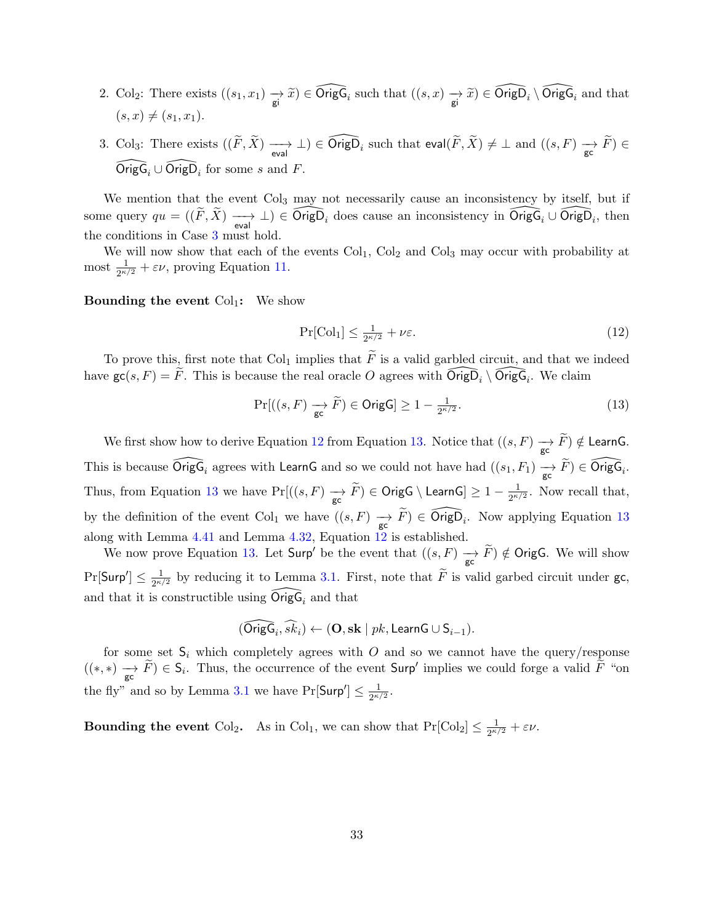- 2. Col<sub>2</sub>: There exists  $((s_1, x_1) \rightarrow \tilde{x}) \in \widehat{\text{OrigG}}_i$  such that  $((s, x) \rightarrow \tilde{x}) \in \widehat{\text{OrigG}}_i \setminus \widehat{\text{OrigG}}_i$  and that  $(s, x) \neq (s_1, x_1).$
- <span id="page-32-0"></span>3. Col<sub>3</sub>: There exists  $((\widetilde{F}, \widetilde{X}) \longrightarrow \bot) \in \widehat{\text{OrigD}}_i$  such that  $eval(\widetilde{F}, \widetilde{X}) \neq \bot$  and  $((s, F) \longrightarrow \widetilde{F}) \in$  $\widehat{\textsf{OrigG}}_i \cup \widehat{\textsf{OrigD}}_i$  for some s and F.

We mention that the event Col<sub>3</sub> may not necessarily cause an inconsistency by itself, but if some query  $qu = ((\widetilde{F}, \widetilde{X}) \longrightarrow \bot) \in \widehat{\text{OrigD}}_i$  does cause an inconsistency in  $\widehat{\text{OrigG}}_i \cup \widehat{\text{OrigD}}_i$ , then the conditions in Case [3](#page-32-0) must hold.

We will now show that each of the events  $Col_1$ ,  $Col_2$  and  $Col_3$  may occur with probability at most  $\frac{1}{2^{\kappa/2}} + \varepsilon \nu$ , proving Equation [11.](#page-31-0)

Bounding the event  $Col_1$ : We show

<span id="page-32-1"></span>
$$
\Pr[\text{Col}_1] \le \frac{1}{2^{\kappa/2}} + \nu \varepsilon. \tag{12}
$$

To prove this, first note that Col<sub>1</sub> implies that  $\widetilde{F}$  is a valid garbled circuit, and that we indeed have  $\mathsf{gc}(s, F) = \widetilde{F}$ . This is because the real oracle O agrees with  $\widehat{\text{OrigD}}_i \setminus \widehat{\text{OrigG}}_i$ . We claim

<span id="page-32-2"></span>
$$
\Pr[((s, F) \xrightarrow{\sim} \widetilde{F}) \in \text{OrigG}] \ge 1 - \frac{1}{2^{\kappa/2}}.\tag{13}
$$

We first show how to derive Equation [12](#page-32-1) from Equation [13.](#page-32-2) Notice that  $((s, F) \longrightarrow F) \notin$  LearnG. This is because  $\widehat{\text{OrigG}}_i$  agrees with LearnG and so we could not have had  $((s_1, F_1) \xrightarrow{\sim} \widetilde{F}) \in \widehat{\text{OrigG}}_i$ . Thus, from Equation [13](#page-32-2) we have  $\Pr[((s,F)\underset{\mathsf{gc}}{\longrightarrow}\widetilde{F})\in \mathsf{OrigG}\setminus \mathsf{LearnG}]\geq 1-\frac{1}{2^{\kappa_\wedge}}$  $\frac{1}{2^{k/2}}$ . Now recall that, by the definition of the event Col<sub>1</sub> we have  $((s, F) \rightarrow \widetilde{F}) \in \widehat{\text{OrigD}}_i$ . Now applying Equation [13](#page-32-2) along with Lemma [4.41](#page-28-1) and Lemma [4.32,](#page-25-2) Equation [12](#page-32-1) is established.

We now prove Equation [13.](#page-32-2) Let  $\mathsf{Surp}'$  be the event that  $((s, F) \longrightarrow \widetilde{F}) \notin \mathsf{OrigG}.$  We will show  $\Pr[\mathsf{Surp'}] \leq \frac{1}{2\kappa}$  $\frac{1}{2^{\kappa/2}}$  by reducing it to Lemma [3.1.](#page-10-2) First, note that F is valid garbed circuit under gc, and that it is constructible using  $\overline{\text{OrigG}}_i$  and that

$$
(\widehat{\mathsf{OrigG}}_i, \widehat{sk}_i) \leftarrow (\mathbf{O}, \mathbf{sk} \mid pk, \mathsf{LearnG} \cup \mathsf{S}_{i-1}).
$$

for some set  $S_i$  which completely agrees with O and so we cannot have the query/response  $((*,*) \rightarrow \widetilde{F}) \in \mathsf{S}_i$ . Thus, the occurrence of the event **Surp'** implies we could forge a valid  $\widetilde{F}$  "on the fly" and so by Lemma [3.1](#page-10-2) we have  $Pr[S_{\text{u}}|S] \leq \frac{1}{2\kappa}$  $\frac{1}{2^{\kappa/2}}.$ 

**Bounding the event** Col<sub>2</sub>. As in Col<sub>1</sub>, we can show that  $Pr[Col_2] \leq \frac{1}{2\kappa}$  $\frac{1}{2^{\kappa/2}}+\varepsilon \nu.$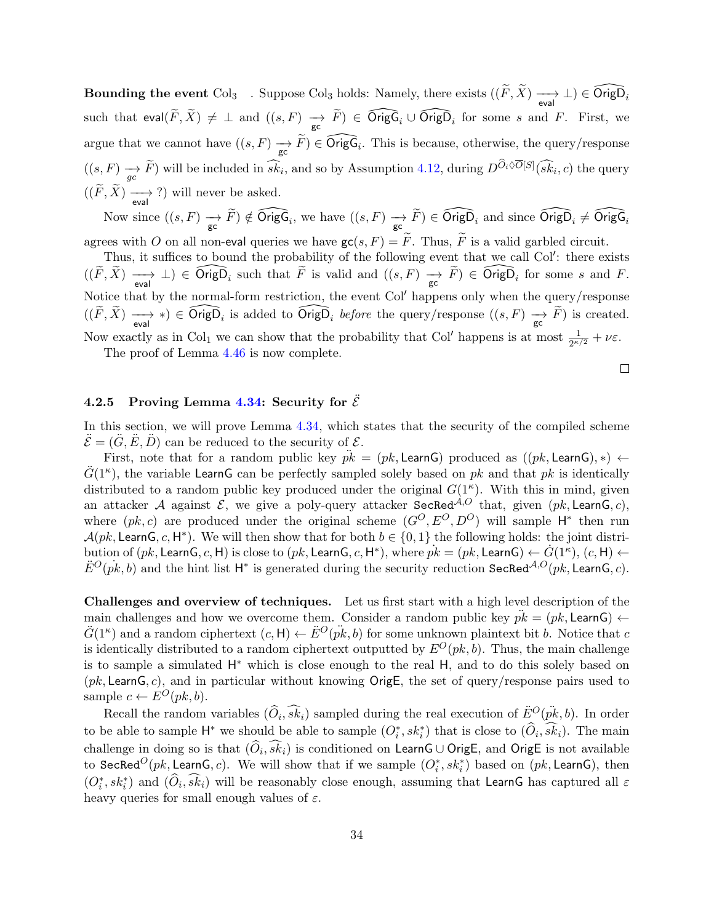**Bounding the event** Col<sub>3</sub> . Suppose Col<sub>3</sub> holds: Namely, there exists  $((\widetilde{F}, \widetilde{X}) \longrightarrow \perp) \in \widehat{\text{OrigD}}_i$ such that  $eval(\widetilde{F}, \widetilde{X}) \neq \perp$  and  $((s, F) \rightarrow \widetilde{F}) \in \widehat{\text{OrigG}}_i \cup \widehat{\text{OrigD}}_i$  for some s and F. First, we argue that we cannot have  $((s, F) \longrightarrow \widetilde{F}) \in \widehat{\text{OrigG}}_i$ . This is because, otherwise, the query/response  $((s, F) \rightarrow \widetilde{F})$  will be included in  $\widehat{sk}_i$ , and so by Assumption [4.12,](#page-17-1) during  $D^{\widehat{O}_i \lozenge \overline{O}[S]}(\widehat{sk}_i, c)$  the query  $((F,X) \longrightarrow ?)$  will never be asked.

Now since  $((s, F) \longrightarrow_{\text{gc}} \widetilde{F}) \notin \widehat{\text{OrigG}}_i$ , we have  $((s, F) \longrightarrow_{\text{gc}} \widetilde{F}) \in \widehat{\text{OrigD}}_i$  and since  $\widehat{\text{OrigD}}_i \neq \widehat{\text{OrigG}}_i$ agrees with O on all non-eval queries we have  $\mathsf{gc}(s, F) = \widetilde{F}$ . Thus,  $\widetilde{F}$  is a valid garbled circuit.

Thus, it suffices to bound the probability of the following event that we call Col': there exists  $((\widetilde{F}, \widetilde{X}) \longrightarrow \bot) \in \widehat{\text{OrigD}}_i \text{ such that } \widetilde{F} \text{ is valid and } ((s, F) \longrightarrow \widetilde{F}) \in \widehat{\text{OrigD}}_i \text{ for some } s \text{ and } F.$ Notice that by the normal-form restriction, the event Col' happens only when the query/response  $((\widetilde{F}, \widetilde{X}) \longrightarrow *) \in \widehat{\text{OrigD}}_i$  is added to  $\widehat{\text{OrigD}}_i$  before the query/response  $((s, F) \longrightarrow \widetilde{F})$  is created. Now exactly as in Col<sub>1</sub> we can show that the probability that Col<sup>'</sup> happens is at most  $\frac{1}{2^{k/2}} + \nu \varepsilon$ .

The proof of Lemma [4.46](#page-29-2) is now complete.

<span id="page-33-0"></span>4.2.5 Proving Lemma [4.34:](#page-26-1) Security for  $\ddot{\mathcal{E}}$ 

In this section, we will prove Lemma [4.34,](#page-26-1) which states that the security of the compiled scheme  $\ddot{\mathcal{E}} = (\ddot{G}, \ddot{E}, \ddot{D})$  can be reduced to the security of  $\mathcal{E}$ .

First, note that for a random public key  $\ddot{pk} = (pk, \text{LearnG})$  produced as  $((pk, \text{LearnG}), *) \leftarrow$  $\ddot{G}(1^{\kappa})$ , the variable LearnG can be perfectly sampled solely based on pk and that pk is identically distributed to a random public key produced under the original  $G(1^{\kappa})$ . With this in mind, given an attacker A against  $\mathcal{E}$ , we give a poly-query attacker SecRed<sup>A,O</sup> that, given (pk, LearnG, c), where  $(pk, c)$  are produced under the original scheme  $(G^O, E^O, D^O)$  will sample  $H^*$  then run  $\mathcal{A}(pk, \text{LearnG}, c, H^*)$ . We will then show that for both  $b \in \{0, 1\}$  the following holds: the joint distribution of  $(pk, \text{LearnG}, c, H)$  is close to  $(pk, \text{LearnG}, c, H^*)$ , where  $pk = (pk, \text{LearnG}) \leftarrow \dot{G}(1^{\kappa}), (c, H) \leftarrow$  $\ddot{E}^O(pk, b)$  and the hint list  $H^*$  is generated during the security reduction SecRed<sup>A,O</sup>(pk, LearnG, c).

Challenges and overview of techniques. Let us first start with a high level description of the main challenges and how we overcome them. Consider a random public key  $\ddot{pk} = (pk, \text{LearnG}) \leftarrow$  $\ddot{G}(1^{\kappa})$  and a random ciphertext  $(c, H) \leftarrow \ddot{E}^O(p\kappa, b)$  for some unknown plaintext bit b. Notice that c is identically distributed to a random ciphertext outputted by  $E^O(pk, b)$ . Thus, the main challenge is to sample a simulated H <sup>∗</sup> which is close enough to the real H, and to do this solely based on  $(pk, \text{LearnG}, c)$ , and in particular without knowing OrigE, the set of query/response pairs used to sample  $c \leftarrow E^O(pk, b)$ .

Recall the random variables  $(\widehat{O}_i, \widehat{sk}_i)$  sampled during the real execution of  $\ddot{E}^O(\ddot{pk}, b)$ . In order to be able to sample  $H^*$  we should be able to sample  $(O_i^*, sk_i^*)$  that is close to  $(\widehat{O}_i, \widehat{sk}_i)$ . The main challenge in doing so is that  $(O_i, sk_i)$  is conditioned on LearnG ∪ OrigE, and OrigE is not available to SecRed $^{O}(pk$ , Learn $G, c$ ). We will show that if we sample  $(O_i^*, sk_i^*)$  based on  $(pk, \mathsf{LearnG})$ , then  $(O_i^*, sk_i^*)$  and  $(\widehat{O}_i, \widehat{sk}_i)$  will be reasonably close enough, assuming that LearnG has captured all  $\varepsilon$ heavy queries for small enough values of  $\varepsilon$ .

 $\Box$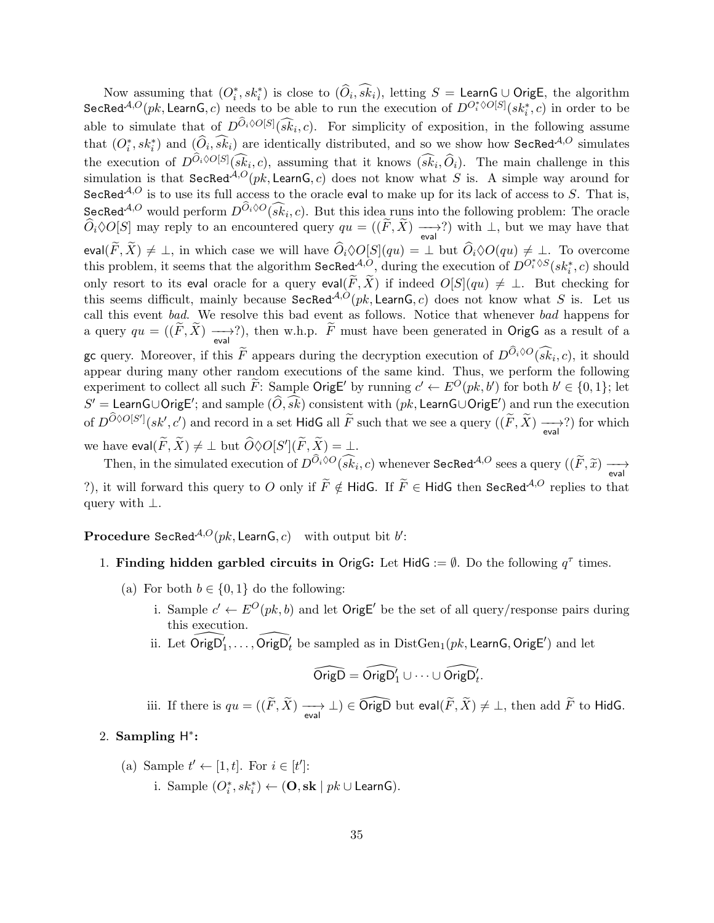Now assuming that  $(O_i^*, sk_i^*)$  is close to  $(\widehat{O}_i, \widehat{sk}_i)$ , letting  $S = \text{LearnG} \cup \text{OrigE}$ , the algorithm SecRed<sup>A,O</sup>(pk, LearnG, c) needs to be able to run the execution of  $D^{O_i^*\lozenge O[S]}(sk_i^*, c)$  in order to be able to simulate that of  $D^{\widehat{O}_i \lozenge O[S]}(\widehat{sk}_i, c)$ . For simplicity of exposition, in the following assume that  $(O_i^*, sk_i^*)$  and  $(\widehat{O_i}, \widehat{sk_i})$  are identically distributed, and so we show how SecRed<sup>A,O</sup> simulates the execution of  $D^{\widehat{O}_i \lozenge O[S]}(\widehat{s}\widehat{k}_i, c)$ , assuming that it knows  $(\widehat{s}\widehat{k}_i, \widehat{O}_i)$ . The main challenge in this simulation is that SecRed<sup> $\lambda$ ,O</sup>(pk, LearnG, c) does not know what S is. A simple way around for SecRed<sup>A,O</sup> is to use its full access to the oracle eval to make up for its lack of access to S. That is, SecRed<sup>A,O</sup> would perform  $D^{\widehat{O}_i \lozenge O}(\widehat{sk}_i, c)$ . But this idea runs into the following problem: The oracle  $\widehat{O}_i \Diamond O[S]$  may reply to an encountered query  $qu = ((\widetilde{F}, \widetilde{X}) \longrightarrow ?)$  with  $\bot$ , but we may have that eval $(\widetilde{F}, \widetilde{X}) \neq \bot$ , in which case we will have  $\widehat{O}_i \Diamond O[S](qu) = \bot$  but  $\widehat{O}_i \Diamond O(qu) \neq \bot$ . To overcome this problem, it seems that the algorithm SecRed<sup>A,O</sup>, during the execution of  $D^{O_i^* \otimes S}(sk_i^*, c)$  should only resort to its eval oracle for a query eval( $\widetilde{F}, \widetilde{X}$ ) if indeed  $O[S](qu) \neq \perp$ . But checking for this seems difficult, mainly because SecRed<sup>A,O</sup>(pk, LearnG, c) does not know what S is. Let us call this event bad. We resolve this bad event as follows. Notice that whenever bad happens for a query  $qu = ((F, X) \longrightarrow ?)$ , then w.h.p. F must have been generated in OrigG as a result of a gc query. Moreover, if this  $\tilde{F}$  appears during the decryption execution of  $D^{\hat{O}_i \Diamond O}(\widehat{sk}_i, c)$ , it should appear during many other random executions of the same kind. Thus, we perform the following experiment to collect all such  $\widetilde{F}$ : Sample OrigE' by running  $c' \leftarrow E^O(pk, b')$  for both  $b' \in \{0, 1\}$ ; let  $S' =$ LearnG∪OrigE'; and sample  $(\widehat{O}, \widehat{sk})$  consistent with  $(pk,$  LearnG∪OrigE') and run the execution of  $D^{\widehat{O}\Diamond O[S']}(sk', c')$  and record in a set HidG all  $\widetilde{F}$  such that we see a query  $((\widetilde{F}, \widetilde{X}) \longrightarrow ?)$  for which we have eval $(\widetilde{F}, \widetilde{X}) \neq \bot$  but  $\widehat{O} \Diamond O[S'](\widetilde{F}, \widetilde{X}) = \bot$ .

Then, in the simulated execution of  $D^{\widehat{O}_i \lozenge O}(\widehat{sk}_i, c)$  whenever  $\texttt{SecRed}^{\mathcal{A}, O}$  sees a query  $((\widetilde{F}, \widetilde{x}) \longrightarrow$ eval ?), it will forward this query to O only if  $\widetilde{F} \notin H \times H$  idg. If  $\widetilde{F} \in H \times H$  and  $A, O$  replies to that query with ⊥.

 $\mathbf{Proceedure\ SecRed}^{\mathcal A, O}(pk, \mathsf{LearnG}, c) \quad \text{with output bit } b' \mathbf{:}$ 

- 1. Finding hidden garbled circuits in OrigG: Let HidG :=  $\emptyset$ . Do the following  $q^{\tau}$  times.
	- (a) For both  $b \in \{0,1\}$  do the following:
		- i. Sample  $c' \leftarrow E^{O}(pk, b)$  and let OrigE' be the set of all query/response pairs during this execution.
		- ii. Let  $\widehat{\text{OrigD}}'_1, \ldots, \widehat{\text{OrigD}}'_t$  be sampled as in  $\text{DistGen}_1(pk, \text{LearnG}, \text{OrigE}')$  and let

$$
\widehat{\mathsf{OrigD}} = \widehat{\mathsf{OrigD}'}_1 \cup \cdots \cup \widehat{\mathsf{OrigD}'}_t.
$$

iii. If there is  $qu = ((\widetilde{F}, \widetilde{X}) \longrightarrow \bot) \in \widehat{\text{OrigD}}$  but  $eval(\widetilde{F}, \widetilde{X}) \neq \bot$ , then add  $\widetilde{F}$  to HidG.

## 2. Sampling  $H^*$ :

(a) Sample  $t' \leftarrow [1, t]$ . For  $i \in [t']$ : i. Sample  $(O_i^*, sk_i^*) \leftarrow (\mathbf{O}, \mathbf{sk} \mid pk \cup \mathsf{LearnG}).$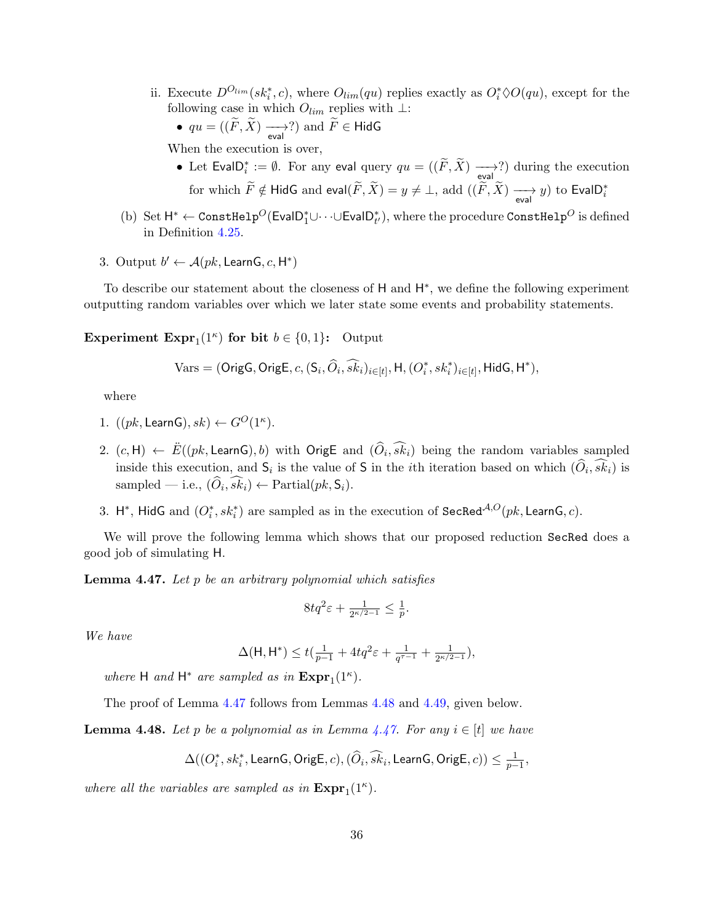- ii. Execute  $D^{O_{lim}}(sk_i^*, c)$ , where  $O_{lim}(qu)$  replies exactly as  $O_i^* \Diamond O(qu)$ , except for the following case in which  $O_{lim}$  replies with  $\perp$  :
	- $qu = ((F, X) \longrightarrow ?)$  and  $F \in H \text{idG}$

When the execution is over,

- Let  $\mathsf{EvalD}_i^* := \emptyset$ . For any eval query  $qu = ((\widetilde{F}, \widetilde{X}) \xrightarrow[\text{eval}]{\text{eval}})^2)$  during the execution for which  $\widetilde{F}\notin \textsf{HidG}$  and  $\textsf{eval}(\widetilde{F},\widetilde{X})=y\neq \bot,$  add  $((\widetilde{F},\widetilde{X})\xrightarrow[\textsf{eval}]{\bullet} y)$  to  $\textsf{EvalD}_i^*$
- (b) Set  $\mathsf{H}^* \leftarrow \mathsf{ConstHelp}^O(\mathsf{EvalD}_1^* \cup \cdots \cup \mathsf{EvalD}_{t'}^*)$ , where the procedure Const $\mathsf{Help}^O$  is defined in Definition [4.25.](#page-22-1)
- 3. Output  $b' \leftarrow \mathcal{A}(pk, \text{LearnG}, c, H^*)$

To describe our statement about the closeness of H and  $H^*$ , we define the following experiment outputting random variables over which we later state some events and probability statements.

Experiment Expr<sub>1</sub>(1<sup> $\kappa$ </sup>) for bit  $b \in \{0, 1\}$ : Output

$$
\text{Vars} = (\text{OrigG}, \text{OrigE}, c, (S_i, \widehat{O}_i, \widehat{sk}_i)_{i \in [t]}, \text{H}, (O_i^*, sk_i^*)_{i \in [t]}, \text{HidG}, \text{H}^*),
$$

where

- 1.  $((pk, \text{LearnG}), sk) \leftarrow G^O(1^{\kappa}).$
- 2.  $(c, H) \leftarrow \ddot{E}((pk, \text{LearnG}), b)$  with OrigE and  $(\widehat{O}_i, \widehat{sk}_i)$  being the random variables sampled inside this execution, and  $S_i$  is the value of S in the *i*th iteration based on which  $(O_i, sk_i)$  is sampled — i.e.,  $(O_i, sk_i) \leftarrow \text{Partial}(pk, \mathsf{S}_i)$ .
- 3. H\*, HidG and  $(O_i^*,sk_i^*)$  are sampled as in the execution of SecRed $^{A,O}(pk, \mathsf{LearnG}, c)$ .

We will prove the following lemma which shows that our proposed reduction SecRed does a good job of simulating H.

<span id="page-35-0"></span>**Lemma 4.47.** Let  $p$  be an arbitrary polynomial which satisfies

$$
8tq^2\varepsilon + \frac{1}{2^{\kappa/2 - 1}} \le \frac{1}{p}.
$$

We have

$$
\Delta(\mathsf{H},\mathsf{H}^*) \leq t(\tfrac{1}{p-1} + 4tq^2\varepsilon + \tfrac{1}{q^{\tau-1}} + \tfrac{1}{2^{\kappa/2-1}}),
$$

where H and  $H^*$  are sampled as in  $\text{Expr}_1(1^{\kappa})$ .

The proof of Lemma [4.47](#page-35-0) follows from Lemmas [4.48](#page-35-1) and [4.49,](#page-36-0) given below.

<span id="page-35-1"></span>**Lemma 4.48.** Let p be a polynomial as in Lemma  $\frac{1}{4}$ . For any  $i \in [t]$  we have

$$
\Delta((O_i^*,sk_i^*,\mathsf{LearnG},\mathsf{OrigE},c),(\widehat{O}_i,\widehat{sk}_i,\mathsf{LearnG},\mathsf{OrigE},c)) \leq \tfrac{1}{p-1},
$$

where all the variables are sampled as in  $\text{Expr}_1(1^{\kappa})$ .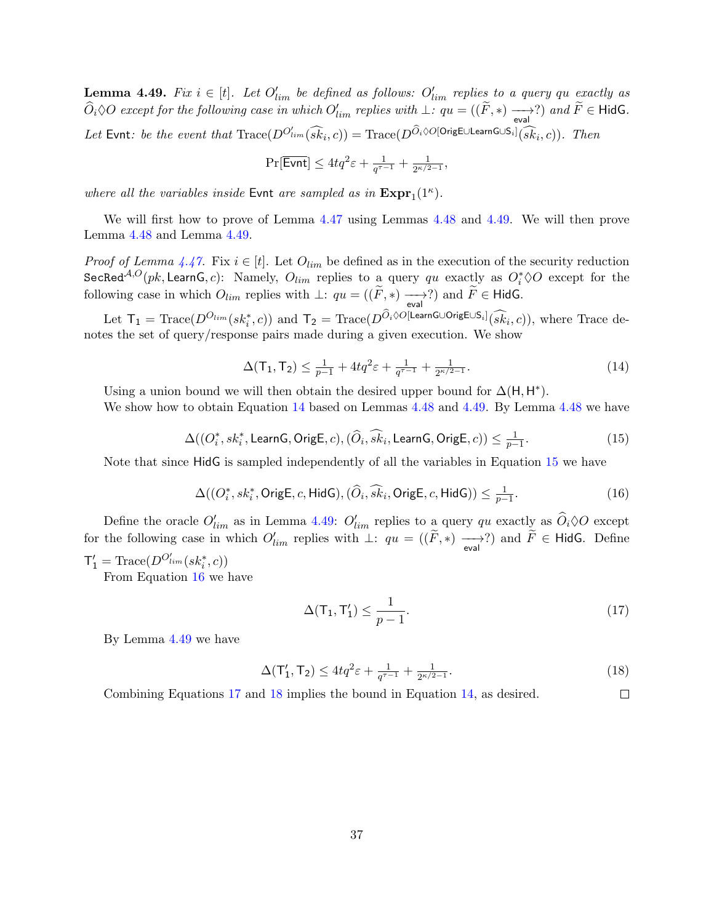<span id="page-36-0"></span>**Lemma 4.49.** Fix  $i \in [t]$ . Let  $O'_{lim}$  be defined as follows:  $O'_{lim}$  replies to a query qu exactly as  $\widehat{O}_i \Diamond O$  except for the following case in which  $O'_{lim}$  replies with  $\bot \colon qu = ((\widetilde{F}, *) \longrightarrow ?)$  and  $\widetilde{F} \in H$ idG. Let Evnt: be the event that  $\text{Trace}(D^{O'_{\!im}}(\widehat{sk}_i,c)) = \text{Trace}(D^{\widehat{O}_i\lozenge O[\textsf{OrigE}\cup \textsf{LearnG}\cup \mathsf{S}_i]}(\widehat{sk}_i,c)).$  Then

$$
\Pr[\overline{\mathsf{Evnt}}] \le 4tq^2\varepsilon + \tfrac{1}{q^{\tau-1}} + \tfrac{1}{2^{\kappa/2-1}},
$$

where all the variables inside Evnt are sampled as in  $\text{Expr}_1(1^{\kappa})$ .

We will first how to prove of Lemma [4.47](#page-35-0) using Lemmas [4.48](#page-35-1) and [4.49.](#page-36-0) We will then prove Lemma [4.48](#page-35-1) and Lemma [4.49.](#page-36-0)

*Proof of Lemma [4.47.](#page-35-0)* Fix  $i \in [t]$ . Let  $O_{lim}$  be defined as in the execution of the security reduction SecRed<sup>A,O</sup>(pk, LearnG, c): Namely,  $O_{lim}$  replies to a query qu exactly as  $O_i^* \lozenge O$  except for the following case in which  $O_{lim}$  replies with  $\perp$ :  $qu = ((F, *) \longrightarrow ?)$  and  $F \in HidG$ .

Let  $T_1 = \text{Trace}(D^{O_{lim}}(sk_i^*, c))$  and  $T_2 = \text{Trace}(D^{\widehat{O}_i \lozenge O[\text{LearnGUOrigEUS}_i](\widehat{sk}_i, c))}$ , where Trace denotes the set of query/response pairs made during a given execution. We show

<span id="page-36-1"></span>
$$
\Delta(\mathsf{T}_1, \mathsf{T}_2) \le \frac{1}{p-1} + 4tq^2\varepsilon + \frac{1}{q^{\tau-1}} + \frac{1}{2^{\kappa/2-1}}.\tag{14}
$$

Using a union bound we will then obtain the desired upper bound for  $\Delta(H, H^*)$ .

We show how to obtain Equation [14](#page-36-1) based on Lemmas [4.48](#page-35-1) and [4.49.](#page-36-0) By Lemma 4.48 we have

<span id="page-36-2"></span>
$$
\Delta((O_i^*, sk_i^*, \text{LearnG}, \text{OrigE}, c), (\widehat{O}_i, \widehat{sk}_i, \text{LearnG}, \text{OrigE}, c)) \le \frac{1}{p-1}.\tag{15}
$$

Note that since HidG is sampled independently of all the variables in Equation [15](#page-36-2) we have

<span id="page-36-3"></span>
$$
\Delta((O_i^*, sk_i^*, \text{OrigE}, c, \text{HidG}), (\widehat{O}_i, \widehat{sk}_i, \text{OrigE}, c, \text{HidG})) \le \frac{1}{p-1}.\tag{16}
$$

Define the oracle  $O'_{lim}$  as in Lemma [4.49:](#page-36-0)  $O'_{lim}$  replies to a query qu exactly as  $\widehat{O}_i \Diamond O$  except for the following case in which  $O'_{lim}$  replies with  $\perp$ :  $qu = ((\widetilde{F}, *) \longrightarrow ?)$  and  $\widetilde{F} \in HidG$ . Define

 $\mathsf{T}'_1 = \text{Trace}(D^{O'_{lim}}(sk_i^*, c))$ 

From Equation [16](#page-36-3) we have

<span id="page-36-4"></span>
$$
\Delta(\mathsf{T}_1, \mathsf{T}'_1) \le \frac{1}{p-1}.\tag{17}
$$

By Lemma [4.49](#page-36-0) we have

<span id="page-36-5"></span>
$$
\Delta(\mathsf{T}'_1, \mathsf{T}_2) \le 4tq^2\varepsilon + \frac{1}{q^{\tau - 1}} + \frac{1}{2^{\kappa/2 - 1}}.\tag{18}
$$

 $\Box$ Combining Equations [17](#page-36-4) and [18](#page-36-5) implies the bound in Equation [14,](#page-36-1) as desired.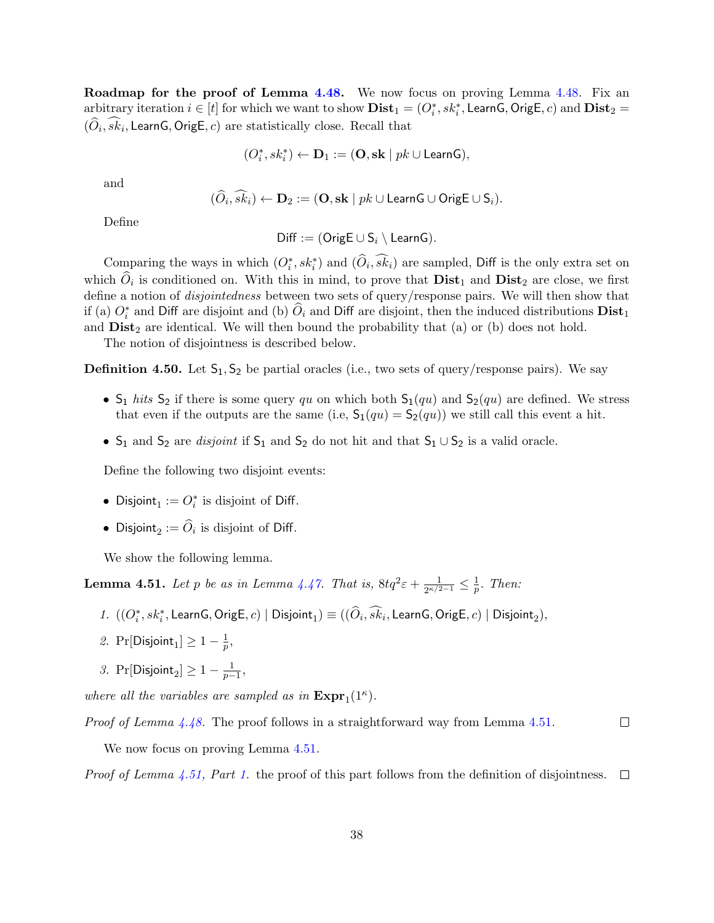**Roadmap for the proof of Lemma [4.48.](#page-35-1)** We now focus on proving Lemma 4.48. Fix an arbitrary iteration  $i \in [t]$  for which we want to show  $\textbf{Dist}_1 = (O_i^*, sk_i^*, \text{LearnG}, \text{OrigE}, c)$  and  $\textbf{Dist}_2 =$  $(O_i, sk_i, \textsf{LearnG}, \textsf{OrigE}, c)$  are statistically close. Recall that

$$
(O_i^*,sk_i^*) \leftarrow \mathbf{D}_1 := (\mathbf{O},\mathbf{sk} \mid pk \cup \mathbf{LearnG}),
$$

and

$$
(\tilde{O}_i, s\tilde{k}_i) \leftarrow \mathbf{D}_2 := (\mathbf{O}, \mathbf{sk} \mid pk \cup \mathsf{LearnG} \cup \mathsf{OrigE} \cup \mathsf{S}_i).
$$

Define

Diff := (OrigE  $\cup$  S<sub>i</sub> \ LearnG).

Comparing the ways in which  $(O_i^*, sk_i^*)$  and  $(\widehat{O}_i, \widehat{sk}_i)$  are sampled, Diff is the only extra set on which  $O_i$  is conditioned on. With this in mind, to prove that  $\text{Dist}_1$  and  $\text{Dist}_2$  are close, we first define a notion of disjointedness between two sets of query/response pairs. We will then show that if (a)  $O_i^*$  and Diff are disjoint and (b)  $\widehat{O}_i$  and Diff are disjoint, then the induced distributions  $\text{Dist}_1$ and  $Dist_2$  are identical. We will then bound the probability that (a) or (b) does not hold.

The notion of disjointness is described below.

<span id="page-37-3"></span>**Definition 4.50.** Let  $S_1, S_2$  be partial oracles (i.e., two sets of query/response pairs). We say

- $S_1$  hits  $S_2$  if there is some query qu on which both  $S_1(qu)$  and  $S_2(qu)$  are defined. We stress that even if the outputs are the same (i.e,  $S_1(qu) = S_2(qu)$ ) we still call this event a hit.
- $S_1$  and  $S_2$  are *disjoint* if  $S_1$  and  $S_2$  do not hit and that  $S_1 \cup S_2$  is a valid oracle.

Define the following two disjoint events:

- Disjoint<sub>1</sub> :=  $O_i^*$  is disjoint of Diff.
- Disjoint<sub>2</sub> :=  $O_i$  is disjoint of Diff.

We show the following lemma.

<span id="page-37-0"></span>**Lemma 4.51.** Let p be as in Lemma [4.47.](#page-35-0) That is,  $8tq^2\varepsilon + \frac{1}{26\sqrt{2}}$  $\frac{1}{2^{\kappa/2-1}} \leq \frac{1}{p}$  $rac{1}{p}$ . Then:

- <span id="page-37-1"></span>1.  $((O_i^*, sk_i^*, \text{LearnG}, \text{OrigE}, c) | \text{Disjoint}_1) \equiv ((\widehat{O}_i, \widehat{sk}_i, \text{LearnG}, \text{OrigE}, c) | \text{Disjoint}_2),$
- <span id="page-37-2"></span>2. Pr[Disjoint<sub>1</sub>]  $\geq 1 - \frac{1}{p}$  $\frac{1}{p},$
- <span id="page-37-4"></span>3. Pr[Disjoint<sub>2</sub>]  $\geq 1 - \frac{1}{p-1}$ ,

where all the variables are sampled as in  $\text{Expr}_1(1^{\kappa})$ .

*Proof of Lemma [4.48.](#page-35-1)* The proof follows in a straightforward way from Lemma [4.51.](#page-37-0)  $\Box$ 

We now focus on proving Lemma  $4.51$ .

*Proof of Lemma [4.51,](#page-37-0) Part [1.](#page-37-1)* the proof of this part follows from the definition of disjointness.  $\Box$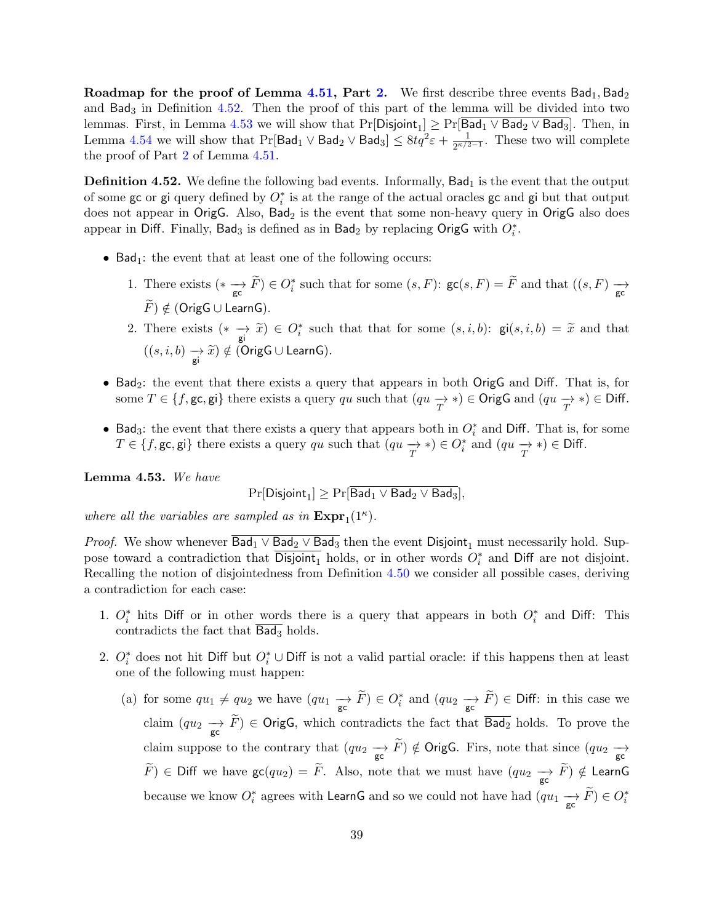Roadmap for the proof of Lemma [4.51,](#page-37-0) Part [2.](#page-37-2) We first describe three events  $Bad<sub>1</sub>$ ,  $Bad<sub>2</sub>$ and  $Bad<sub>3</sub>$  in Definition [4.52.](#page-38-0) Then the proof of this part of the lemma will be divided into two lemmas. First, in Lemma [4.53](#page-38-1) we will show that  $Pr[Disjoint_1] \geq Pr[Bad_1 \vee Bad_2 \vee Bad_3]$ . Then, in Lemma [4.54](#page-39-0) we will show that  $Pr[Bad_1 \vee Bad_2 \vee Bad_3] \leq 8tq^2 \varepsilon + \frac{1}{2\kappa/2}$  $\frac{1}{2^{\kappa/2-1}}$ . These two will complete the proof of Part [2](#page-37-2) of Lemma [4.51.](#page-37-0)

<span id="page-38-0"></span>**Definition 4.52.** We define the following bad events. Informally,  $Bad_1$  is the event that the output of some gc or gi query defined by  $O_i^*$  is at the range of the actual oracles gc and gi but that output does not appear in OrigG. Also,  $Bad<sub>2</sub>$  is the event that some non-heavy query in OrigG also does appear in Diff. Finally,  $Bad_3$  is defined as in  $Bad_2$  by replacing OrigG with  $O_i^*$ .

- Bad<sub>1</sub>: the event that at least one of the following occurs:
	- 1. There exists  $(* \longrightarrow \widetilde{F}) \in O_i^*$  such that for some  $(s, F)$ :  $\mathsf{gc}(s, F) = \widetilde{F}$  and that  $((s, F) \longrightarrow \mathsf{gc})$  $\widetilde{F}$ ) ∉ (OrigG ∪ LearnG).
	- 2. There exists  $(* \to \tilde{x}) \in O_i^*$  such that that for some  $(s, i, b)$ :  $\mathsf{gi}(s, i, b) = \tilde{x}$  and that  $((s, i, b) \rightarrow \widetilde{x}) \notin (\mathsf{OrigG} \cup \mathsf{LearnG}).$
- Bad<sub>2</sub>: the event that there exists a query that appears in both OrigG and Diff. That is, for some  $T \in \{f, \text{gc}, \text{gi}\}\$ there exists a query qu such that  $(qu \rightarrow * ) \in \text{OrigG}$  and  $(qu \rightarrow * ) \in \text{Diff}$ .
- Bad<sub>3</sub>: the event that there exists a query that appears both in  $O_i^*$  and Diff. That is, for some  $T \in \{f, \text{gc}, \text{gi}\}\$  there exists a query qu such that  $(qu \to \ast) \in O_i^*$  and  $(qu \to \ast) \in \text{Diff}$ .

<span id="page-38-1"></span>Lemma 4.53. We have

$$
\Pr[\mathsf{Disjoint}_1] \geq \Pr[\overline{\mathsf{Bad}_1 \vee \mathsf{Bad}_2 \vee \mathsf{Bad}_3}],
$$

where all the variables are sampled as in  $\text{Expr}_1(1^{\kappa})$ .

*Proof.* We show whenever  $\overline{Bad_1 \vee Bad_2 \vee Bad_3}$  then the event Disjoint<sub>1</sub> must necessarily hold. Suppose toward a contradiction that  $\overline{\text{Disjoint}}_1$  holds, or in other words  $O_i^*$  and Diff are not disjoint. Recalling the notion of disjointedness from Definition [4.50](#page-37-3) we consider all possible cases, deriving a contradiction for each case:

- 1.  $O_i^*$  hits Diff or in other words there is a query that appears in both  $O_i^*$  and Diff: This contradicts the fact that Bad<sub>3</sub> holds.
- 2.  $O_i^*$  does not hit Diff but  $O_i^* \cup$  Diff is not a valid partial oracle: if this happens then at least one of the following must happen:
	- (a) for some  $qu_1 \neq qu_2$  we have  $-qu_1 \longrightarrow \widetilde{F}$   $\in O_i^*$  and  $qu_2 \longrightarrow \widetilde{F}$   $\in$  Diff: in this case we claim  $(qu_2 \rightarrow_{\text{gc}} F) \in \text{OrigG},$  which contradicts the fact that  $\text{Bad}_2$  holds. To prove the claim suppose to the contrary that  $(qu_2 \rightarrow_{\text{gc}} F) \notin \text{OrigG.}$  Firs, note that since  $(qu_2 \rightarrow_{\text{gc}} F)$  $F) \in$  Diff we have  $\mathsf{gc}(qu_2) = F$ . Also, note that we must have  $\left(qu_2 \xrightarrow[\mathsf{gc}]{F}\right) \notin \mathsf{LearnG}$ because we know  $O_i^*$  agrees with LearnG and so we could not have had  $(qu_1 \rightarrow \widetilde{F}) \in O_i^*$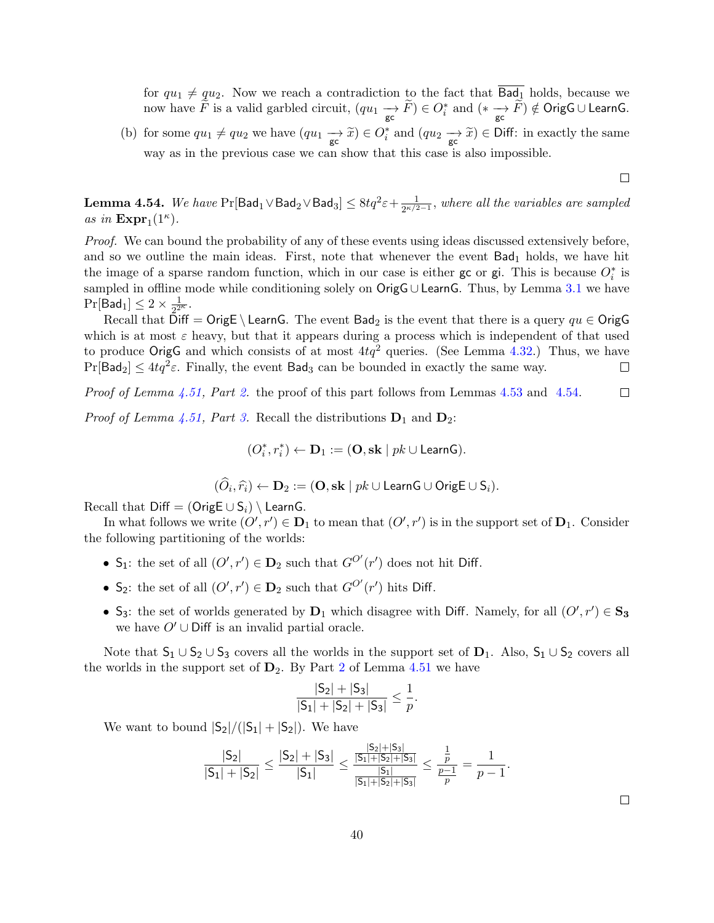for  $qu_1 \ne qu_2$ . Now we reach a contradiction to the fact that  $Bad_1$  holds, because we now have  $\widetilde{F}$  is a valid garbled circuit,  $(qu_1 \underset{\mathsf{gc}}{\rightarrow} \widetilde{F}) \in O_i^*$  and  $(\ast \underset{\mathsf{gc}}{\rightarrow} \widetilde{F}) \notin \mathsf{OrigG} \cup \mathsf{LearnG}.$ 

(b) for some  $qu_1 \neq qu_2$  we have  $(qu_1 \longrightarrow \tilde{x}) \in O_i^*$  and  $(qu_2 \longrightarrow \tilde{x}) \in \text{Diff}$ : in exactly the same way as in the previous case we can show that this case is also impossible.

 $\Box$ 

<span id="page-39-0"></span> ${\rm \bf Lemma \ 4.54.} \ \ We \ have \ \Pr[{\rm Bad}_1 \vee {\rm Bad}_2 \vee {\rm Bad}_3] \leq 8tq^2\varepsilon + \frac{1}{2\kappa/2}$  $\frac{1}{2^{\kappa/2-1}}$ , where all the variables are sampled as in  $\mathrm{Expr}_1(1^{\kappa}).$ 

Proof. We can bound the probability of any of these events using ideas discussed extensively before, and so we outline the main ideas. First, note that whenever the event  $Bad<sub>1</sub>$  holds, we have hit the image of a sparse random function, which in our case is either  $\gcd$  or  $\gcd$ . This is because  $O_i^*$  is sampled in offline mode while conditioning solely on OrigG∪LearnG. Thus, by Lemma [3.1](#page-10-2) we have  $\Pr[\mathsf{Bad}_1] \leq 2 \times \frac{1}{2^2}$  $\frac{1}{2^{2^{\kappa}}}$ .

Recall that  $\text{Diff} = \text{OrigE} \setminus \text{LearnG}$ . The event  $\text{Bad}_2$  is the event that there is a query  $qu \in \text{OrigG}$ which is at most  $\varepsilon$  heavy, but that it appears during a process which is independent of that used to produce OrigG and which consists of at most  $4tq^2$  queries. (See Lemma [4.32.](#page-25-2)) Thus, we have  $Pr[Bad_2] \leq 4tq^2\varepsilon$ . Finally, the event  $Bad_3$  can be bounded in exactly the same way.  $\Box$ 

Proof of Lemma [4.51,](#page-37-0) Part [2.](#page-37-2) the proof of this part follows from Lemmas [4.53](#page-38-1) and [4.54.](#page-39-0)  $\Box$ 

*Proof of Lemma [4.51,](#page-37-0) Part [3.](#page-37-4)* Recall the distributions  $D_1$  and  $D_2$ :

$$
(O_i^*, r_i^*) \leftarrow \mathbf{D}_1 := (\mathbf{O}, \mathbf{sk} \mid pk \cup \mathsf{LearnG}).
$$

 $(O_i, \widehat{r}_i) \leftarrow \mathbf{D}_2 := (\mathbf{O}, \mathbf{sk} \mid pk \cup \mathsf{LearnG} \cup \mathsf{OrigE} \cup \mathsf{S}_i).$ 

Recall that  $\text{Diff} = (\text{OrigE} \cup \text{S}_i) \setminus \text{LearnG}.$ 

In what follows we write  $(O', r') \in \mathbf{D}_1$  to mean that  $(O', r')$  is in the support set of  $\mathbf{D}_1$ . Consider the following partitioning of the worlds:

- $S_1$ : the set of all  $(O', r') \in D_2$  such that  $G^{O'}(r')$  does not hit Diff.
- S<sub>2</sub>: the set of all  $(O', r') \in \mathbf{D}_2$  such that  $G^{O'}(r')$  hits Diff.
- $S_3$ : the set of worlds generated by  $D_1$  which disagree with Diff. Namely, for all  $(O', r') \in S_3$ we have  $O' \cup$  Diff is an invalid partial oracle.

Note that  $S_1 \cup S_2 \cup S_3$  covers all the worlds in the support set of  $D_1$ . Also,  $S_1 \cup S_2$  covers all the worlds in the support set of  $D_2$  $D_2$ . By Part 2 of Lemma [4.51](#page-37-0) we have

$$
\frac{|S_2|+|S_3|}{|S_1|+|S_2|+|S_3|} \leq \frac{1}{p}.
$$

We want to bound  $|S_2|/(|S_1| + |S_2|)$ . We have

$$
\frac{|S_2|}{|S_1|+|S_2|}\leq \frac{|S_2|+|S_3|}{|S_1|}\leq \frac{\frac{|S_2|+|S_3|}{|S_1|+|S_2|+|S_3|}}{\frac{|S_1|}{|S_1|+|S_2|+|S_3|}}\leq \frac{\frac{1}{p}}{\frac{p-1}{p}}=\frac{1}{p-1}.
$$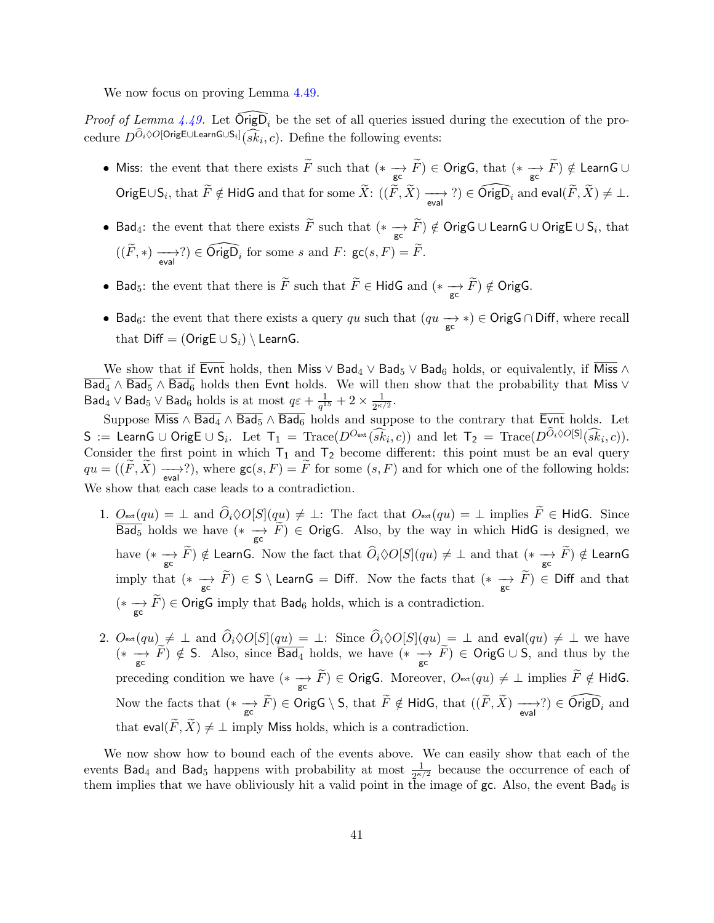We now focus on proving Lemma [4.49.](#page-36-0)

*Proof of Lemma [4.49.](#page-36-0)* Let  $\text{OrigD}_i$  be the set of all queries issued during the execution of the procedure  $D^{\widehat{O}_i \Diamond O}$ [OrigE∪LearnG∪S $_i$ ] $(\widehat{sk}_i, c)$ . Define the following events:

- Miss: the event that there exists  $F$  such that  $(*\longrightarrow\limits_{\mathsf{gc}} F)\in \mathsf{OrigG},$  that  $(*\longrightarrow\limits_{\mathsf{gc}} F)\notin \mathsf{LearnG}\cup$ OrigE∪S<sub>i</sub>, that  $\widetilde{F} \notin H$ idG and that for some  $\widetilde{X}$ :  $((\widetilde{F}, \widetilde{X}) \longrightarrow ?) \in \widehat{\text{OrigD}}_i$  and eval $(\widetilde{F}, \widetilde{X}) \neq \bot$ .
- Bad<sub>4</sub>: the event that there exists  $F$  such that  $(*\longrightarrow\limits_{\mathsf{gc}} F)\notin\mathsf{OrigG}\cup\mathsf{LearnG}\cup\mathsf{OrigE}\cup\mathsf{S}_i,$  that  $((\widetilde{F}, *) \longrightarrow ?) \in \widehat{\text{OrigD}_i}$  for some s and  $F: \text{ gc}(s, F) = \widetilde{F}.$
- Bad<sub>5</sub>: the event that there is F such that  $F \in H \text{idG}$  and  $(* \xrightarrow{\rightarrow}_{\text{gc}} F) \notin \text{OrigG}$ .
- Bad<sub>6</sub>: the event that there exists a query qu such that  $(qu \rightarrow * ) \in \text{OrigG} \cap \text{Diff}$ , where recall that  $\text{Diff} = (\text{OrigE} \cup \text{S}_i) \setminus \text{LearnG}.$

We show that if Evnt holds, then Miss ∨ Bad<sub>4</sub> ∨ Bad<sub>5</sub> ∨ Bad<sub>6</sub> holds, or equivalently, if Miss ∧ Bad<sub>4</sub> ∧ Bad<sub>5</sub> ∧ Bad<sub>6</sub> holds then Evnt holds. We will then show that the probability that Miss ∨ Bad<sub>4</sub> ∨ Bad<sub>5</sub> ∨ Bad<sub>6</sub> holds is at most  $q\varepsilon + \frac{1}{q^1}$  $\frac{1}{q^{15}}+2\times\frac{1}{2^{\kappa/2}}$  $\frac{1}{2^{\kappa/2}}$ .

Suppose  $\overline{\mathsf{Miss}} \wedge \overline{\mathsf{Bad}_4} \wedge \overline{\mathsf{Bad}_6}$  holds and suppose to the contrary that  $\overline{\mathsf{Evnt}}$  holds. Let  $S := \text{LearnG} \cup \text{OrigE} \cup S_i.$  Let  $T_1 = \text{Trace}(D^{O_{\text{ext}}}(\widehat{sk}_i, c))$  and let  $T_2 = \text{Trace}(D^{\widehat{O}_i \lozenge O[\text{S}]}(\widehat{sk}_i, c)).$ Consider the first point in which  $T_1$  and  $T_2$  become different: this point must be an eval query  $qu = ((F, X) \longrightarrow ?)$ , where  $gc(s, F) = F$  for some  $(s, F)$  and for which one of the following holds: We show that each case leads to a contradiction.

- 1.  $O_{\text{ext}}(qu) = \perp$  and  $\widehat{O}_i \lozenge O[S](qu) \neq \perp$ : The fact that  $O_{\text{ext}}(qu) = \perp$  implies  $\widetilde{F} \in H$ idG. Since Bad<sub>5</sub> holds we have  $(* \longrightarrow F) \in \text{OrigG.}$  Also, by the way in which HidG is designed, we have  $(\ast \underset{\mathsf{gc}}{\rightarrow} \widetilde{F}) \notin \mathsf{LearnG}.$  Now the fact that  $\widehat{O}_i\diamond O[S](qu) \neq \bot$  and that  $(\ast \underset{\mathsf{gc}}{\rightarrow} \widetilde{F}) \notin \mathsf{LearnG}$ imply that  $(* \rightarrow_{\text{gc}} F) \in \text{S} \setminus \text{LearnG} = \text{Diff.}$  Now the facts that  $(* \rightarrow_{\text{gc}} F) \in \text{Diff and that}$  $(* \longrightarrow_{\text{gc}} F) \in \text{OrigG}$  imply that  $\text{Bad}_6$  holds, which is a contradiction.
- 2.  $O_{ext}(qu) \neq \perp$  and  $\widehat{O}_i \Diamond O[S](qu) = \perp$ : Since  $\widehat{O}_i \Diamond O[S](qu) = \perp$  and eval $(qu) \neq \perp$  we have  $(* \rightarrow_{\text{gc}} F) \notin$  S. Also, since Bad<sub>4</sub> holds, we have  $(* \rightarrow_{\text{gc}} F) \in \text{OrigG} \cup S$ , and thus by the preceding condition we have  $(* \longrightarrow_F F) \in \mathsf{OrigG}.$  Moreover,  $O_{\mathsf{ext}}(qu) \neq \bot$  implies  $F \notin \mathsf{HidG}.$ Now the facts that  $(* \rightarrow_{\text{gc}} \widetilde{F}) \in \text{OrigG} \setminus \text{S}$ , that  $\widetilde{F} \notin \text{HidG}$ , that  $((\widetilde{F}, \widetilde{X}) \longrightarrow ?) \in \widehat{\text{OrigD}_i}$  and that eval $(F, \tilde{X}) \neq \perp$  imply Miss holds, which is a contradiction.

We now show how to bound each of the events above. We can easily show that each of the events Bad<sub>4</sub> and Bad<sub>5</sub> happens with probability at most  $\frac{1}{2^{k/2}}$  because the occurrence of each of them implies that we have obliviously hit a valid point in the image of  $gc$ . Also, the event  $Bad<sub>6</sub>$  is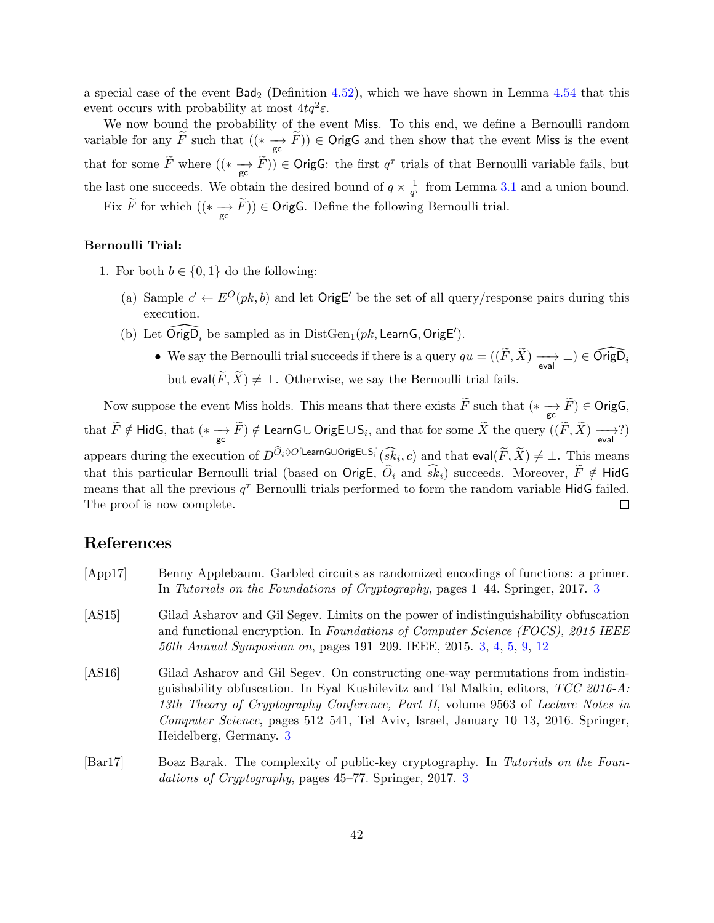a special case of the event  $Bad<sub>2</sub>$  (Definition [4.52\)](#page-38-0), which we have shown in Lemma [4.54](#page-39-0) that this event occurs with probability at most  $4tq^2\varepsilon$ .

We now bound the probability of the event Miss. To this end, we define a Bernoulli random variable for any F such that  $((*\underset{\text{gc}}{\longrightarrow} F)) \in \text{OrigG}$  and then show that the event Miss is the event that for some  $\widetilde{F}$  where  $((*\longrightarrow_{\text{gc}} \widetilde{F})) \in \text{OrigG: the first } q^{\tau}$  trials of that Bernoulli variable fails, but the last one succeeds. We obtain the desired bound of  $q \times \frac{1}{q^2}$  $\frac{1}{q^{\tau}}$  from Lemma [3.1](#page-10-2) and a union bound.

Fix F for which  $((*\longrightarrow_{\text{gc}} F)) \in \text{OrigG.}$  Define the following Bernoulli trial.

#### Bernoulli Trial:

- 1. For both  $b \in \{0,1\}$  do the following:
	- (a) Sample  $c' \leftarrow E^O(pk, b)$  and let OrigE' be the set of all query/response pairs during this execution.
	- (b) Let  $\widehat{\text{OrigD}_i}$  be sampled as in  $\text{DistGen}_1(pk, \text{LearnG}, \text{OrigE}').$ 
		- We say the Bernoulli trial succeeds if there is a query  $qu = ((\widetilde{F}, \widetilde{X}) \longrightarrow \bot) \in \widehat{\text{OrigD}_i}$ but eval $(\widetilde{F}, \widetilde{X}) \neq \bot$ . Otherwise, we say the Bernoulli trial fails.

Now suppose the event Miss holds. This means that there exists F such that  $(*\longrightarrow_F) \in \mathsf{OrigG},$ that  $F \notin H$ idG, that  $(* \longrightarrow_F F) \notin LearnG \cup OrigE \cup S_i$ , and that for some X the query  $((F, X) \longrightarrow_{eval} P)$ appears during the execution of  $D^{\widehat{O}_i \lozenge O}[\mathsf{LearnGUOrigEUS}_i](\widehat{sk}_i, c)$  and that eval $(\widetilde{F}, \widetilde{X}) \neq \bot$ . This means that this particular Bernoulli trial (based on OrigE,  $\hat{O}_i$  and  $sk_i$ ) succeeds. Moreover,  $\hat{F} \notin HidG$ means that all the previous  $q^{\tau}$  Bernoulli trials performed to form the random variable HidG failed. The proof is now complete.  $\Box$ 

## References

<span id="page-41-3"></span><span id="page-41-2"></span><span id="page-41-1"></span><span id="page-41-0"></span>[App17] Benny Applebaum. Garbled circuits as randomized encodings of functions: a primer. In Tutorials on the Foundations of Cryptography, pages 1–44. Springer, 2017. [3](#page-2-2) [AS15] Gilad Asharov and Gil Segev. Limits on the power of indistinguishability obfuscation and functional encryption. In Foundations of Computer Science (FOCS), 2015 IEEE 56th Annual Symposium on, pages 191–209. IEEE, 2015. [3,](#page-2-2) [4,](#page-3-2) [5,](#page-4-2) [9,](#page-8-0) [12](#page-11-1) [AS16] Gilad Asharov and Gil Segev. On constructing one-way permutations from indistinguishability obfuscation. In Eyal Kushilevitz and Tal Malkin, editors, TCC 2016-A: 13th Theory of Cryptography Conference, Part II, volume 9563 of Lecture Notes in Computer Science, pages 512–541, Tel Aviv, Israel, January 10–13, 2016. Springer, Heidelberg, Germany. [3](#page-2-2) [Bar17] Boaz Barak. The complexity of public-key cryptography. In Tutorials on the Foundations of Cryptography, pages 45–77. Springer, 2017. [3](#page-2-2)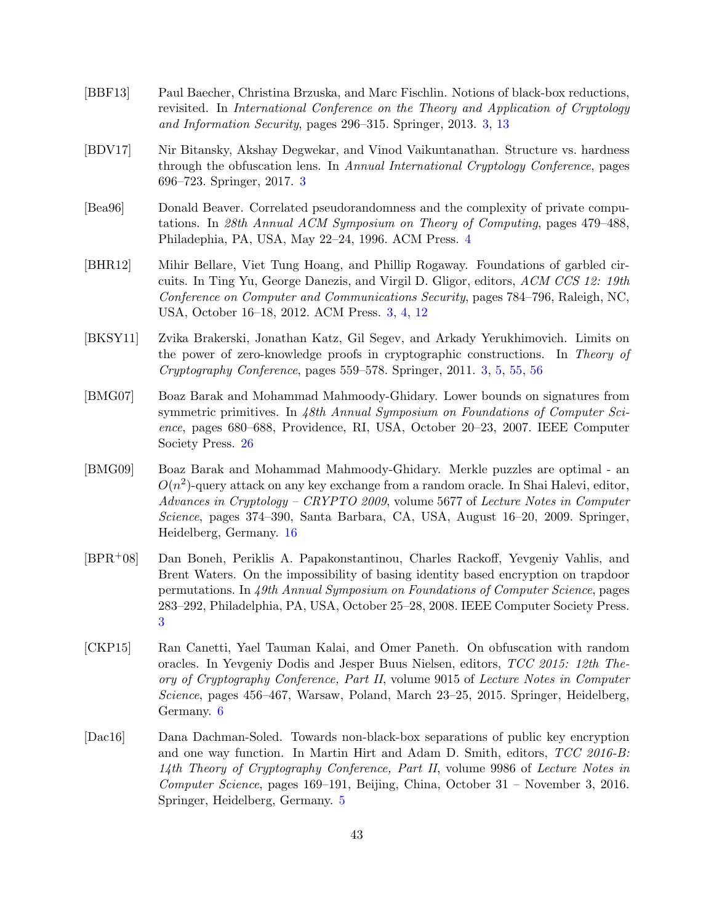- <span id="page-42-4"></span>[BBF13] Paul Baecher, Christina Brzuska, and Marc Fischlin. Notions of black-box reductions, revisited. In International Conference on the Theory and Application of Cryptology and Information Security, pages 296–315. Springer, 2013. [3,](#page-2-2) [13](#page-12-3)
- <span id="page-42-3"></span>[BDV17] Nir Bitansky, Akshay Degwekar, and Vinod Vaikuntanathan. Structure vs. hardness through the obfuscation lens. In Annual International Cryptology Conference, pages 696–723. Springer, 2017. [3](#page-2-2)
- <span id="page-42-5"></span>[Bea96] Donald Beaver. Correlated pseudorandomness and the complexity of private computations. In 28th Annual ACM Symposium on Theory of Computing, pages 479–488, Philadephia, PA, USA, May 22–24, 1996. ACM Press. [4](#page-3-2)
- <span id="page-42-0"></span>[BHR12] Mihir Bellare, Viet Tung Hoang, and Phillip Rogaway. Foundations of garbled circuits. In Ting Yu, George Danezis, and Virgil D. Gligor, editors, ACM CCS 12: 19th Conference on Computer and Communications Security, pages 784–796, Raleigh, NC, USA, October 16–18, 2012. ACM Press. [3,](#page-2-2) [4,](#page-3-2) [12](#page-11-1)
- <span id="page-42-2"></span>[BKSY11] Zvika Brakerski, Jonathan Katz, Gil Segev, and Arkady Yerukhimovich. Limits on the power of zero-knowledge proofs in cryptographic constructions. In Theory of Cryptography Conference, pages 559–578. Springer, 2011. [3,](#page-2-2) [5,](#page-4-2) [55,](#page-54-1) [56](#page-55-1)
- <span id="page-42-9"></span>[BMG07] Boaz Barak and Mohammad Mahmoody-Ghidary. Lower bounds on signatures from symmetric primitives. In 48th Annual Symposium on Foundations of Computer Science, pages 680–688, Providence, RI, USA, October 20–23, 2007. IEEE Computer Society Press. [26](#page-25-3)
- <span id="page-42-8"></span>[BMG09] Boaz Barak and Mohammad Mahmoody-Ghidary. Merkle puzzles are optimal - an  $O(n^2)$ -query attack on any key exchange from a random oracle. In Shai Halevi, editor, Advances in Cryptology – CRYPTO 2009, volume 5677 of Lecture Notes in Computer Science, pages 374–390, Santa Barbara, CA, USA, August 16–20, 2009. Springer, Heidelberg, Germany. [16](#page-15-3)
- <span id="page-42-1"></span>[BPR+08] Dan Boneh, Periklis A. Papakonstantinou, Charles Rackoff, Yevgeniy Vahlis, and Brent Waters. On the impossibility of basing identity based encryption on trapdoor permutations. In 49th Annual Symposium on Foundations of Computer Science, pages 283–292, Philadelphia, PA, USA, October 25–28, 2008. IEEE Computer Society Press. [3](#page-2-2)
- <span id="page-42-7"></span>[CKP15] Ran Canetti, Yael Tauman Kalai, and Omer Paneth. On obfuscation with random oracles. In Yevgeniy Dodis and Jesper Buus Nielsen, editors, TCC 2015: 12th Theory of Cryptography Conference, Part II, volume 9015 of Lecture Notes in Computer Science, pages 456–467, Warsaw, Poland, March 23–25, 2015. Springer, Heidelberg, Germany. [6](#page-5-2)
- <span id="page-42-6"></span>[Dac16] Dana Dachman-Soled. Towards non-black-box separations of public key encryption and one way function. In Martin Hirt and Adam D. Smith, editors, TCC 2016-B: 14th Theory of Cryptography Conference, Part II, volume 9986 of Lecture Notes in Computer Science, pages 169–191, Beijing, China, October 31 – November 3, 2016. Springer, Heidelberg, Germany. [5](#page-4-2)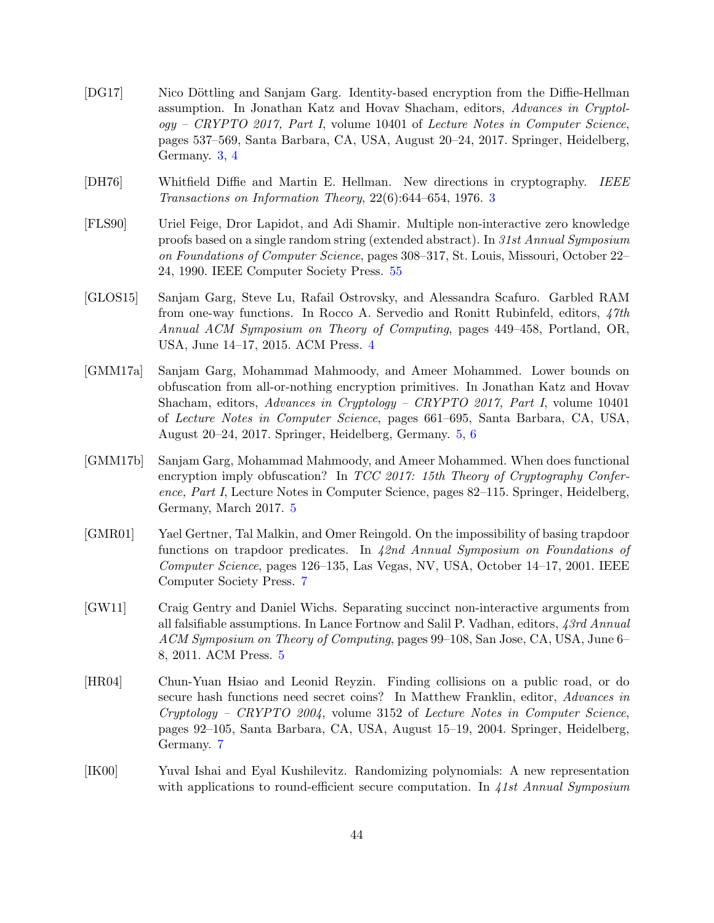- <span id="page-43-2"></span>[DG17] Nico Döttling and Sanjam Garg. Identity-based encryption from the Diffie-Hellman assumption. In Jonathan Katz and Hovav Shacham, editors, Advances in Cryptology – CRYPTO 2017, Part I, volume 10401 of Lecture Notes in Computer Science, pages 537–569, Santa Barbara, CA, USA, August 20–24, 2017. Springer, Heidelberg, Germany. [3,](#page-2-2) [4](#page-3-2)
- <span id="page-43-0"></span>[DH76] Whitfield Diffie and Martin E. Hellman. New directions in cryptography. IEEE Transactions on Information Theory, 22(6):644–654, 1976. [3](#page-2-2)
- <span id="page-43-9"></span>[FLS90] Uriel Feige, Dror Lapidot, and Adi Shamir. Multiple non-interactive zero knowledge proofs based on a single random string (extended abstract). In 31st Annual Symposium on Foundations of Computer Science, pages 308–317, St. Louis, Missouri, October 22– 24, 1990. IEEE Computer Society Press. [55](#page-54-1)
- <span id="page-43-3"></span>[GLOS15] Sanjam Garg, Steve Lu, Rafail Ostrovsky, and Alessandra Scafuro. Garbled RAM from one-way functions. In Rocco A. Servedio and Ronitt Rubinfeld, editors, 47th Annual ACM Symposium on Theory of Computing, pages 449–458, Portland, OR, USA, June 14–17, 2015. ACM Press. [4](#page-3-2)
- <span id="page-43-5"></span>[GMM17a] Sanjam Garg, Mohammad Mahmoody, and Ameer Mohammed. Lower bounds on obfuscation from all-or-nothing encryption primitives. In Jonathan Katz and Hovav Shacham, editors, Advances in Cryptology – CRYPTO 2017, Part I, volume 10401 of Lecture Notes in Computer Science, pages 661–695, Santa Barbara, CA, USA, August 20–24, 2017. Springer, Heidelberg, Germany. [5,](#page-4-2) [6](#page-5-2)
- <span id="page-43-6"></span>[GMM17b] Sanjam Garg, Mohammad Mahmoody, and Ameer Mohammed. When does functional encryption imply obfuscation? In  $TCC$  2017: 15th Theory of Cryptography Conference, Part I, Lecture Notes in Computer Science, pages 82–115. Springer, Heidelberg, Germany, March 2017. [5](#page-4-2)
- <span id="page-43-7"></span>[GMR01] Yael Gertner, Tal Malkin, and Omer Reingold. On the impossibility of basing trapdoor functions on trapdoor predicates. In 42nd Annual Symposium on Foundations of Computer Science, pages 126–135, Las Vegas, NV, USA, October 14–17, 2001. IEEE Computer Society Press. [7](#page-6-3)
- <span id="page-43-4"></span>[GW11] Craig Gentry and Daniel Wichs. Separating succinct non-interactive arguments from all falsifiable assumptions. In Lance Fortnow and Salil P. Vadhan, editors, 43rd Annual ACM Symposium on Theory of Computing, pages 99–108, San Jose, CA, USA, June 6– 8, 2011. ACM Press. [5](#page-4-2)
- <span id="page-43-8"></span>[HR04] Chun-Yuan Hsiao and Leonid Reyzin. Finding collisions on a public road, or do secure hash functions need secret coins? In Matthew Franklin, editor, Advances in  $Cryptology - CRYPTO 2004$ , volume 3152 of Lecture Notes in Computer Science, pages 92–105, Santa Barbara, CA, USA, August 15–19, 2004. Springer, Heidelberg, Germany. [7](#page-6-3)
- <span id="page-43-1"></span>[IK00] Yuval Ishai and Eyal Kushilevitz. Randomizing polynomials: A new representation with applications to round-efficient secure computation. In 41st Annual Symposium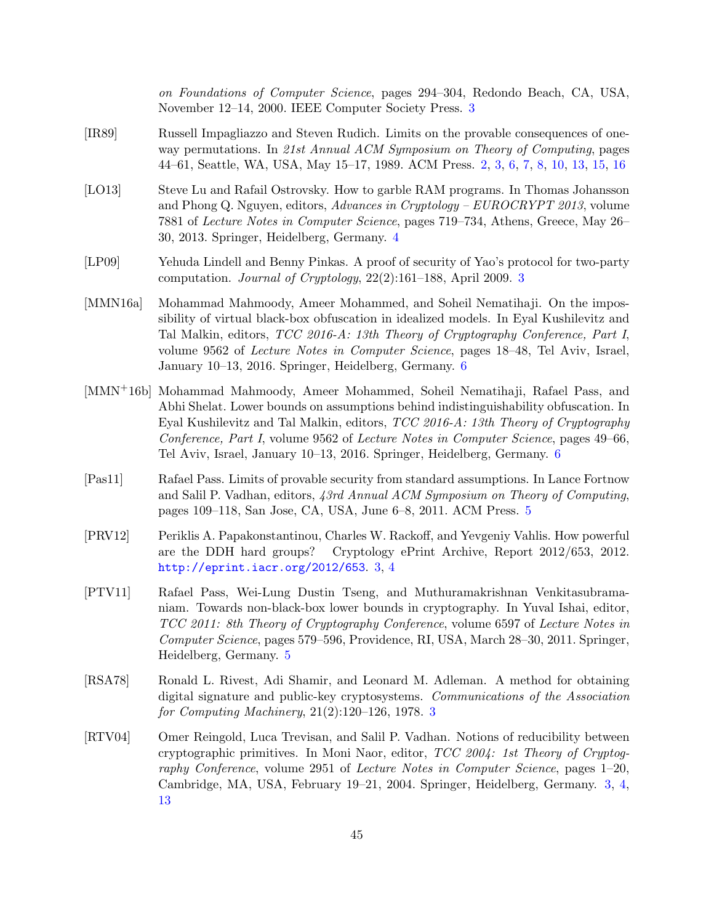on Foundations of Computer Science, pages 294–304, Redondo Beach, CA, USA, November 12–14, 2000. IEEE Computer Society Press. [3](#page-2-2)

- <span id="page-44-0"></span>[IR89] Russell Impagliazzo and Steven Rudich. Limits on the provable consequences of oneway permutations. In 21st Annual ACM Symposium on Theory of Computing, pages 44–61, Seattle, WA, USA, May 15–17, 1989. ACM Press. [2,](#page-1-0) [3,](#page-2-2) [6,](#page-5-2) [7,](#page-6-3) [8,](#page-7-1) [10,](#page-9-4) [13,](#page-12-3) [15,](#page-14-2) [16](#page-15-3)
- <span id="page-44-5"></span>[LO13] Steve Lu and Rafail Ostrovsky. How to garble RAM programs. In Thomas Johansson and Phong Q. Nguyen, editors, Advances in Cryptology – EUROCRYPT 2013, volume 7881 of Lecture Notes in Computer Science, pages 719–734, Athens, Greece, May 26– 30, 2013. Springer, Heidelberg, Germany. [4](#page-3-2)
- <span id="page-44-2"></span>[LP09] Yehuda Lindell and Benny Pinkas. A proof of security of Yao's protocol for two-party computation. Journal of Cryptology, 22(2):161–188, April 2009. [3](#page-2-2)
- <span id="page-44-9"></span>[MMN16a] Mohammad Mahmoody, Ameer Mohammed, and Soheil Nematihaji. On the impossibility of virtual black-box obfuscation in idealized models. In Eyal Kushilevitz and Tal Malkin, editors, TCC 2016-A: 13th Theory of Cryptography Conference, Part I, volume 9562 of Lecture Notes in Computer Science, pages 18–48, Tel Aviv, Israel, January 10–13, 2016. Springer, Heidelberg, Germany. [6](#page-5-2)
- <span id="page-44-8"></span>[MMN+16b] Mohammad Mahmoody, Ameer Mohammed, Soheil Nematihaji, Rafael Pass, and Abhi Shelat. Lower bounds on assumptions behind indistinguishability obfuscation. In Eyal Kushilevitz and Tal Malkin, editors, TCC 2016-A: 13th Theory of Cryptography Conference, Part I, volume 9562 of Lecture Notes in Computer Science, pages 49–66, Tel Aviv, Israel, January 10–13, 2016. Springer, Heidelberg, Germany. [6](#page-5-2)
- <span id="page-44-6"></span>[Pas11] Rafael Pass. Limits of provable security from standard assumptions. In Lance Fortnow and Salil P. Vadhan, editors, 43rd Annual ACM Symposium on Theory of Computing, pages 109–118, San Jose, CA, USA, June 6–8, 2011. ACM Press. [5](#page-4-2)
- <span id="page-44-3"></span>[PRV12] Periklis A. Papakonstantinou, Charles W. Rackoff, and Yevgeniy Vahlis. How powerful are the DDH hard groups? Cryptology ePrint Archive, Report 2012/653, 2012. <http://eprint.iacr.org/2012/653>. [3,](#page-2-2) [4](#page-3-2)
- <span id="page-44-7"></span>[PTV11] Rafael Pass, Wei-Lung Dustin Tseng, and Muthuramakrishnan Venkitasubramaniam. Towards non-black-box lower bounds in cryptography. In Yuval Ishai, editor, TCC 2011: 8th Theory of Cryptography Conference, volume 6597 of Lecture Notes in Computer Science, pages 579–596, Providence, RI, USA, March 28–30, 2011. Springer, Heidelberg, Germany. [5](#page-4-2)
- <span id="page-44-1"></span>[RSA78] Ronald L. Rivest, Adi Shamir, and Leonard M. Adleman. A method for obtaining digital signature and public-key cryptosystems. Communications of the Association for Computing Machinery, 21(2):120–126, 1978. [3](#page-2-2)
- <span id="page-44-4"></span>[RTV04] Omer Reingold, Luca Trevisan, and Salil P. Vadhan. Notions of reducibility between cryptographic primitives. In Moni Naor, editor, TCC 2004: 1st Theory of Cryptography Conference, volume 2951 of Lecture Notes in Computer Science, pages 1–20, Cambridge, MA, USA, February 19–21, 2004. Springer, Heidelberg, Germany. [3,](#page-2-2) [4,](#page-3-2) [13](#page-12-3)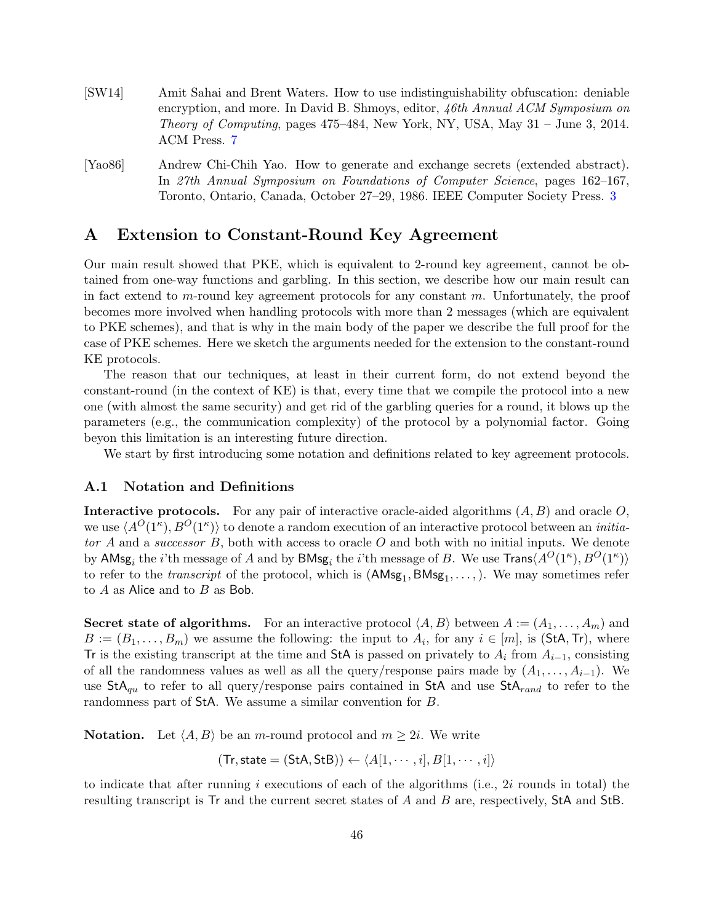- <span id="page-45-3"></span>[SW14] Amit Sahai and Brent Waters. How to use indistinguishability obfuscation: deniable encryption, and more. In David B. Shmoys, editor, 46th Annual ACM Symposium on Theory of Computing, pages 475–484, New York, NY, USA, May 31 – June 3, 2014. ACM Press. [7](#page-6-3)
- <span id="page-45-2"></span>[Yao86] Andrew Chi-Chih Yao. How to generate and exchange secrets (extended abstract). In 27th Annual Symposium on Foundations of Computer Science, pages 162–167, Toronto, Ontario, Canada, October 27–29, 1986. IEEE Computer Society Press. [3](#page-2-2)

## <span id="page-45-0"></span>A Extension to Constant-Round Key Agreement

Our main result showed that PKE, which is equivalent to 2-round key agreement, cannot be obtained from one-way functions and garbling. In this section, we describe how our main result can in fact extend to m-round key agreement protocols for any constant  $m$ . Unfortunately, the proof becomes more involved when handling protocols with more than 2 messages (which are equivalent to PKE schemes), and that is why in the main body of the paper we describe the full proof for the case of PKE schemes. Here we sketch the arguments needed for the extension to the constant-round KE protocols.

The reason that our techniques, at least in their current form, do not extend beyond the constant-round (in the context of KE) is that, every time that we compile the protocol into a new one (with almost the same security) and get rid of the garbling queries for a round, it blows up the parameters (e.g., the communication complexity) of the protocol by a polynomial factor. Going beyon this limitation is an interesting future direction.

We start by first introducing some notation and definitions related to key agreement protocols.

#### <span id="page-45-1"></span>A.1 Notation and Definitions

**Interactive protocols.** For any pair of interactive oracle-aided algorithms  $(A, B)$  and oracle O, we use  $\langle A^{O}(1\kappa), B^{O}(1\kappa)\rangle$  to denote a random execution of an interactive protocol between an *initia*tor A and a successor  $B$ , both with access to oracle O and both with no initial inputs. We denote by  $\mathsf{AMsg}_i$  the  $i$ 'th message of  $A$  and by  $\mathsf{BMsg}_i$  the  $i$ 'th message of  $B.$  We use  $\mathsf{Trans}\langle A^O(1^\kappa), B^O(1^\kappa) \rangle$ to refer to the *transcript* of the protocol, which is  $(AMSg_1, BMsg_1, \ldots)$ . We may sometimes refer to A as Alice and to B as Bob.

Secret state of algorithms. For an interactive protocol  $\langle A, B \rangle$  between  $A := (A_1, \ldots, A_m)$  and  $B := (B_1, \ldots, B_m)$  we assume the following: the input to  $A_i$ , for any  $i \in [m]$ , is (StA, Tr), where Tr is the existing transcript at the time and StA is passed on privately to  $A_i$  from  $A_{i-1}$ , consisting of all the randomness values as well as all the query/response pairs made by  $(A_1, \ldots, A_{i-1})$ . We use  $StA_{qu}$  to refer to all query/response pairs contained in StA and use  $StA_{rand}$  to refer to the randomness part of StA. We assume a similar convention for B.

**Notation.** Let  $\langle A, B \rangle$  be an m-round protocol and  $m \geq 2i$ . We write

$$
(\text{Tr}, \text{state} = (\text{StA}, \text{StB})) \leftarrow \langle A[1, \cdots, i], B[1, \cdots, i] \rangle
$$

to indicate that after running i executions of each of the algorithms (i.e.,  $2i$  rounds in total) the resulting transcript is Tr and the current secret states of A and B are, respectively, StA and StB.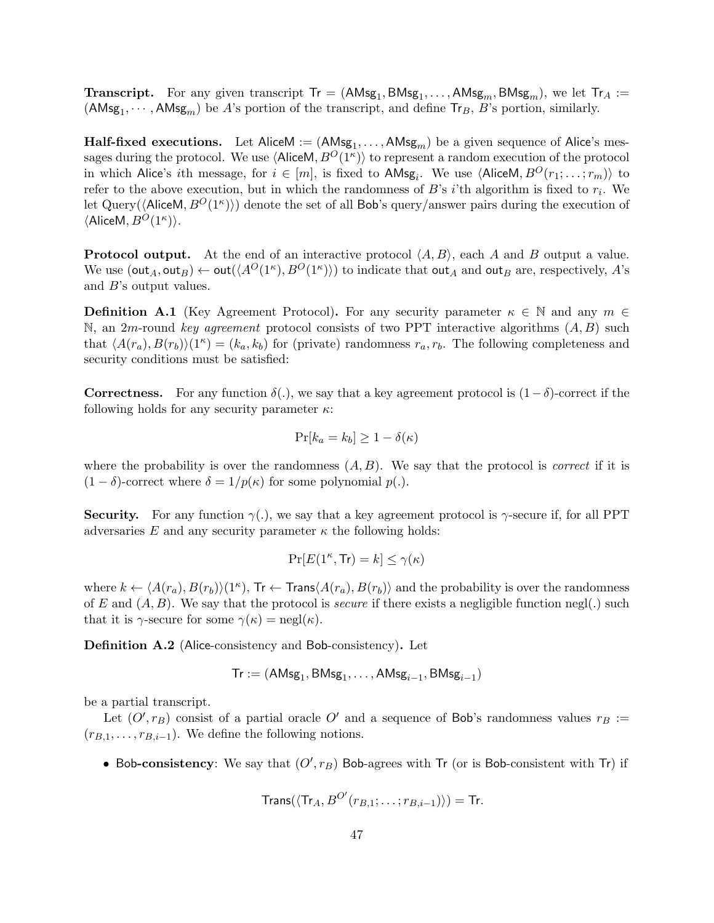**Transcript.** For any given transcript  $Tr = (AMsg_1, BMsg_1, ..., AMsg_m, BMsg_m)$ , we let  $Tr_A :=$  $(AMSg_1, \dots, AMsg_m)$  be A's portion of the transcript, and define  $Tr_B$ , B's portion, similarly.

 ${\rm \bf Half\text{-}fixed\,\, executions.}\quad \text{Let \, AliceM} := (\mathsf{AMsg}_1, \dots, \mathsf{AMsg}_m) \,\, \text{be a given sequence of \, Alice's mes-}$ sages during the protocol. We use  $\langle$  AliceM,  $B^{O}(1^{\kappa})\rangle$  to represent a random execution of the protocol in which Alice's  $i$ th message, for  $i \in [m],$  is fixed to  $\mathsf{AMsg}_i$ . We use  $\langle \mathsf{AliceM}, B^O(r_1; \ldots; r_m) \rangle$  to refer to the above execution, but in which the randomness of  $B$ 's *i*'th algorithm is fixed to  $r_i$ . We let Query( $\langle$ AliceM,  $B^O(1^{\kappa})\rangle$ ) denote the set of all Bob's query/answer pairs during the execution of  $\langle$ AliceM,  $B^O(1^{\kappa})\rangle$ .

**Protocol output.** At the end of an interactive protocol  $\langle A, B \rangle$ , each A and B output a value. We use (out<sub>A</sub>, out<sub>B</sub>)  $\leftarrow$  out( $\langle A^{O}(1^{\kappa}), B^{O}(1^{\kappa})\rangle$ ) to indicate that out<sub>A</sub> and out<sub>B</sub> are, respectively, A's and  $B$ 's output values.

**Definition A.1** (Key Agreement Protocol). For any security parameter  $\kappa \in \mathbb{N}$  and any  $m \in$ N, an 2m-round key agreement protocol consists of two PPT interactive algorithms  $(A, B)$  such that  $\langle A(r_a), B(r_b)\rangle(1^{\kappa}) = (k_a, k_b)$  for (private) randomness  $r_a, r_b$ . The following completeness and security conditions must be satisfied:

Correctness. For any function  $\delta(.)$ , we say that a key agreement protocol is  $(1-\delta)$ -correct if the following holds for any security parameter  $\kappa$ :

$$
\Pr[k_a = k_b] \ge 1 - \delta(\kappa)
$$

where the probability is over the randomness  $(A, B)$ . We say that the protocol is *correct* if it is  $(1 - \delta)$ -correct where  $\delta = 1/p(\kappa)$  for some polynomial  $p(.)$ .

**Security.** For any function  $\gamma(.)$ , we say that a key agreement protocol is  $\gamma$ -secure if, for all PPT adversaries E and any security parameter  $\kappa$  the following holds:

$$
\Pr[E(1^{\kappa}, \text{Tr}) = k] \le \gamma(\kappa)
$$

where  $k \leftarrow \langle A(r_a), B(r_b) \rangle (1^{\kappa}), \text{Tr} \leftarrow \text{Trans}\langle A(r_a), B(r_b) \rangle$  and the probability is over the randomness of E and  $(A, B)$ . We say that the protocol is *secure* if there exists a negligible function negl(.) such that it is  $\gamma$ -secure for some  $\gamma(\kappa) = \text{negl}(\kappa)$ .

Definition A.2 (Alice-consistency and Bob-consistency). Let

$$
\mathsf{Tr} := (\mathsf{AMsg}_1, \mathsf{BMsg}_1, \ldots, \mathsf{AMsg}_{i-1}, \mathsf{BMsg}_{i-1})
$$

be a partial transcript.

Let  $(O', r_B)$  consist of a partial oracle O' and a sequence of Bob's randomness values  $r_B :=$  $(r_{B,1}, \ldots, r_{B,i-1})$ . We define the following notions.

• Bob-consistency: We say that  $(O', r_B)$  Bob-agrees with Tr (or is Bob-consistent with Tr) if

$$
\mathsf{Trans}(\langle \mathsf{Tr}_A, B^{O'}(r_{B,1};\ldots; r_{B,i-1}) \rangle) = \mathsf{Tr}.
$$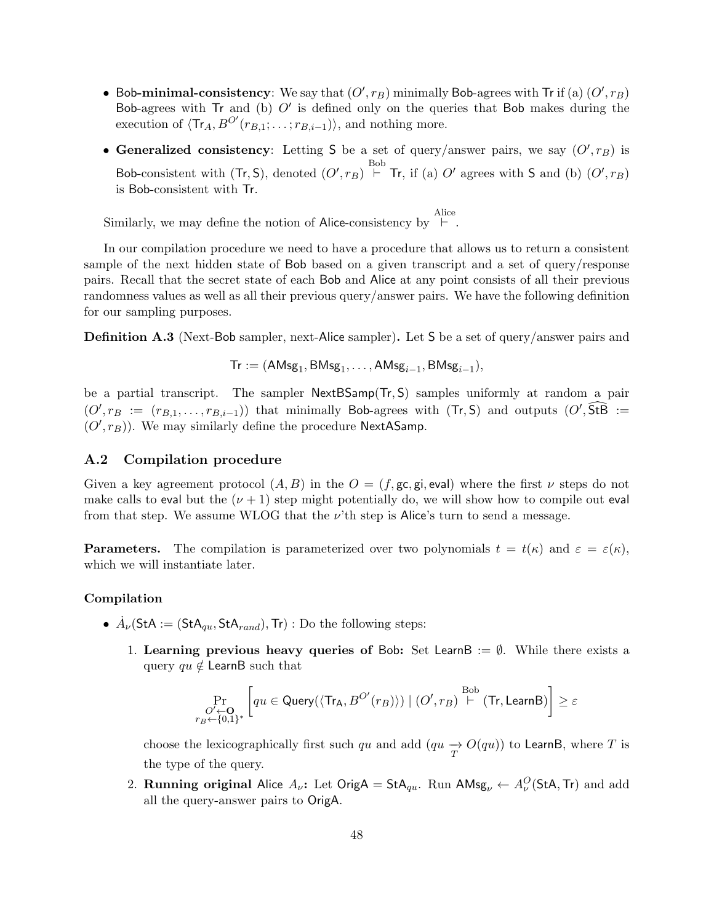- Bob-minimal-consistency: We say that  $(O', r_B)$  minimally Bob-agrees with Tr if (a)  $(O', r_B)$ Bob-agrees with  $\text{Tr}$  and (b)  $O'$  is defined only on the queries that Bob makes during the execution of  $\langle \text{Tr}_A, B^{O'}(r_{B,1}; \ldots; r_{B,i-1}) \rangle$ , and nothing more.
- Generalized consistency: Letting S be a set of query/answer pairs, we say  $(O', r_B)$  is Bob-consistent with (Tr, S), denoted  $(O', r_B)$ <sup>Bob</sup> Tr, if (a) O' agrees with S and (b)  $(O', r_B)$ is Bob-consistent with Tr.

Similarly, we may define the notion of Alice-consistency by  $\vdash$ . Alice

In our compilation procedure we need to have a procedure that allows us to return a consistent sample of the next hidden state of Bob based on a given transcript and a set of query/response pairs. Recall that the secret state of each Bob and Alice at any point consists of all their previous randomness values as well as all their previous query/answer pairs. We have the following definition for our sampling purposes.

Definition A.3 (Next-Bob sampler, next-Alice sampler). Let S be a set of query/answer pairs and

 $\mathsf{Tr} := (\mathsf{AMsg}_1, \mathsf{BMsg}_1, \dots, \mathsf{AMsg}_{i-1}, \mathsf{BMsg}_{i-1}),$ 

be a partial transcript. The sampler NextBSamp(Tr, S) samples uniformly at random a pair  $(O', r_B := (r_{B,1}, \ldots, r_{B,i-1}))$  that minimally Bob-agrees with  $(Tr, S)$  and outputs  $(O', \widehat{StB} :=$  $(O', r_B)$ ). We may similarly define the procedure NextASamp.

#### <span id="page-47-0"></span>A.2 Compilation procedure

Given a key agreement protocol  $(A, B)$  in the  $O = (f, gc, gi, eval)$  where the first  $\nu$  steps do not make calls to eval but the  $(\nu + 1)$  step might potentially do, we will show how to compile out eval from that step. We assume WLOG that the  $\nu$ 'th step is Alice's turn to send a message.

**Parameters.** The compilation is parameterized over two polynomials  $t = t(\kappa)$  and  $\varepsilon = \varepsilon(\kappa)$ , which we will instantiate later.

#### Compilation

- $\dot{A}_{\nu}$ (StA := (StA<sub>qu</sub>, StA<sub>rand</sub>), Tr) : Do the following steps:
	- 1. Learning previous heavy queries of Bob: Set LearnB :=  $\emptyset$ . While there exists a query  $qu \notin$  LearnB such that

$$
\Pr_{\substack{O'\leftarrow \mathbf{O} \\ r_B \leftarrow \{0,1\}^*}} \left[ qu \in \mathsf{Query}(\langle \mathsf{Tr}_\mathsf{A}, B^{O'}(r_B) \rangle) \mid (O', r_B) \stackrel{\text{Bob}}{\vdash} (\mathsf{Tr}, \mathsf{LearnB}) \right] \ge \varepsilon
$$

choose the lexicographically first such  $qu$  and add  $(qu \rightarrow O(qu))$  to LearnB, where T is the type of the query.

2. Running original Alice  $A_{\nu}$ : Let OrigA = StA<sub>qu</sub>. Run AMsg<sub> $\nu$ </sub>  $\leftarrow A_{\nu}^O(\text{StA}, \text{Tr})$  and add all the query-answer pairs to OrigA.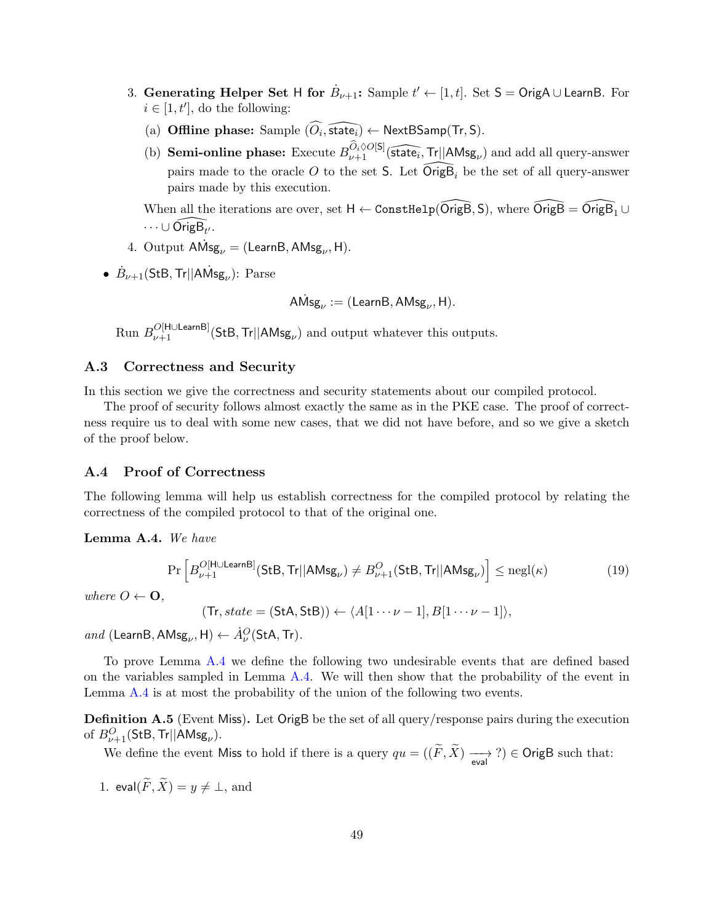- 3. Generating Helper Set H for  $\dot{B}_{\nu+1}$ : Sample  $t' \leftarrow [1, t]$ . Set S = OrigA  $\cup$  LearnB. For  $i \in [1, t']$ , do the following:
	- (a) **Offline phase:** Sample  $\widehat{(O_i, \mathsf{state}_i)} \leftarrow \mathsf{NextBSamp(Tr, S)}$ .
	- (b) **Semi-online phase:** Execute  $B_{\nu+1}^{\hat{O}_i \lozenge O[|S|]}(\widehat{\text{state}}_i, \text{Tr}||\text{AMsg}_{\nu})$  and add all query-answer pairs made to the oracle O to the set S. Let  $\widehat{\text{OrigB}}_i$  be the set of all query-answer pairs made by this execution.

When all the iterations are over, set H ← ConstHelp( $\widehat{O}$ rigB, S), where  $\widehat{O}$ rigB =  $\widehat{O}$ rigB<sub>1</sub> ∪  $\cdots \cup \widehat{\mathsf{OrigB}}_{t'}$ .

- 4. Output  $\mathsf{AMsg}_\nu = (\mathsf{LearnB}, \mathsf{AMsg}_\nu, \mathsf{H}).$
- $\dot{B}_{\nu+1}(\mathsf{StB},\mathsf{Tr}||\mathsf{A}\dot{\mathsf{M}}\mathsf{sg}_\nu)$ : Parse

$$
\mathsf{A}\dot{\mathsf{M}}\mathsf{sg}_\nu := (\mathsf{LearnB}, \mathsf{AMsg}_\nu, \mathsf{H}).
$$

Run  $B_{\nu+1}^{O[H\cup \text{LearnB}]}(\text{StB},\text{Tr}||\text{AMsg}_{\nu})$  and output whatever this outputs.

#### <span id="page-48-0"></span>A.3 Correctness and Security

In this section we give the correctness and security statements about our compiled protocol.

The proof of security follows almost exactly the same as in the PKE case. The proof of correctness require us to deal with some new cases, that we did not have before, and so we give a sketch of the proof below.

#### <span id="page-48-1"></span>A.4 Proof of Correctness

The following lemma will help us establish correctness for the compiled protocol by relating the correctness of the compiled protocol to that of the original one.

<span id="page-48-2"></span>Lemma A.4. We have

$$
\Pr\left[B_{\nu+1}^{O[\text{H}\cup\text{LearnB}]}(\text{StB},\text{Tr}||\text{AMsg}_{\nu}) \neq B_{\nu+1}^{O}(\text{StB},\text{Tr}||\text{AMsg}_{\nu})\right] \leq \text{negl}(\kappa) \tag{19}
$$

where  $O \leftarrow \mathbf{O}$ ,

$$
(\mathsf{Tr}, state = (\mathsf{StA}, \mathsf{StB})) \leftarrow \langle A[1 \cdots \nu - 1], B[1 \cdots \nu - 1] \rangle,
$$

and (LearnB,  $AMsg_{\nu}$ , H)  $\leftarrow \dot{A}^O_{\nu}(\text{StA}, \text{Tr}).$ 

To prove Lemma [A.4](#page-48-2) we define the following two undesirable events that are defined based on the variables sampled in Lemma [A.4.](#page-48-2) We will then show that the probability of the event in Lemma [A.4](#page-48-2) is at most the probability of the union of the following two events.

Definition A.5 (Event Miss). Let OrigB be the set of all query/response pairs during the execution of  $B^O_{\nu+1}(\mathsf{StB},\mathsf{Tr}||\mathsf{AMsg}_\nu).$ 

We define the event Miss to hold if there is a query  $qu = ((F, X) \longrightarrow ?) \in \text{OrigB such that:}$ 

1. eval $(\widetilde{F}, \widetilde{X}) = y \neq \bot$ , and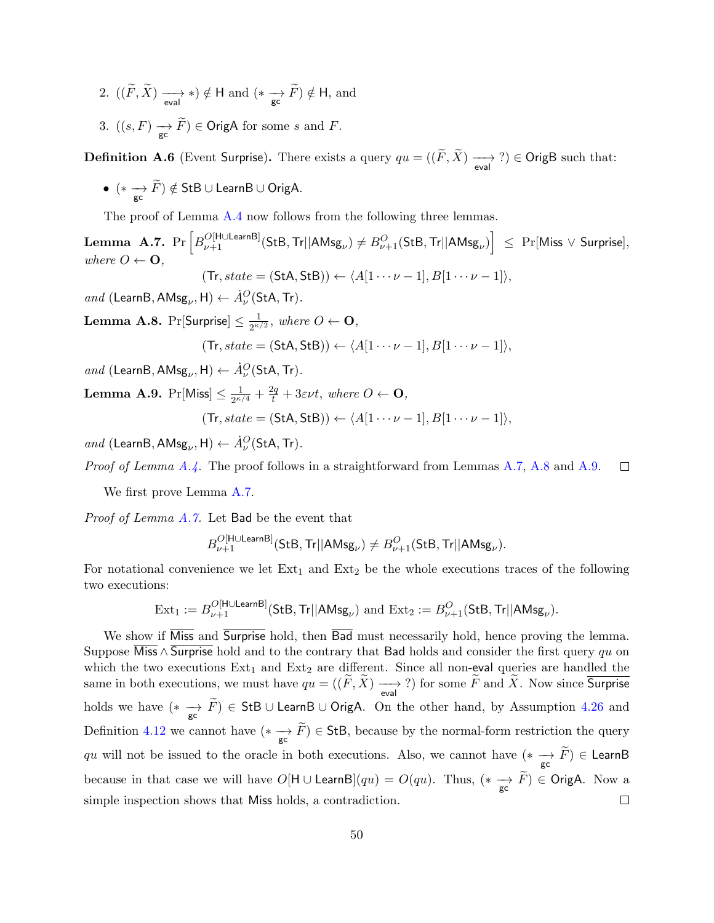- 2.  $((F, X) \longrightarrow *) \notin \mathsf{H}$  and  $(* \longrightarrow F) \notin \mathsf{H}$ , and
- 3.  $((s, F) \longrightarrow_{\text{gc}} F) \in \text{OrigA}$  for some s and F.

**Definition A.6** (Event Surprise). There exists a query  $qu = ((F, X) \longrightarrow ?) \in \text{OrigB such that:}$ 

 $\bullet \ \ (\ast \underset{\mathsf{gc}}{\longrightarrow} F) \notin \mathsf{StB} \cup \mathsf{LearnB} \cup \mathsf{OrigA}.$ 

The proof of Lemma [A.4](#page-48-2) now follows from the following three lemmas.

<span id="page-49-1"></span> ${\bf Lemma ~ \ A.7. ~ Pr} \left[ B_{\nu+1}^{O[{\sf H}\cup{\sf LearnB}]}({\sf StB},{\sf Tr}||{\sf AMsg}_\nu) \neq B_{\nu+1}^{O}({\sf StB},{\sf Tr}||{\sf AMsg}_\nu) \right] ~\leq ~ \Pr[{\sf Miss} ~ \lor ~ {\sf Surprise}],$ where  $O \leftarrow \mathbf{O}$ ,

$$
(\mathsf{Tr}, state = (\mathsf{StA}, \mathsf{StB})) \leftarrow \langle A[1 \cdots \nu - 1], B[1 \cdots \nu - 1] \rangle,
$$

and (LearnB,  $AMsg_{\nu}$ , H)  $\leftarrow \dot{A}^O_{\nu}(\text{StA}, \text{Tr}).$ 

<span id="page-49-2"></span>Lemma A.8. Pr [Surprise]  $\leq \frac{1}{2\kappa}$  $\frac{1}{2^{k/2}}$ , where  $O \leftarrow \mathbf{O}$ ,

$$
(\mathsf{Tr}, state = (\mathsf{StA}, \mathsf{StB})) \leftarrow \langle A[1 \cdots \nu - 1], B[1 \cdots \nu - 1] \rangle,
$$

and (LearnB,  $AMsg_{\nu}$ , H)  $\leftarrow \dot{A}^O_{\nu}(\text{StA}, \text{Tr}).$ 

<span id="page-49-0"></span>**Lemma A.9.** Pr[Miss]  $\leq \frac{1}{25}$  $\frac{1}{2^{k/4}} + \frac{2q}{t} + 3\varepsilon \nu t$ , where  $O \leftarrow \mathbf{O}$ ,

$$
(\mathsf{Tr}, state = (\mathsf{StA}, \mathsf{StB})) \leftarrow \langle A[1 \cdots \nu - 1], B[1 \cdots \nu - 1] \rangle,
$$

and (LearnB,  $AMsg_\nu, H) \leftarrow \dot{A}^O_\nu(\text{StA}, \text{Tr}).$ 

*Proof of Lemma [A.4.](#page-48-2)* The proof follows in a straightforward from Lemmas [A.7,](#page-49-1) [A.8](#page-49-2) and [A.9.](#page-49-0)  $\Box$ 

We first prove Lemma [A.7.](#page-49-1)

Proof of Lemma [A.7.](#page-49-1) Let Bad be the event that

$$
B_{\nu+1}^{O[\text{HULearnB}]}(\text{StB},\text{Tr}||\text{AMsg}_{\nu}) \neq B_{\nu+1}^{O}(\text{StB},\text{Tr}||\text{AMsg}_{\nu}).
$$

For notational convenience we let  $Ext_1$  and  $Ext_2$  be the whole executions traces of the following two executions:

$$
\text{Ext}_1 := B_{\nu+1}^{\text{O[HULearnB]}}(\text{StB}, \text{Tr}||\text{AMsg}_{\nu}) \text{ and } \text{Ext}_2 := B_{\nu+1}^{\text{O}}(\text{StB}, \text{Tr}||\text{AMsg}_{\nu}).
$$

We show if Miss and Surprise hold, then Bad must necessarily hold, hence proving the lemma. Suppose Miss  $\land$  Surprise hold and to the contrary that Bad holds and consider the first query qu on which the two executions  $Ext_1$  and  $Ext_2$  are different. Since all non-eval queries are handled the same in both executions, we must have  $qu = ((F, X) \longrightarrow ?)$  for some F and X. Now since Surprise holds we have  $(*\longrightarrow\atop {\rm gc}F)\in \sf{StB}\cup \sf{LearnB}\cup \sf{OrigA}.$  On the other hand, by Assumption [4.26](#page-24-2) and Definition [4.12](#page-17-1) we cannot have  $(*\longrightarrow_F F) \in$  StB, because by the normal-form restriction the query qu will not be issued to the oracle in both executions. Also, we cannot have  $(*\longrightarrow_{\text{gc}} F) \in \text{LearnB}$ because in that case we will have  $O[H \cup \text{LearnB}](qu) = O(qu)$ . Thus,  $(* \longrightarrow_{\text{gc}} F) \in \text{OrigA}$ . Now a simple inspection shows that Miss holds, a contradiction.  $\Box$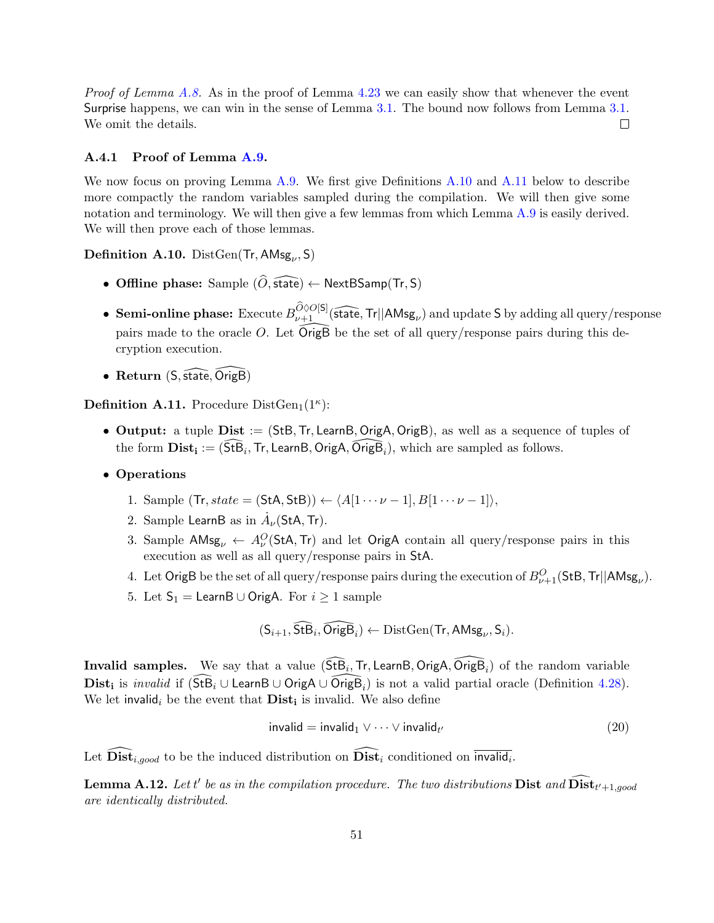Proof of Lemma [A.8.](#page-49-2) As in the proof of Lemma [4.23](#page-20-1) we can easily show that whenever the event Surprise happens, we can win in the sense of Lemma [3.1.](#page-10-2) The bound now follows from Lemma [3.1.](#page-10-2) We omit the details.  $\Box$ 

#### <span id="page-50-0"></span>A.4.1 Proof of Lemma [A.9.](#page-49-0)

We now focus on proving Lemma [A.9.](#page-49-0) We first give Definitions [A.10](#page-50-1) and [A.11](#page-50-2) below to describe more compactly the random variables sampled during the compilation. We will then give some notation and terminology. We will then give a few lemmas from which Lemma [A.9](#page-49-0) is easily derived. We will then prove each of those lemmas.

<span id="page-50-1"></span>**Definition A.10.** DistGen(Tr,  $AMsg_{\nu}$ , S)

- Offline phase: Sample  $(\widehat{O}, \widehat{\text{state}}) \leftarrow \text{NextBSamp}(Tr, S)$
- Semi-online phase: Execute  $B_{\nu+1}^{\widehat{O} \diamond O[{\sf S}]}(\widehat{\textsf{state}},\textsf{Tr}||\textsf{AMsg}_\nu)$  and update S by adding all query/response pairs made to the oracle O. Let  $\overline{O}$ rigB be the set of all query/response pairs during this decryption execution.
- Return  $(S, state, OrigB)$

<span id="page-50-2"></span>Definition A.11. Procedure Dist $Gen_1(1^{\kappa})$ :

- Output: a tuple  $Dist := (StB, Tr, LearnB, Origin, ArgB)$ , as well as a sequence of tuples of the form  $Dist_i := (\widehat{StB}_i, Tr, LearnB, Origin, \widehat{OrigB}_i),$  which are sampled as follows.
- Operations
	- 1. Sample  $(\text{Tr}, state = (\text{StA}, \text{StB})) \leftarrow \langle A[1 \cdots \nu 1], B[1 \cdots \nu 1] \rangle$ ,
	- 2. Sample LearnB as in  $\dot{A}_{\nu}(\mathsf{StA},\mathsf{Tr}).$
	- 3. Sample  $AMsg_{\nu} \leftarrow A_{\nu}^{O}(StA, Tr)$  and let OrigA contain all query/response pairs in this execution as well as all query/response pairs in StA.
	- 4. Let OrigB be the set of all query/response pairs during the execution of  $B^O_{\nu+1}(\mathsf{StB},\mathsf{Tr}||\mathsf{AMsg}_\nu).$
	- 5. Let  $S_1$  = LearnB ∪ OrigA. For  $i \ge 1$  sample

$$
(\mathsf{S}_{i+1},\widehat{\mathsf{StB}}_i,\widehat{\mathsf{OrigB}}_i) \leftarrow \mathrm{DistGen}(\mathsf{Tr},\mathsf{AMsg}_\nu,\mathsf{S}_i).
$$

Invalid samples. We say that a value  $(\widehat{\mathsf{StB}}_i, \mathsf{Tr}, \mathsf{LearnB}, \mathsf{OrigA}, \widehat{\mathsf{OrigB}}_i)$  of the random variable Dist<sub>i</sub> is *invalid* if  $(\widehat{\mathsf{StB}}_i \cup \mathsf{LearnB} \cup \mathsf{OrigA} \cup \widehat{\mathsf{OrigB}}_i)$  is not a valid partial oracle (Definition [4.28\)](#page-24-4). We let invalid<sub>i</sub> be the event that  $Dist_i$  is invalid. We also define

$$
invalid = invalid_1 \vee \cdots \vee invalid_{t'} \tag{20}
$$

Let  $\widehat{\text{Dist}}_{i, good}$  to be the induced distribution on  $\widehat{\text{Dist}}_i$  conditioned on  $\widehat{\text{invalid}}_i$ .

<span id="page-50-3"></span>**Lemma A.12.** Let t' be as in the compilation procedure. The two distributions **Dist** and  $\widehat{\text{Dist}}_{t'+1,good}$ are identically distributed.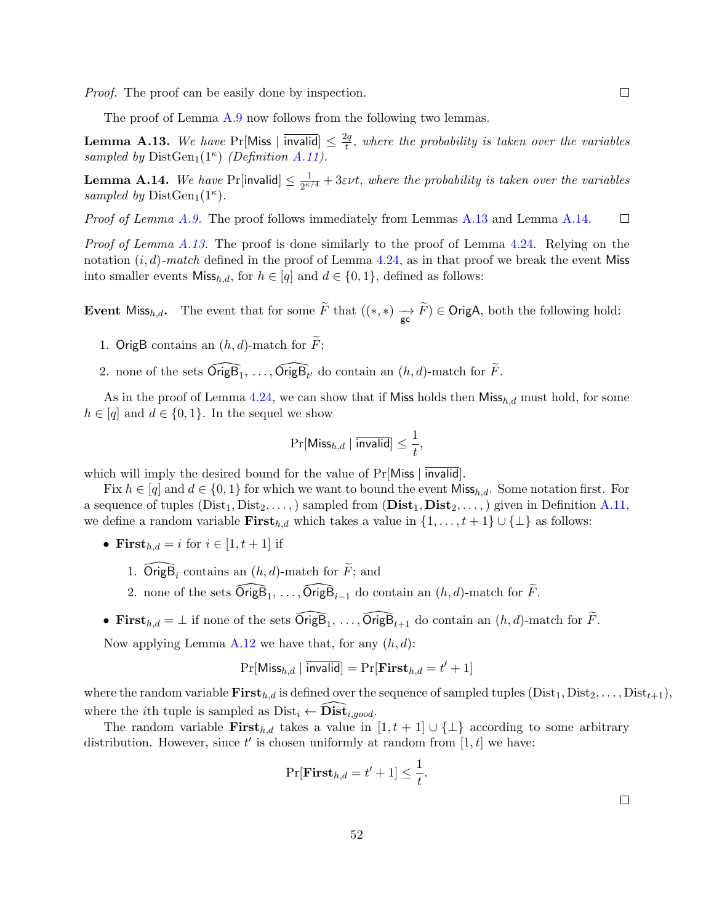Proof. The proof can be easily done by inspection.

The proof of Lemma [A.9](#page-49-0) now follows from the following two lemmas.

<span id="page-51-0"></span>**Lemma A.13.** We have Pr[Miss  $\vert$   $\overline{invalid}$ ]  $\leq \frac{2q}{t}$  $\frac{t_i q}{t}$ , where the probability is taken over the variables sampled by  $DistGen_1(1^{\kappa})$  (Definition [A.11\)](#page-50-2).

<span id="page-51-1"></span>**Lemma A.14.** We have Pr[invalid]  $\leq \frac{1}{2\pi}$  $\frac{1}{2^{k/4}}+3\varepsilon\nu t$ , where the probability is taken over the variables sampled by  $\text{DistGen}_1(1^{\kappa})$ .

Proof of Lemma [A.9.](#page-49-0) The proof follows immediately from Lemmas [A.13](#page-51-0) and Lemma [A.14.](#page-51-1)  $\Box$ 

Proof of Lemma [A.13.](#page-51-0) The proof is done similarly to the proof of Lemma [4.24.](#page-20-2) Relying on the notation  $(i, d)$ -match defined in the proof of Lemma [4.24,](#page-20-2) as in that proof we break the event Miss into smaller events  $Miss_{h,d}$ , for  $h \in [q]$  and  $d \in \{0,1\}$ , defined as follows:

**Event Miss**<sub>h,d</sub>. The event that for some F that  $((*,*) \xrightarrow{\text{gc}} F) \in \text{OrigA}$ , both the following hold:

- 1. OrigB contains an  $(h, d)$ -match for  $\overline{F}$ ;
- 2. none of the sets  $\widehat{\text{OrigB}}_1, \ldots, \widehat{\text{OrigB}}_{t'}$  do contain an  $(h, d)$ -match for  $\widetilde{F}$ .

As in the proof of Lemma [4.24,](#page-20-2) we can show that if Miss holds then  $\mathsf{Miss}_{h,d}$  must hold, for some  $h \in [q]$  and  $d \in \{0,1\}$ . In the sequel we show

$$
\Pr[\mathsf{Miss}_{h,d} \mid \overline{\mathsf{invalid}}] \le \frac{1}{t},
$$

which will imply the desired bound for the value of  $Pr[M]$  invalid.

Fix  $h \in [q]$  and  $d \in \{0, 1\}$  for which we want to bound the event Miss<sub>h,d</sub>. Some notation first. For a sequence of tuples  $(Dist_1, Dist_2, \ldots)$  sampled from  $(Dist_1, Dist_2, \ldots)$  given in Definition [A.11,](#page-50-2) we define a random variable  $\textbf{First}_{h,d}$  which takes a value in  $\{1,\ldots,t+1\}\cup\{\perp\}$  as follows:

- First $h_d = i$  for  $i \in [1, t + 1]$  if
	- 1.  $\widehat{\text{OrigB}}_i$  contains an  $(h, d)$ -match for  $\widetilde{F}$ ; and
	- 2. none of the sets  $\widehat{\text{OrigB}}_1, \ldots, \widehat{\text{OrigB}}_{i-1}$  do contain an  $(h, d)$ -match for  $\widetilde{F}$ .
- First  $h, d = \perp$  if none of the sets  $\widehat{\text{OrigB}}_1, \ldots, \widehat{\text{OrigB}}_{t+1}$  do contain an  $(h, d)$ -match for  $\widetilde{F}$ .

Now applying Lemma [A.12](#page-50-3) we have that, for any  $(h, d)$ :

 $\Pr[\mathsf{Miss}_{h,d} \mid \overline{\mathsf{invalid}}] = \Pr[\mathbf{First}_{h,d} = t' + 1]$ 

where the random variable  $\textbf{First}_{h,d}$  is defined over the sequence of sampled tuples  $(\text{Dist}_1, \text{Dist}_2, \ldots, \text{Dist}_{t+1}),$ where the *i*th tuple is sampled as  $Dist_i \leftarrow Dist_{i, good}$ .

The random variable  $\textbf{First}_{h,d}$  takes a value in  $[1, t + 1] \cup \{\perp\}$  according to some arbitrary distribution. However, since  $t'$  is chosen uniformly at random from [1, t] we have:

$$
\Pr[\mathbf{First}_{h,d} = t' + 1] \le \frac{1}{t}.
$$

 $\Box$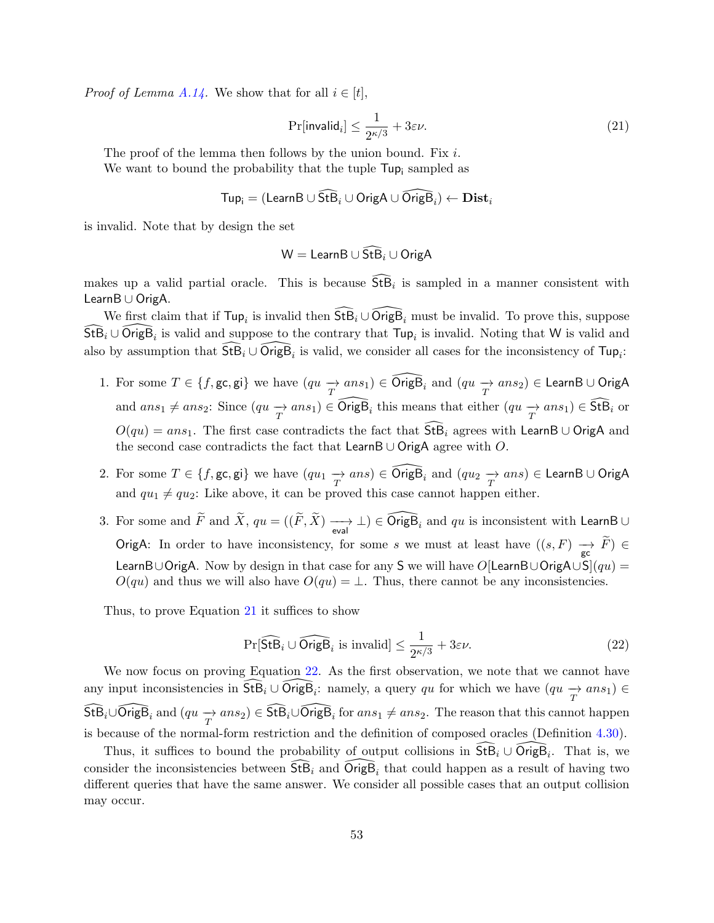*Proof of Lemma [A.14.](#page-51-1)* We show that for all  $i \in [t]$ ,

<span id="page-52-0"></span>
$$
\Pr[\mathsf{invalid}_i] \le \frac{1}{2^{\kappa/3}} + 3\varepsilon\nu. \tag{21}
$$

The proof of the lemma then follows by the union bound. Fix i. We want to bound the probability that the tuple  $\text{Tup}_i$  sampled as

$$
\mathsf{Tup}_{\mathsf{i}} = (\mathsf{LearnB} \cup \widehat{\mathsf{StB}}_i \cup \mathsf{OrigA} \cup \widehat{\mathsf{OrigB}}_i) \leftarrow \mathbf{Dist}_i
$$

is invalid. Note that by design the set

$$
W = \text{LearnB} \cup \widehat{\text{StB}}_i \cup \text{OrigA}
$$

makes up a valid partial oracle. This is because  $StB_i$  is sampled in a manner consistent with LearnB ∪ OrigA.

We first claim that if  $Tup_i$  is invalid then  $\widehat{\mathsf{StB}}_i \cup \widehat{\mathsf{OrigB}}_i$  must be invalid. To prove this, suppose  $\widehat{\text{StB}}_i \cup \widehat{\text{OrigB}}_i$  is valid and suppose to the contrary that  $\text{Tip}_i$  is invalid. Noting that W is valid and also by assumption that  $\widehat{\mathsf{StB}_i} \cup \widehat{\mathsf{OrigB}_i}$  is valid, we consider all cases for the inconsistency of Tup<sub>i</sub>:

- 1. For some  $T \in \{f, \text{gc}, \text{gi}\}\)$  we have  $(qu \rightarrow ans_1) \in \widehat{\text{OrigB}}_i$  and  $(qu \rightarrow ans_2) \in \text{LearnB} \cup \text{OrigA}$ and  $ans_1 \neq ans_2$ : Since  $-qu \rightarrow ans_1) \in \widehat{\text{OrigB}}_i$  this means that either  $-qu \rightarrow ans_1) \in \widehat{\text{StB}}_i$  or  $O(qu) = ans_1$ . The first case contradicts the fact that  $\overline{StB}_i$  agrees with LearnB ∪ OrigA and the second case contradicts the fact that LearnB  $\cup$  OrigA agree with O.
- 2. For some  $T \in \{f, \text{gc}, \text{gi}\}$  we have  $-qu_1 \xrightarrow{T} ans) \in \widehat{\text{OrigB}}_i$  and  $-qu_2 \xrightarrow{T} ans) \in \text{LearnB} \cup \text{OrigA}$ and  $qu_1 \ne qu_2$ : Like above, it can be proved this case cannot happen either.
- 3. For some and  $\widetilde{F}$  and  $\widetilde{X}$ ,  $qu = ((\widetilde{F}, \widetilde{X}) \longrightarrow \bot) \in \widehat{\text{OrigB}}_i$  and  $qu$  is inconsistent with LearnB  $\cup$ OrigA: In order to have inconsistency, for some s we must at least have  $((s, F) \longrightarrow_{\text{gc}} F) \in$ LearnB∪OrigA. Now by design in that case for any S we will have O[LearnB∪OrigA∪S]( $qu$ ) =  $O(qu)$  and thus we will also have  $O(qu) = \perp$ . Thus, there cannot be any inconsistencies.

Thus, to prove Equation [21](#page-52-0) it suffices to show

<span id="page-52-1"></span>
$$
\Pr[\widehat{\mathsf{StB}}_i \cup \widehat{\mathsf{OrigB}}_i \text{ is invalid}] \le \frac{1}{2^{\kappa/3}} + 3\varepsilon\nu. \tag{22}
$$

We now focus on proving Equation [22.](#page-52-1) As the first observation, we note that we cannot have any input inconsistencies in  $\widehat{\mathsf{StB}}_i \cup \widehat{\mathsf{OrigB}}_i$ : namely, a query qu for which we have  $(qu \rightarrow ans_1) \in$  $\widehat{\text{StB}}_i \cup \widehat{\text{OrigB}}_i$  and  $\left( qu \to ans_2 \right) \in \widehat{\text{StB}}_i \cup \widehat{\text{OrigB}}_i$  for  $ans_1 \neq ans_2$ . The reason that this cannot happen is because of the normal-form restriction and the definition of composed oracles (Definition [4.30\)](#page-24-5).

Thus, it suffices to bound the probability of output collisions in  $\widehat{StB}_i \cup \widehat{OrigB}_i$ . That is, we consider the inconsistencies between  $\widehat{\mathsf{StB}}_i$  and  $\widehat{\mathsf{OrigB}}_i$  that could happen as a result of having two different queries that have the same answer. We consider all possible cases that an output collision may occur.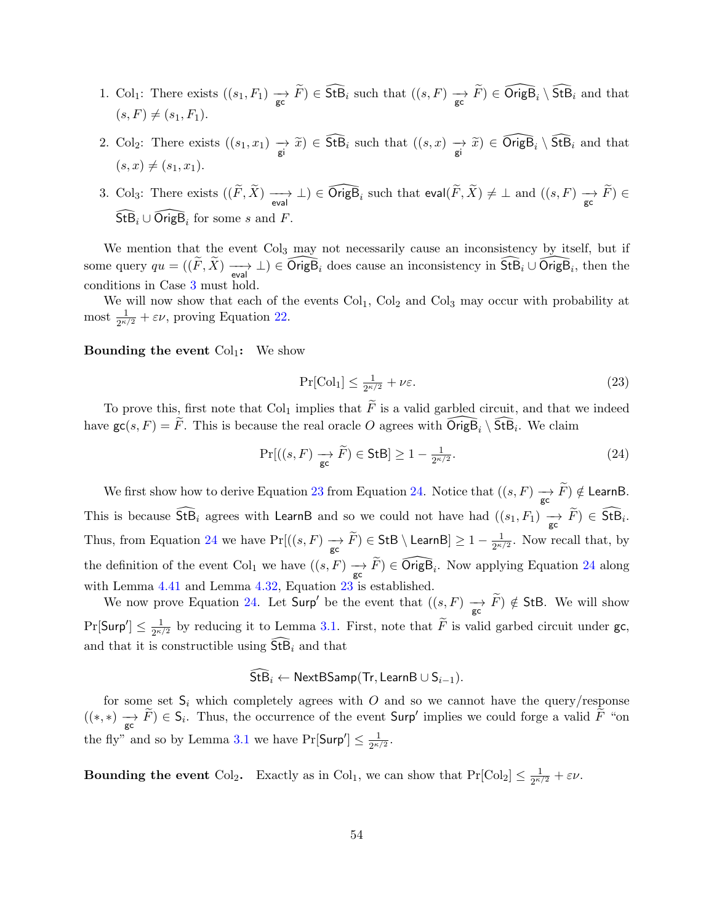- 1. Col<sub>1</sub>: There exists  $((s_1, F_1) \longrightarrow \widetilde{F}) \in \widehat{\text{StB}}_i$  such that  $((s, F) \longrightarrow \widetilde{F}) \in \widehat{\text{OrigB}}_i \setminus \widehat{\text{StB}}_i$  and that  $(s, F) \neq (s_1, F_1).$
- 2. Col<sub>2</sub>: There exists  $((s_1, x_1) \rightarrow \tilde{x}) \in \widehat{\mathsf{StB}}_i$  such that  $((s, x) \rightarrow \tilde{x}) \in \widehat{\mathsf{OrigB}}_i \setminus \widehat{\mathsf{StB}}_i$  and that  $(s, x) \neq (s_1, x_1).$
- <span id="page-53-0"></span>3. Col<sub>3</sub>: There exists  $((\widetilde{F}, \widetilde{X}) \longrightarrow \bot) \in \widehat{\text{OrigB}}_i$  such that  $eval(\widetilde{F}, \widetilde{X}) \neq \bot$  and  $((s, F) \longrightarrow \widetilde{F}) \in$  $\widehat{\mathsf{StB}}_i \cup \widehat{\mathsf{OrigB}}_i$  for some s and F.

We mention that the event Col<sub>3</sub> may not necessarily cause an inconsistency by itself, but if some query  $qu = ((\widetilde{F}, \widetilde{X}) \longrightarrow \bot) \in \widetilde{\text{OrigB}}_i$  does cause an inconsistency in  $\widehat{\text{StB}}_i \cup \widetilde{\text{OrigB}}_i$ , then the conditions in Case [3](#page-53-0) must hold.

We will now show that each of the events  $Col_1$ ,  $Col_2$  and  $Col_3$  may occur with probability at most  $\frac{1}{2^{\kappa/2}} + \varepsilon \nu$ , proving Equation [22.](#page-52-1)

**Bounding the event**  $Col_1$ : We show

<span id="page-53-1"></span>
$$
\Pr[\text{Col}_1] \le \frac{1}{2^{\kappa/2}} + \nu \varepsilon. \tag{23}
$$

To prove this, first note that Col<sub>1</sub> implies that  $\widetilde{F}$  is a valid garbled circuit, and that we indeed have  $\mathsf{gc}(s, F) = \widetilde{F}$ . This is because the real oracle O agrees with  $\widehat{\mathsf{OrigB}}_i \setminus \widehat{\mathsf{StB}}_i$ . We claim

<span id="page-53-2"></span>
$$
\Pr[((s, F) \xrightarrow{\sim} \widetilde{F}) \in \mathsf{StB}] \ge 1 - \frac{1}{2^{\kappa/2}}.\tag{24}
$$

We first show how to derive Equation [23](#page-53-1) from Equation [24.](#page-53-2) Notice that  $((s, F) \longrightarrow_{\text{gc}} F) \notin \text{LearnB}.$ This is because  $StB_i$  agrees with LearnB and so we could not have had  $((s_1, F_1) \rightarrow F) \in StB_i$ . Thus, from Equation [24](#page-53-2) we have  $\Pr[((s,F)\xrightarrow[\text{gc}]{\text{gc}}\widetilde{F})\in \text{StB}\setminus \text{LearnB}]\geq 1-\frac{1}{2^{\kappa/2}}$  $\frac{1}{2^{k/2}}$ . Now recall that, by the definition of the event Col<sub>1</sub> we have  $((s, F) \xrightarrow{\sim} \widetilde{F}) \in \widehat{\text{OrigB}}_i$ . Now applying Equation [24](#page-53-2) along with Lemma [4.41](#page-28-1) and Lemma [4.32,](#page-25-2) Equation [23](#page-53-1) is established.

We now prove Equation [24.](#page-53-2) Let  $\textsf{Surp}'$  be the event that  $((s, F) \longrightarrow \widetilde{F}) \notin \textsf{StB}$ . We will show  $\Pr[\mathsf{Surp}'] \leq \frac{1}{2\kappa}$  $\frac{1}{2^{\kappa/2}}$  by reducing it to Lemma [3.1.](#page-10-2) First, note that F is valid garbed circuit under gc, and that it is constructible using  $\tilde{\mathsf{St}}\bar{\mathsf{B}}_i$  and that

$$
\mathsf{StB}_i \leftarrow \mathsf{NextBSamp}(\mathsf{Tr}, \mathsf{LearnB} \cup \mathsf{S}_{i-1}).
$$

for some set  $S_i$  which completely agrees with O and so we cannot have the query/response  $((*,*) \rightarrow \widetilde{F}) \in \mathsf{S}_i$ . Thus, the occurrence of the event **Surp'** implies we could forge a valid  $\widetilde{F}$  "on the fly" and so by Lemma [3.1](#page-10-2) we have  $Pr[S_{\text{u}}|S] \leq \frac{1}{2\kappa}$  $\frac{1}{2^{\kappa/2}}.$ 

**Bounding the event** Col<sub>2</sub>. Exactly as in Col<sub>1</sub>, we can show that  $Pr[Col_2] \leq \frac{1}{2^{\kappa}}$  $\frac{1}{2^{\kappa/2}}+\varepsilon \nu.$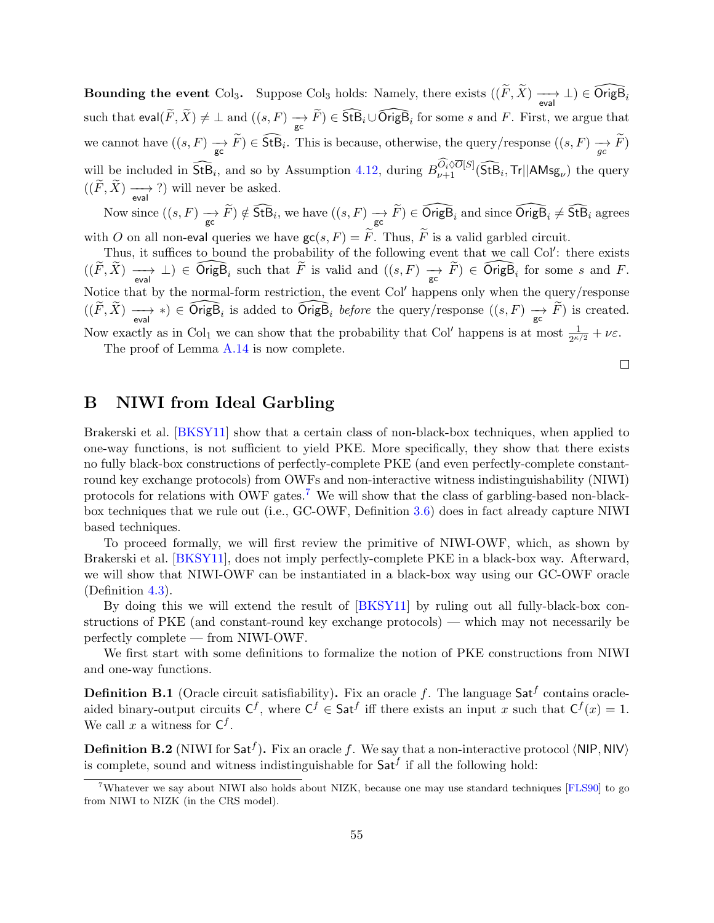<span id="page-54-1"></span>**Bounding the event** Col<sub>3</sub>. Suppose Col<sub>3</sub> holds: Namely, there exists  $((\widetilde{F}, \widetilde{X}) \longrightarrow \bot) \in \widehat{\text{OrigB}}_i$ such that  $eval(\widetilde{F}, \widetilde{X}) \neq \bot$  and  $((s, F) \longrightarrow \widetilde{F}) \in \widehat{\mathsf{StB}}_i \cup \widehat{\mathsf{OrigB}}_i$  for some s and F. First, we argue that we cannot have  $((s, F) \longrightarrow F) \in \mathsf{StB}_i$ . This is because, otherwise, the query/response  $((s, F) \longrightarrow F)$ will be included in  $\widehat{\mathsf{StB}}_i$ , and so by Assumption [4.12,](#page-17-1) during  $B_{\nu+1}^{\widehat{O}_i \lozenge \overline{O}[S]}(\widehat{\mathsf{StB}}_i, \mathsf{Tr}||\mathsf{AMsg}_{\nu})$  the query  $((F,X) \longrightarrow ?)$  will never be asked.

Now since  $((s, F) \longrightarrow \widetilde{F}) \notin \widehat{\mathsf{StB}}_i$ , we have  $((s, F) \longrightarrow \widetilde{F}) \in \widehat{\mathsf{OrigB}}_i$  and since  $\widehat{\mathsf{OrigB}}_i \neq \widehat{\mathsf{StB}}_i$  agrees with O on all non-eval queries we have  $\mathsf{gc}(s, F) = \widetilde{F}$ . Thus,  $\widetilde{F}$  is a valid garbled circuit.

Thus, it suffices to bound the probability of the following event that we call Col': there exists  $((\widetilde{F}, \widetilde{X}) \longrightarrow \bot) \in \widehat{\text{OrigB}}_i$  such that  $\widetilde{F}$  is valid and  $((s, F) \longrightarrow \widetilde{F}) \in \widehat{\text{OrigB}}_i$  for some s and F. Notice that by the normal-form restriction, the event Col' happens only when the query/response  $((\widetilde{F}, \widetilde{X}) \longrightarrow *) \in \widehat{\text{OrigB}}_i$  is added to  $\widehat{\text{OrigB}}_i$  before the query/response  $((s, F) \longrightarrow \widetilde{F})$  is created. Now exactly as in Col<sub>1</sub> we can show that the probability that Col' happens is at most  $\frac{1}{2^{k/2}} + \nu \varepsilon$ .

The proof of Lemma [A.14](#page-51-1) is now complete.

 $\Box$ 

## <span id="page-54-0"></span>B NIWI from Ideal Garbling

Brakerski et al. [\[BKSY11\]](#page-42-2) show that a certain class of non-black-box techniques, when applied to one-way functions, is not sufficient to yield PKE. More specifically, they show that there exists no fully black-box constructions of perfectly-complete PKE (and even perfectly-complete constantround key exchange protocols) from OWFs and non-interactive witness indistinguishability (NIWI) protocols for relations with OWF gates.[7](#page-54-2) We will show that the class of garbling-based non-blackbox techniques that we rule out (i.e., GC-OWF, Definition [3.6\)](#page-12-2) does in fact already capture NIWI based techniques.

To proceed formally, we will first review the primitive of NIWI-OWF, which, as shown by Brakerski et al. [\[BKSY11\]](#page-42-2), does not imply perfectly-complete PKE in a black-box way. Afterward, we will show that NIWI-OWF can be instantiated in a black-box way using our GC-OWF oracle (Definition [4.3\)](#page-13-0).

By doing this we will extend the result of [\[BKSY11\]](#page-42-2) by ruling out all fully-black-box constructions of PKE (and constant-round key exchange protocols) — which may not necessarily be perfectly complete — from NIWI-OWF.

We first start with some definitions to formalize the notion of PKE constructions from NIWI and one-way functions.

**Definition B.1** (Oracle circuit satisfiability). Fix an oracle f. The language  $\mathsf{Sat}^f$  contains oracleaided binary-output circuits  $C^f$ , where  $C^f \in \mathsf{Sat}^f$  iff there exists an input x such that  $C^f(x) = 1$ . We call x a witness for  $C^f$ .

**Definition B.2** (NIWI for Sat<sup>f</sup>). Fix an oracle f. We say that a non-interactive protocol  $\langle$ NIP, NIV $\rangle$ is complete, sound and witness indistinguishable for  $\mathsf{Sat}^f$  if all the following hold:

<span id="page-54-2"></span><sup>&</sup>lt;sup>7</sup>Whatever we say about NIWI also holds about NIZK, because one may use standard techniques [\[FLS90\]](#page-43-9) to go from NIWI to NIZK (in the CRS model).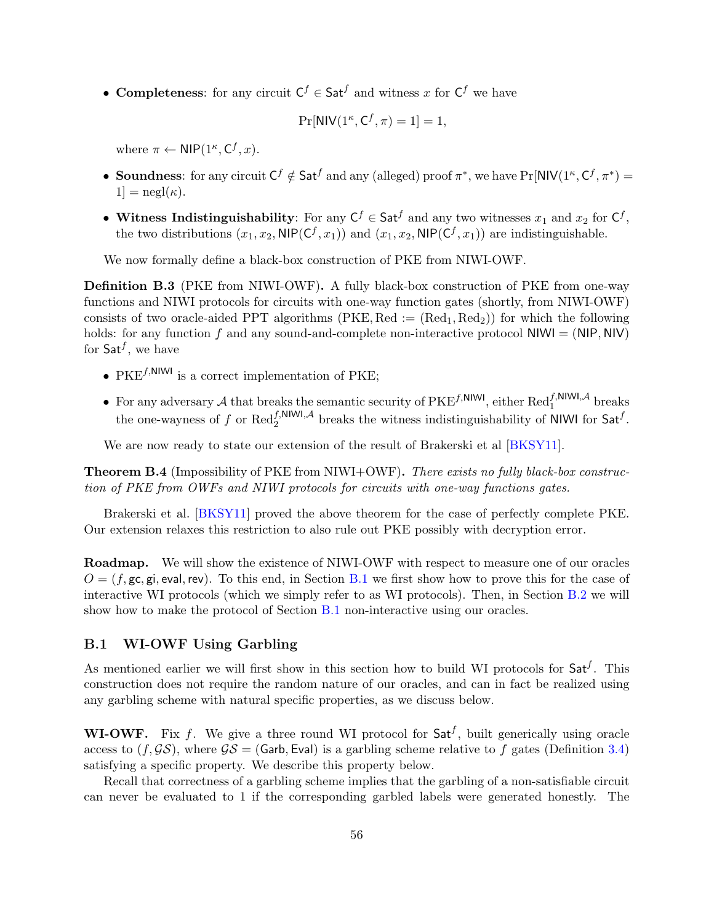<span id="page-55-1"></span>• Completeness: for any circuit  $C^f \in \mathsf{Sat}^f$  and witness x for  $C^f$  we have

$$
\Pr[\text{NIV}(1^{\kappa}, C^f, \pi) = 1] = 1,
$$

where  $\pi \leftarrow \text{NIP}(1^{\kappa}, \mathsf{C}^f, x)$ .

- Soundness: for any circuit  $C^f \notin$  Sat<sup>f</sup> and any (alleged) proof  $\pi^*$ , we have  $Pr[NIV(1^{\kappa}, C^f, \pi^*)]$  $1] = \text{negl}(\kappa).$
- Witness Indistinguishability: For any  $C^f \in \mathsf{Sat}^f$  and any two witnesses  $x_1$  and  $x_2$  for  $C^f$ , the two distributions  $(x_1, x_2, \text{NIP}(C^f, x_1))$  and  $(x_1, x_2, \text{NIP}(C^f, x_1))$  are indistinguishable.

We now formally define a black-box construction of PKE from NIWI-OWF.

Definition B.3 (PKE from NIWI-OWF). A fully black-box construction of PKE from one-way functions and NIWI protocols for circuits with one-way function gates (shortly, from NIWI-OWF) consists of two oracle-aided PPT algorithms (PKE, Red  $:=(\text{Red}_1, \text{Red}_2)$ ) for which the following holds: for any function f and any sound-and-complete non-interactive protocol  $NIWI = (NIP, NIV)$ for  $\mathsf{Sat}^f$ , we have

- PKE<sup> $f$ ,NIWI</sup> is a correct implementation of PKE:
- For any adversary A that breaks the semantic security of PKE<sup>f,NIWI</sup>, either Red<sup>f,NIWI,A</sup> breaks The one-wayness of f or  $\text{Red}_2^{f,\text{NIWI},\mathcal{A}}$  breaks the witness indistinguishability of NIWI for Sat<sup>f</sup>.

We are now ready to state our extension of the result of Brakerski et al [\[BKSY11\]](#page-42-2).

<span id="page-55-2"></span>**Theorem B.4** (Impossibility of PKE from NIWI+OWF). There exists no fully black-box construction of PKE from OWFs and NIWI protocols for circuits with one-way functions gates.

Brakerski et al. [\[BKSY11\]](#page-42-2) proved the above theorem for the case of perfectly complete PKE. Our extension relaxes this restriction to also rule out PKE possibly with decryption error.

Roadmap. We will show the existence of NIWI-OWF with respect to measure one of our oracles  $O = (f, gc, gi, eval, rev)$ . To this end, in Section [B.1](#page-55-0) we first show how to prove this for the case of interactive WI protocols (which we simply refer to as WI protocols). Then, in Section [B.2](#page-58-0) we will show how to make the protocol of Section [B.1](#page-55-0) non-interactive using our oracles.

#### <span id="page-55-0"></span>B.1 WI-OWF Using Garbling

As mentioned earlier we will first show in this section how to build WI protocols for  $\mathsf{Sat}^f$ . This construction does not require the random nature of our oracles, and can in fact be realized using any garbling scheme with natural specific properties, as we discuss below.

**WI-OWF.** Fix f. We give a three round WI protocol for  $\mathsf{Sat}^f$ , built generically using oracle access to  $(f, \mathcal{G}S)$ , where  $\mathcal{G}S =$  (Garb, Eval) is a garbling scheme relative to f gates (Definition [3.4\)](#page-11-2) satisfying a specific property. We describe this property below.

Recall that correctness of a garbling scheme implies that the garbling of a non-satisfiable circuit can never be evaluated to 1 if the corresponding garbled labels were generated honestly. The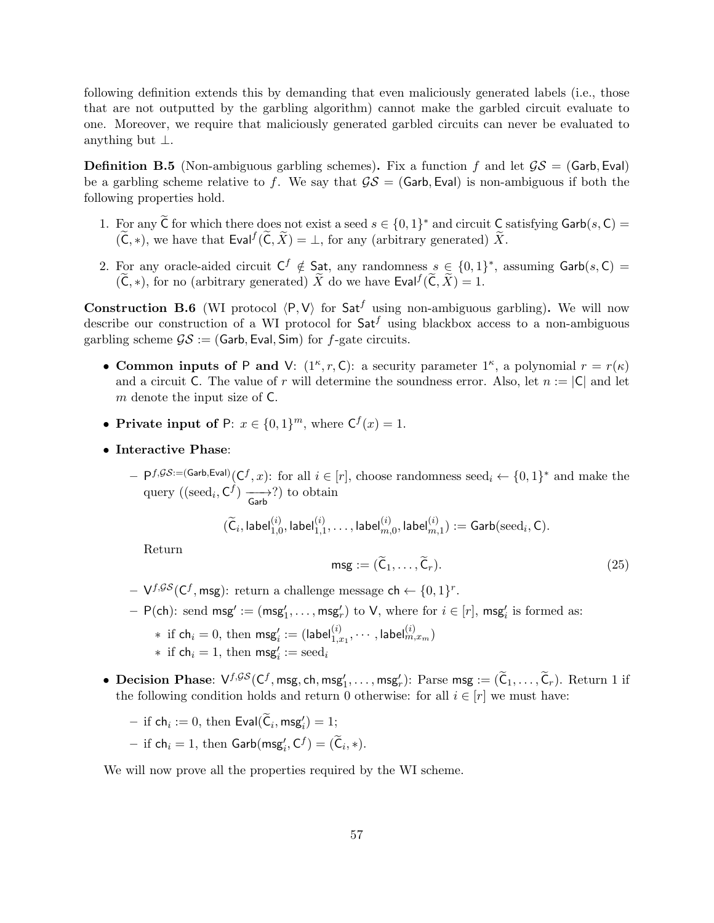following definition extends this by demanding that even maliciously generated labels (i.e., those that are not outputted by the garbling algorithm) cannot make the garbled circuit evaluate to one. Moreover, we require that maliciously generated garbled circuits can never be evaluated to anything but ⊥.

**Definition B.5** (Non-ambiguous garbling schemes). Fix a function f and let  $\mathcal{GS} =$  (Garb, Eval) be a garbling scheme relative to f. We say that  $\mathcal{GS} = (Garb, Eva)$  is non-ambiguous if both the following properties hold.

- 1. For any  $\widetilde{C}$  for which there does not exist a seed  $s \in \{0,1\}^*$  and circuit  $C$  satisfying  $\mathsf{Garb}(s, \mathsf{C}) = \widetilde{C}$  $(\widetilde{\mathsf{C}}, *)$ , we have that  $\mathsf{Eval}^f(\widetilde{\mathsf{C}}, \widetilde{X}) = \bot$ , for any (arbitrary generated)  $\widetilde{X}$ .
- 2. For any oracle-aided circuit  $C^f \notin S$  at, any randomness  $s \in \{0,1\}^*$ , assuming  $\mathsf{Garb}(s, \mathsf{C}) =$  $(\widetilde{\mathsf{C}}, *)$ , for no (arbitrary generated)  $\widetilde{X}$  do we have Eval<sup>f</sup> $(\widetilde{\mathsf{C}}, \widetilde{X}) = 1$ .

<span id="page-56-0"></span>Construction B.6 (WI protocol  $\langle P, V \rangle$  for Sat<sup>f</sup> using non-ambiguous garbling). We will now describe our construction of a WI protocol for  $\mathsf{Sat}^f$  using blackbox access to a non-ambiguous garbling scheme  $\mathcal{GS} := (\mathsf{Garb}, \mathsf{Eval}, \mathsf{Sim})$  for f-gate circuits.

- Common inputs of P and V:  $(1^{\kappa}, r, \mathsf{C})$ : a security parameter  $1^{\kappa}$ , a polynomial  $r = r(\kappa)$ and a circuit C. The value of r will determine the soundness error. Also, let  $n := |C|$  and let m denote the input size of C.
- Private input of P:  $x \in \{0,1\}^m$ , where  $C^f(x) = 1$ .
- Interactive Phase:
	- $P^{f,\mathcal{G}S:=(\mathsf{Garb},\mathsf{Eval})}(\mathsf{C}^f,x)$ : for all  $i \in [r]$ , choose randomness seed $_i \leftarrow \{0,1\}^*$  and make the query ((seed<sub>i</sub>,  $C^f$ )  $\xrightarrow[\text{Garb}]$  to obtain

$$
(\widetilde{\sf{C}}_i,\textsf{label}_{1,0}^{(i)},\textsf{label}_{1,1}^{(i)},\ldots,\textsf{label}_{m,0}^{(i)},\textsf{label}_{m,1}^{(i)}):=\textsf{Garb}(\text{seed}_i,{\sf{C}}).
$$

Return

$$
msg := (\widetilde{C}_1, \ldots, \widetilde{C}_r). \tag{25}
$$

- $\mathsf{V}^{f,\mathcal{GS}}(\mathsf{C}^f,\mathsf{msg})$ : return a challenge message  $\mathsf{ch} \leftarrow \{0,1\}^r.$
- $-$  P(ch): send  $\mathsf{msg}' := (\mathsf{msg}'_1, \ldots, \mathsf{msg}'_r)$  to V, where for  $i \in [r]$ ,  $\mathsf{msg}'_i$  is formed as:
	- $*$  if  $\mathsf{ch}_i = 0, \, \text{then } \mathsf{msg}_i' := (\mathsf{label}_{1,x_1}^{(i)}, \cdots, \mathsf{label}_{m,x_m}^{(i)})$
	- $*$  if  $\mathsf{ch}_i = 1$ , then  $\mathsf{msg}_i' := \mathrm{seed}_i$
- Decision Phase:  $V^{f,GS}(C^f, msg, ch, msg'_1, ..., msg'_r)$ : Parse msg :=  $(\widetilde{C}_1, ..., \widetilde{C}_r)$ . Return 1 if the following condition holds and return 0 otherwise: for all  $i \in [r]$  we must have:

$$
- \text{ if } \mathsf{ch}_i := 0, \text{ then } \mathsf{Eval}(\widetilde{\mathsf{C}}_i, \mathsf{msg}_i') = 1;
$$

- if  $\mathsf{ch}_i = 1$ , then  $\mathsf{Garb}(\mathsf{msg}_i', \mathsf{C}^f) = (\widetilde{\mathsf{C}}_i, *)$ .

We will now prove all the properties required by the WI scheme.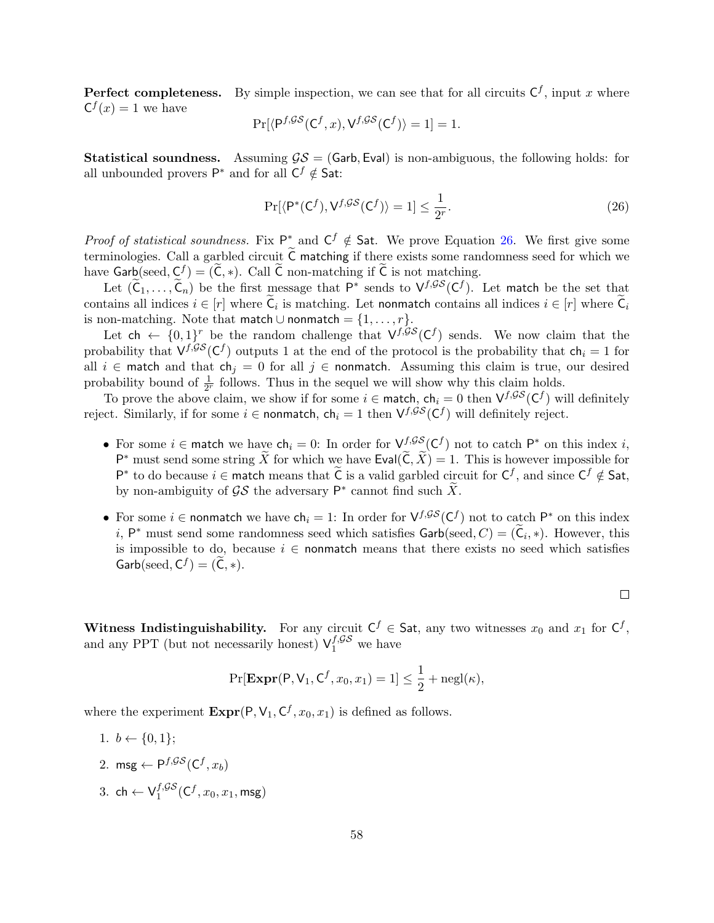**Perfect completeness.** By simple inspection, we can see that for all circuits  $C<sup>f</sup>$ , input x where  $C^{f}(x) = 1$  we have

$$
\Pr[\langle P^{f,\mathcal{GS}}(C^f,x), V^{f,\mathcal{GS}}(C^f) \rangle = 1] = 1.
$$

**Statistical soundness.** Assuming  $\mathcal{GS} = (Garb, Eva)$  is non-ambiguous, the following holds: for all unbounded provers  $\mathsf{P}^*$  and for all  $\mathsf{C}^f \notin \mathsf{Sat}$ :

<span id="page-57-0"></span>
$$
\Pr[\langle \mathsf{P}^*(\mathsf{C}^f), \mathsf{V}^{f,\mathcal{GS}}(\mathsf{C}^f) \rangle = 1] \le \frac{1}{2^r}.\tag{26}
$$

*Proof of statistical soundness.* Fix  $P^*$  and  $C^f \notin$  Sat. We prove Equation [26.](#page-57-0) We first give some terminologies. Call a garbled circuit  $\tilde{C}$  matching if there exists some randomness seed for which we have Garb(seed,  $C^f$ ) = ( $\tilde{C}$ , \*). Call  $\tilde{C}$  non-matching if  $\tilde{C}$  is not matching.

Let  $(\tilde{\mathsf{C}}_1, \ldots, \tilde{\mathsf{C}}_n)$  be the first message that  $\mathsf{P}^*$  sends to  $\mathsf{V}^{f,\mathcal{GS}}(\mathsf{C}^f)$ . Let match be the set that contains all indices  $i \in [r]$  where  $C_i$  is matching. Let nonmatch contains all indices  $i \in [r]$  where  $C_i$ is non-matching. Note that match ∪ nonmatch =  $\{1, \ldots, r\}$ .

Let  $ch \leftarrow \{0,1\}^r$  be the random challenge that  $V^{f,\mathcal{GS}}(C^f)$  sends. We now claim that the probability that  $V^{f,\mathcal{GS}}(C^f)$  outputs 1 at the end of the protocol is the probability that  $\mathsf{ch}_i = 1$  for all  $i \in \mathsf{match}$  and that  $\mathsf{ch}_i = 0$  for all  $j \in \mathsf{nonmatch}$ . Assuming this claim is true, our desired probability bound of  $\frac{1}{2^r}$  follows. Thus in the sequel we will show why this claim holds.

To prove the above claim, we show if for some  $i \in \text{match}$ ,  $\text{ch}_i = 0$  then  $\mathsf{V}^{f,\mathcal{GS}}(\mathsf{C}^f)$  will definitely reject. Similarly, if for some  $i \in \mathsf{nonmatch}$ ,  $\mathsf{ch}_i = 1$  then  $\mathsf{V}^{f,\mathcal{GS}}(\mathsf{C}^f)$  will definitely reject.

- For some  $i \in \mathsf{match}$  we have  $\mathsf{ch}_i = 0$ : In order for  $\mathsf{V}^{f,\mathcal{GS}}_i(\mathsf{C}^f)$  not to catch  $\mathsf{P}^*$  on this index i,  $P^*$  must send some string  $\widetilde{X}$  for which we have  $\text{Eval}(\widetilde{C}, \widetilde{X}) = 1$ . This is however impossible for P<sup>\*</sup> to do because  $i \in \text{match}$  means that  $\widetilde{C}$  is a valid garbled circuit for  $C^f$ , and since  $C^f \notin \text{Sat}$ , by non-ambiguity of  $\mathcal{GS}$  the adversary  $\mathsf{P}^*$  cannot find such  $\widetilde{X}$ .
- For some  $i \in \mathsf{nonmatch}$  we have  $\mathsf{ch}_i = 1$ : In order for  $\mathsf{V}^{f,\mathcal{GS}}(\mathsf{C}^f)$  not to catch  $\mathsf{P}^*$  on this index i,  $P^*$  must send some randomness seed which satisfies  $\text{Garb}(\text{seed}, C) = (\widetilde{C}_i, *)$ . However, this is impossible to do, because  $i \in \mathsf{nonmatch}$  means that there exists no seed which satisfies  $\mathsf{Garb}(\text{seed}, \mathsf{C}^f) = (\widetilde{\mathsf{C}}, \ast).$

 $\Box$ 

Witness Indistinguishability. For any circuit  $C^f \in S$  at, any two witnesses  $x_0$  and  $x_1$  for  $C^f$ , and any PPT (but not necessarily honest)  $V_1^{f,GS}$  we have

$$
\Pr[\mathbf{Expr}(P, V_1, C^f, x_0, x_1) = 1] \le \frac{1}{2} + \operatorname{negl}(\kappa),
$$

where the experiment  $\text{Expr}(P, V_1, C^f, x_0, x_1)$  is defined as follows.

- 1.  $b \leftarrow \{0, 1\};$
- 2. msg  $\leftarrow P^{f,\mathcal{GS}}(C^f,x_b)$
- 3. ch  $\leftarrow$   $\mathsf{V}^{f,\mathcal{GS}}_1$  $_{1}^{f,\mathcal{GS}}(\mathsf{C}^f,x_0,x_1,\mathsf{msg})$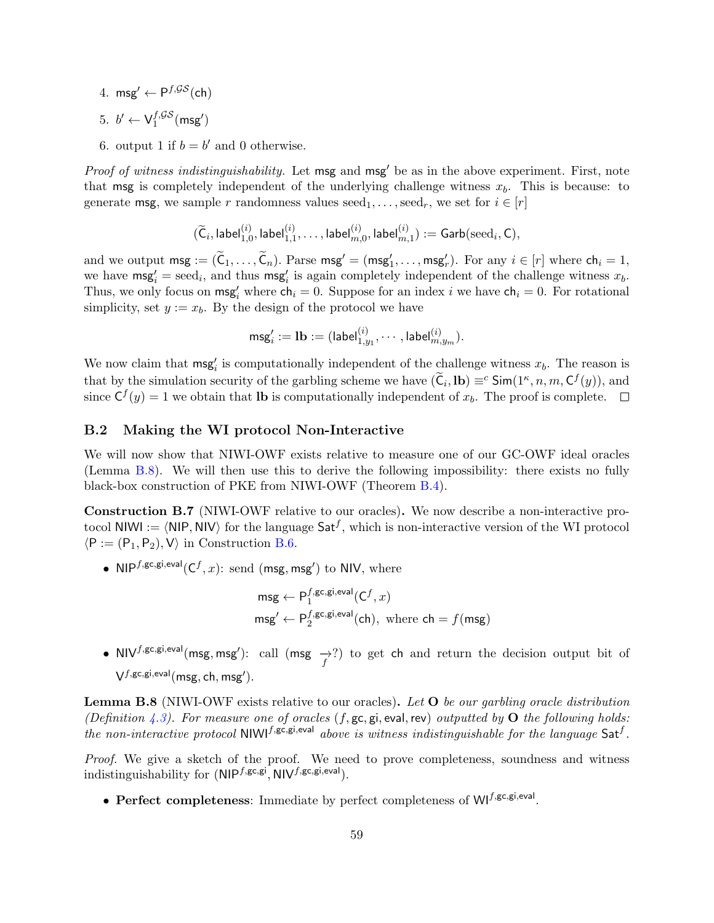- 4. msg'  $\leftarrow P^{f,\mathcal{GS}}(\mathsf{ch})$
- 5.  $b' \leftarrow \bigvee_{1}^{f,\mathcal{GS}}$  $j^{f, \mathcal{GS}}_1(\mathsf{msg}')$
- 6. output 1 if  $b = b'$  and 0 otherwise.

*Proof of witness indistinguishability.* Let msg and msg' be as in the above experiment. First, note that msg is completely independent of the underlying challenge witness  $x<sub>b</sub>$ . This is because: to generate msg, we sample r randomness values  $\text{seed}_1, \ldots, \text{seed}_r$ , we set for  $i \in [r]$ 

$$
(\widetilde{\mathsf{C}}_i,\mathsf{label}_{1,0}^{(i)},\mathsf{label}_{1,1}^{(i)},\ldots,\mathsf{label}_{m,0}^{(i)},\mathsf{label}_{m,1}^{(i)}):=\mathsf{Garb}(\mathrm{seed}_i,\mathsf{C}),
$$

and we output  $\textsf{msg} := (\widetilde{C}_1, \ldots, \widetilde{C}_n)$ . Parse  $\textsf{msg}' = (\textsf{msg}'_1, \ldots, \textsf{msg}'_r)$ . For any  $i \in [r]$  where  $\textsf{ch}_i = 1$ , we have  $\text{msg}_i' = \text{seed}_i$ , and thus  $\text{msg}_i'$  is again completely independent of the challenge witness  $x_b$ . Thus, we only focus on  $\text{msg}_i'$  where  $\text{ch}_i = 0$ . Suppose for an index i we have  $\text{ch}_i = 0$ . For rotational simplicity, set  $y := x_b$ . By the design of the protocol we have

$$
\mathsf{msg}_i':=\mathbf{lb}:=(\mathsf{label}_{1,y_1}^{(i)},\cdots,\mathsf{label}_{m,y_m}^{(i)}).
$$

We now claim that  $\text{msg}_i'$  is computationally independent of the challenge witness  $x_b$ . The reason is that by the simulation security of the garbling scheme we have  $(\tilde{C}_i, \mathbf{lb}) \equiv^c \mathsf{Sim}(1^{\kappa}, n, m, \mathsf{C}^f(y))$ , and since  $C^{f}(y) = 1$  we obtain that **lb** is computationally independent of  $x_b$ . The proof is complete.

#### <span id="page-58-0"></span>B.2 Making the WI protocol Non-Interactive

We will now show that NIWI-OWF exists relative to measure one of our GC-OWF ideal oracles (Lemma [B.8\)](#page-58-1). We will then use this to derive the following impossibility: there exists no fully black-box construction of PKE from NIWI-OWF (Theorem [B.4\)](#page-55-2).

Construction B.7 (NIWI-OWF relative to our oracles). We now describe a non-interactive protocol NIWI :=  $\langle$ NIP, NIV $\rangle$  for the language Sat<sup>f</sup>, which is non-interactive version of the WI protocol  $\langle P := (P_1, P_2), V \rangle$  in Construction [B.6.](#page-56-0)

• NIP<sup>f,gc,gi,eval</sup>( $C^f, x$ ): send (msg, msg') to NIV, where

$$
msg \leftarrow P_1^{f,gc,gi,eval}(C^f, x)
$$

$$
msg' \leftarrow P_2^{f,gc,gi,eval}(ch), \text{ where } ch = f(msg)
$$

• NIV<sup>f,gc,gi,eval</sup>(msg, msg'): call (msg  $\rightarrow$ ?) to get ch and return the decision output bit of  $V^{f,\text{gc,gi,eval}}(\text{msg},\text{ch},\text{msg}').$ 

<span id="page-58-1"></span>**Lemma B.8** (NIWI-OWF exists relative to our oracles). Let  $O$  be our garbling oracle distribution (Definition [4.3\)](#page-13-0). For measure one of oracles  $(f, gc, gi, eval, rev)$  outputted by O the following holds: the non-interactive protocol NIWI<sup>f,gc,gi,eval</sup> above is witness indistinguishable for the language  $\mathsf{Sat}^f$ .

Proof. We give a sketch of the proof. We need to prove completeness, soundness and witness indistinguishability for  $(NIP^{f,gc,gi}, NIV^{f,gc,gi,eval}).$ 

• Perfect completeness: Immediate by perfect completeness of  $W$ I $^{f,gc,gi,eval}$ .